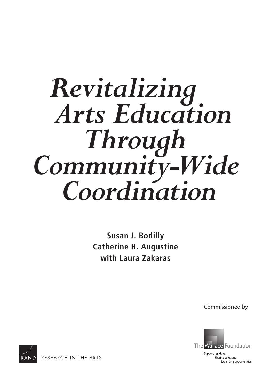# *Revitalizing Arts Education Through Community-Wide Coordination*

**Susan J. Bodilly Catherine H. Augustine with Laura Zakaras**

Commissioned by



Supporting ideas. Sharing solutions. Expanding opportunities.

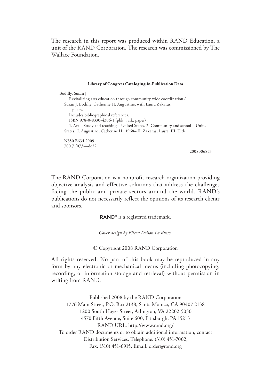The research in this report was produced within RAND Education, a unit of the RAND Corporation. The research was commissioned by The Wallace Foundation.

#### **Library of Congress Cataloging-in-Publication Data**

```
Bodilly, Susan J.
    Revitalizing arts education through community-wide coordination / 
Susan J. Bodilly, Catherine H. Augustine, with Laura Zakaras.
      p. cm.
    Includes bibliographical references.
    ISBN 978-0-8330-4306-1 (pbk. : alk. paper)
    1. Art—Study and teaching—United States. 2. Community and school—United 
States. I. Augustine, Catherine H., 1968– II. Zakaras, Laura. III. Title.
N350.B634 2009
```
700.71'073—dc22

2008006853

The RAND Corporation is a nonprofit research organization providing objective analysis and effective solutions that address the challenges facing the public and private sectors around the world. RAND's publications do not necessarily reflect the opinions of its research clients and sponsors.

RAND<sup>®</sup> is a registered trademark.

*Cover design by Eileen Delson La Russo*

© Copyright 2008 RAND Corporation

All rights reserved. No part of this book may be reproduced in any form by any electronic or mechanical means (including photocopying, recording, or information storage and retrieval) without permission in writing from RAND.

Published 2008 by the RAND Corporation 1776 Main Street, P.O. Box 2138, Santa Monica, CA 90407-2138 1200 South Hayes Street, Arlington, VA 22202-5050 4570 Fifth Avenue, Suite 600, Pittsburgh, PA 15213 RAND URL: http://www.rand.org/ To order RAND documents or to obtain additional information, contact Distribution Services: Telephone: (310) 451-7002; Fax: (310) 451-6915; Email: order@rand.org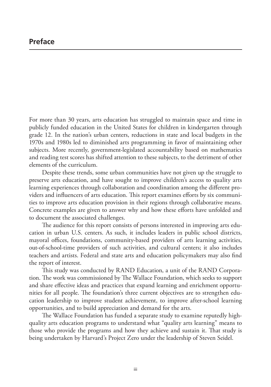For more than 30 years, arts education has struggled to maintain space and time in publicly funded education in the United States for children in kindergarten through grade 12. In the nation's urban centers, reductions in state and local budgets in the 1970s and 1980s led to diminished arts programming in favor of maintaining other subjects. More recently, government-legislated accountability based on mathematics and reading test scores has shifted attention to these subjects, to the detriment of other elements of the curriculum.

Despite these trends, some urban communities have not given up the struggle to preserve arts education, and have sought to improve children's access to quality arts learning experiences through collaboration and coordination among the different providers and influencers of arts education. This report examines efforts by six communities to improve arts education provision in their regions through collaborative means. Concrete examples are given to answer why and how these efforts have unfolded and to document the associated challenges.

The audience for this report consists of persons interested in improving arts education in urban U.S. centers. As such, it includes leaders in public school districts, mayoral offices, foundations, community-based providers of arts learning activities, out-of-school-time providers of such activities, and cultural centers; it also includes teachers and artists. Federal and state arts and education policymakers may also find the report of interest.

This study was conducted by RAND Education, a unit of the RAND Corporation. The work was commissioned by The Wallace Foundation, which seeks to support and share effective ideas and practices that expand learning and enrichment opportunities for all people. The foundation's three current objectives are to strengthen education leadership to improve student achievement, to improve after-school learning opportunities, and to build appreciation and demand for the arts.

The Wallace Foundation has funded a separate study to examine reputedly highquality arts education programs to understand what "quality arts learning" means to those who provide the programs and how they achieve and sustain it. That study is being undertaken by Harvard's Project Zero under the leadership of Steven Seidel.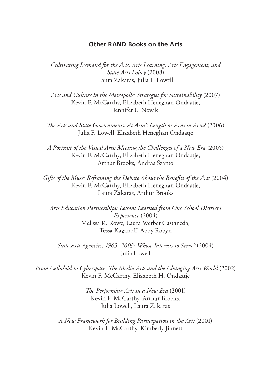#### **Other RAND Books on the Arts**

*Cultivating Demand for the Arts: Arts Learning, Arts Engagement, and State Arts Policy* (2008) Laura Zakaras, Julia F. Lowell

*Arts and Culture in the Metropolis: Strategies for Sustainability* (2007) Kevin F. McCarthy, Elizabeth Heneghan Ondaatje, Jennifer L. Novak

*The Arts and State Governments: At Arm's Length or Arm in Arm?* (2006) Julia F. Lowell, Elizabeth Heneghan Ondaatje

*A Portrait of the Visual Arts: Meeting the Challenges of a New Era* (2005) Kevin F. McCarthy, Elizabeth Heneghan Ondaatje, Arthur Brooks, Andras Szanto

Gifts of the Muse: Reframing the Debate About the Benefits of the Arts (2004) Kevin F. McCarthy, Elizabeth Heneghan Ondaatje, Laura Zakaras, Arthur Brooks

*Arts Education Partnerships: Lessons Learned from One School District's Experience* (2004) Melissa K. Rowe, Laura Werber Castaneda, Tessa Kaganoff, Abby Robyn

*State Arts Agencies, 1965–2003: Whose Interests to Serve?* (2004) Julia Lowell

*From Celluloid to Cyberspace: The Media Arts and the Changing Arts World* (2002) Kevin F. McCarthy, Elizabeth H. Ondaatje

> The Performing Arts in a New Era (2001) Kevin F. McCarthy, Arthur Brooks, Julia Lowell, Laura Zakaras

*A New Framework for Building Participation in the Arts* (2001) Kevin F. McCarthy, Kimberly Jinnett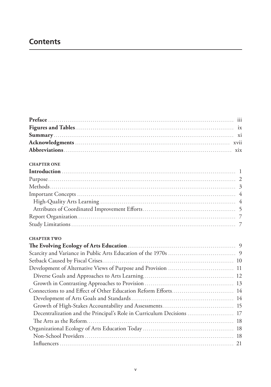# **Contents**

| <b>CHAPTER ONE</b>                                                    |  |
|-----------------------------------------------------------------------|--|
|                                                                       |  |
|                                                                       |  |
|                                                                       |  |
|                                                                       |  |
|                                                                       |  |
|                                                                       |  |
|                                                                       |  |
|                                                                       |  |
| <b>CHAPTER TWO</b>                                                    |  |
|                                                                       |  |
|                                                                       |  |
|                                                                       |  |
|                                                                       |  |
|                                                                       |  |
|                                                                       |  |
| Connections to and Effect of Other Education Reform Efforts 14        |  |
|                                                                       |  |
|                                                                       |  |
| Decentralization and the Principal's Role in Curriculum Decisions  17 |  |
|                                                                       |  |
|                                                                       |  |
|                                                                       |  |
|                                                                       |  |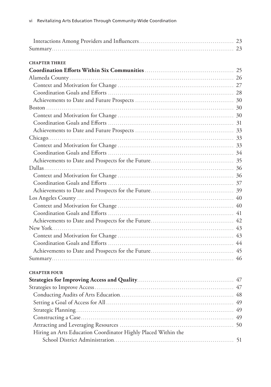| <b>CHAPTER THREE</b> |  |
|----------------------|--|
|                      |  |
|                      |  |
|                      |  |
|                      |  |
|                      |  |
|                      |  |
|                      |  |
|                      |  |
|                      |  |
|                      |  |
|                      |  |
|                      |  |
|                      |  |
|                      |  |
|                      |  |
|                      |  |
|                      |  |
|                      |  |
|                      |  |
|                      |  |
|                      |  |
|                      |  |
|                      |  |
|                      |  |
|                      |  |
|                      |  |
| <b>CHAPTER FOUR</b>  |  |

| Hiring an Arts Education Coordinator Highly Placed Within the |  |
|---------------------------------------------------------------|--|
|                                                               |  |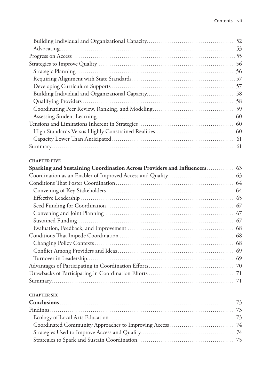#### **Chapter Five**

#### **Chapter Six**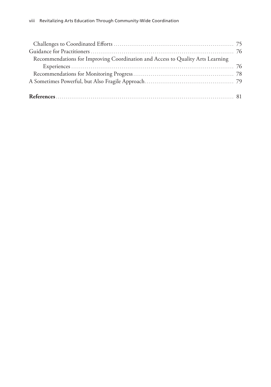| Recommendations for Improving Coordination and Access to Quality Arts Learning |  |  |
|--------------------------------------------------------------------------------|--|--|
|                                                                                |  |  |
|                                                                                |  |  |
|                                                                                |  |  |
|                                                                                |  |  |
|                                                                                |  |  |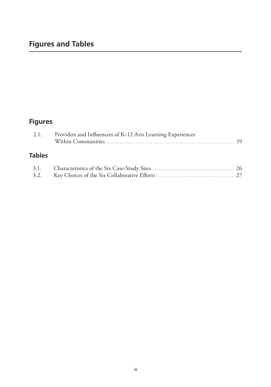# **Figures**

| 2.1. Providers and Influencers of K-12 Arts Learning Experiences |  |
|------------------------------------------------------------------|--|
|                                                                  |  |

# **Tables**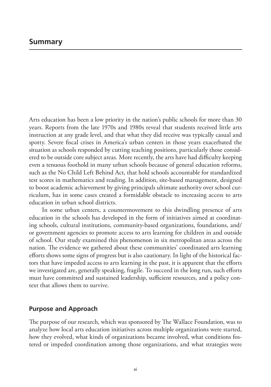Arts education has been a low priority in the nation's public schools for more than 30 years. Reports from the late 1970s and 1980s reveal that students received little arts instruction at any grade level, and that what they did receive was typically casual and spotty. Severe fiscal crises in America's urban centers in those years exacerbated the situation as schools responded by cutting teaching positions, particularly those considered to be outside core subject areas. More recently, the arts have had difficulty keeping even a tenuous foothold in many urban schools because of general education reforms, such as the No Child Left Behind Act, that hold schools accountable for standardized test scores in mathematics and reading. In addition, site-based management, designed to boost academic achievement by giving principals ultimate authority over school curriculum, has in some cases created a formidable obstacle to increasing access to arts education in urban school districts.

In some urban centers, a countermovement to this dwindling presence of arts education in the schools has developed in the form of initiatives aimed at coordinating schools, cultural institutions, community-based organizations, foundations, and/ or government agencies to promote access to arts learning for children in and outside of school. Our study examined this phenomenon in six metropolitan areas across the nation. The evidence we gathered about these communities' coordinated arts learning efforts shows some signs of progress but is also cautionary. In light of the historical factors that have impeded access to arts learning in the past, it is apparent that the efforts we investigated are, generally speaking, fragile. To succeed in the long run, such efforts must have committed and sustained leadership, sufficient resources, and a policy context that allows them to survive.

#### **Purpose and Approach**

The purpose of our research, which was sponsored by The Wallace Foundation, was to analyze how local arts education initiatives across multiple organizations were started, how they evolved, what kinds of organizations became involved, what conditions fostered or impeded coordination among those organizations, and what strategies were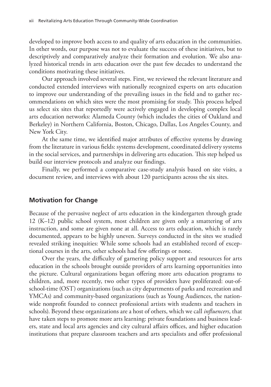developed to improve both access to and quality of arts education in the communities. In other words, our purpose was not to evaluate the success of these initiatives, but to descriptively and comparatively analyze their formation and evolution. We also analyzed historical trends in arts education over the past few decades to understand the conditions motivating these initiatives.

Our approach involved several steps. First, we reviewed the relevant literature and conducted extended interviews with nationally recognized experts on arts education to improve our understanding of the prevailing issues in the field and to gather recommendations on which sites were the most promising for study. This process helped us select six sites that reportedly were actively engaged in developing complex local arts education networks: Alameda County (which includes the cities of Oakland and Berkeley) in Northern California, Boston, Chicago, Dallas, Los Angeles County, and New York City.

At the same time, we identified major attributes of effective systems by drawing from the literature in various fields: systems development, coordinated delivery systems in the social services, and partnerships in delivering arts education. This step helped us build our interview protocols and analyze our findings.

Finally, we performed a comparative case-study analysis based on site visits, a document review, and interviews with about 120 participants across the six sites.

## **Motivation for Change**

Because of the pervasive neglect of arts education in the kindergarten through grade 12 (K–12) public school system, most children are given only a smattering of arts instruction, and some are given none at all. Access to arts education, which is rarely documented, appears to be highly uneven. Surveys conducted in the sites we studied revealed striking inequities: While some schools had an established record of exceptional courses in the arts, other schools had few offerings or none.

Over the years, the difficulty of garnering policy support and resources for arts education in the schools brought outside providers of arts learning opportunities into the picture. Cultural organizations began offering more arts education programs to children, and, more recently, two other types of providers have proliferated: out-ofschool-time (OST) organizations (such as city departments of parks and recreation and YMCAs) and community-based organizations (such as Young Audiences, the nationwide nonprofit founded to connect professional artists with students and teachers in schools). Beyond these organizations are a host of others, which we call *influencers*, that have taken steps to promote more arts learning: private foundations and business leaders, state and local arts agencies and city cultural affairs offices, and higher education institutions that prepare classroom teachers and arts specialists and offer professional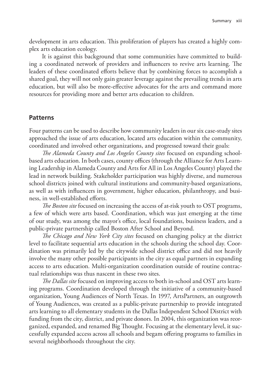development in arts education. This proliferation of players has created a highly complex arts education ecology.

It is against this background that some communities have committed to building a coordinated network of providers and influencers to revive arts learning. The leaders of these coordinated efforts believe that by combining forces to accomplish a shared goal, they will not only gain greater leverage against the prevailing trends in arts education, but will also be more-effective advocates for the arts and command more resources for providing more and better arts education to children.

#### **Patterns**

Four patterns can be used to describe how community leaders in our six case-study sites approached the issue of arts education, located arts education within the community, coordinated and involved other organizations, and progressed toward their goals:

*The Alameda County and Los Angeles County sites* focused on expanding schoolbased arts education. In both cases, county offices (through the Alliance for Arts Learning Leadership in Alameda County and Arts for All in Los Angeles County) played the lead in network building. Stakeholder participation was highly diverse, and numerous school districts joined with cultural institutions and community-based organizations, as well as with influencers in government, higher education, philanthropy, and business, in well-established efforts.

*The Boston site* focused on increasing the access of at-risk youth to OST programs, a few of which were arts based. Coordination, which was just emerging at the time of our study, was among the mayor's office, local foundations, business leaders, and a public-private partnership called Boston After School and Beyond.

*The Chicago and New York City sites* focused on changing policy at the district level to facilitate sequential arts education in the schools during the school day. Coordination was primarily led by the citywide school district office and did not heavily involve the many other possible participants in the city as equal partners in expanding access to arts education. Multi-organization coordination outside of routine contractual relationships was thus nascent in these two sites.

*The Dallas site* focused on improving access to both in-school and OST arts learning programs. Coordination developed through the initiative of a community-based organization, Young Audiences of North Texas. In 1997, ArtsPartners, an outgrowth of Young Audiences, was created as a public-private partnership to provide integrated arts learning to all elementary students in the Dallas Independent School District with funding from the city, district, and private donors. In 2004, this organization was reorganized, expanded, and renamed Big Thought. Focusing at the elementary level, it successfully expanded access across all schools and begam offering programs to families in several neighborhoods throughout the city.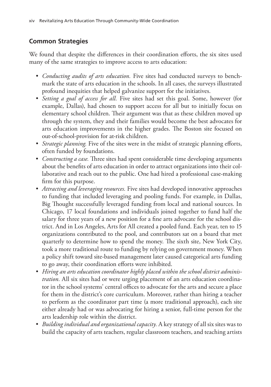# **Common Strategies**

We found that despite the differences in their coordination efforts, the six sites used many of the same strategies to improve access to arts education:

- *• Conducting audits of arts education.* Five sites had conducted surveys to benchmark the state of arts education in the schools. In all cases, the surveys illustrated profound inequities that helped galvanize support for the initiatives.
- *• Setting a goal of access for all.* Five sites had set this goal. Some, however (for example, Dallas), had chosen to support access for all but to initially focus on elementary school children. Their argument was that as these children moved up through the system, they and their families would become the best advocates for arts education improvements in the higher grades. The Boston site focused on out-of-school-provision for at-risk children.
- *• Strategic planning.* Five of the sites were in the midst of strategic planning efforts, often funded by foundations.
- *• Constructing a case.* Three sites had spent considerable time developing arguments about the benefits of arts education in order to attract organizations into their collaborative and reach out to the public. One had hired a professional case-making firm for this purpose.
- *Attracting and leveraging resources*. Five sites had developed innovative approaches to funding that included leveraging and pooling funds. For example, in Dallas, Big Thought successfully leveraged funding from local and national sources. In Chicago, 17 local foundations and individuals joined together to fund half the salary for three years of a new position for a fine arts advocate for the school district. And in Los Angeles, Arts for All created a pooled fund. Each year, ten to 15 organizations contributed to the pool, and contributors sat on a board that met quarterly to determine how to spend the money. The sixth site, New York City, took a more traditional route to funding by relying on government money. When a policy shift toward site-based management later caused categorical arts funding to go away, their coordination efforts were inhibited.
- *• Hiring an arts education coordinator highly placed within the school district administration.* All six sites had or were urging placement of an arts education coordinator in the school systems' central offices to advocate for the arts and secure a place for them in the district's core curriculum. Moreover, rather than hiring a teacher to perform as the coordinator part time (a more traditional approach), each site either already had or was advocating for hiring a senior, full-time person for the arts leadership role within the district.
- *Building individual and organizational capacity.* A key strategy of all six sites was to build the capacity of arts teachers, regular classroom teachers, and teaching artists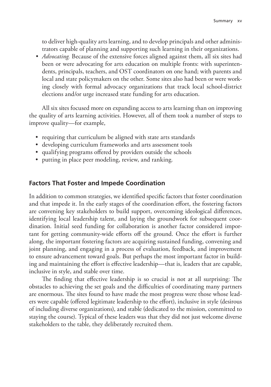to deliver high-quality arts learning, and to develop principals and other administrators capable of planning and supporting such learning in their organizations.

• *Advocating*. Because of the extensive forces aligned against them, all six sites had been or were advocating for arts education on multiple fronts: with superintendents, principals, teachers, and OST coordinators on one hand; with parents and local and state policymakers on the other. Some sites also had been or were working closely with formal advocacy organizations that track local school-district elections and/or urge increased state funding for arts education.

All six sites focused more on expanding access to arts learning than on improving the quality of arts learning activities. However, all of them took a number of steps to improve quality—for example,

- requiring that curriculum be aligned with state arts standards
- developing curriculum frameworks and arts assessment tools
- qualifying programs offered by providers outside the schools
- putting in place peer modeling, review, and ranking.

#### **Factors That Foster and Impede Coordination**

In addition to common strategies, we identified specific factors that foster coordination and that impede it. In the early stages of the coordination effort, the fostering factors are convening key stakeholders to build support, overcoming ideological differences, identifying local leadership talent, and laying the groundwork for subsequent coordination. Initial seed funding for collaboration is another factor considered important for getting community-wide efforts off the ground. Once the effort is further along, the important fostering factors are acquiring sustained funding, convening and joint planning, and engaging in a process of evaluation, feedback, and improvement to ensure advancement toward goals. But perhaps the most important factor in building and maintaining the effort is effective leadership—that is, leaders that are capable, inclusive in style, and stable over time.

The finding that effective leadership is so crucial is not at all surprising: The obstacles to achieving the set goals and the difficulties of coordinating many partners are enormous. The sites found to have made the most progress were those whose leaders were capable (offered legitimate leadership to the effort), inclusive in style (desirous of including diverse organizations), and stable (dedicated to the mission, committed to staying the course). Typical of these leaders was that they did not just welcome diverse stakeholders to the table, they deliberately recruited them.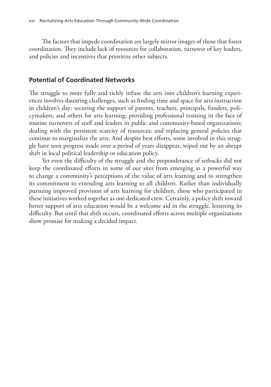The factors that impede coordination are largely mirror images of those that foster coordination. They include lack of resources for collaboration, turnover of key leaders, and policies and incentives that prioritize other subjects.

## **Potential of Coordinated Networks**

The struggle to more fully and richly infuse the arts into children's learning experiences involves daunting challenges, such as finding time and space for arts instruction in children's day; securing the support of parents, teachers, principals, funders, policymakers, and others for arts learning; providing professional training in the face of routine turnovers of staff and leaders in public and community-based organizations; dealing with the persistent scarcity of resources; and replacing general policies that continue to marginalize the arts. And despite best efforts, some involved in this struggle have seen progress made over a period of years disappear, wiped out by an abrupt shift in local political leadership or education policy.

Yet even the difficulty of the struggle and the preponderance of setbacks did not keep the coordinated efforts in some of our sites from emerging as a powerful way to change a community's perceptions of the value of arts learning and to strengthen its commitment to extending arts learning to all children. Rather than individually pursuing improved provision of arts learning for children, those who participated in these initiatives worked together as one dedicated crew. Certainly, a policy shift toward better support of arts education would be a welcome aid in the struggle, lessening its difficulty. But until that shift occurs, coordinated efforts across multiple organizations show promise for making a decided impact.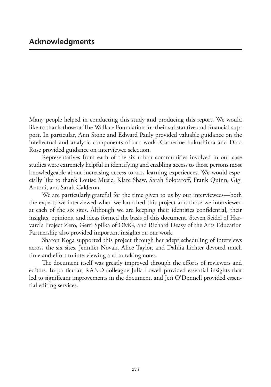Many people helped in conducting this study and producing this report. We would like to thank those at The Wallace Foundation for their substantive and financial support. In particular, Ann Stone and Edward Pauly provided valuable guidance on the intellectual and analytic components of our work. Catherine Fukushima and Dara Rose provided guidance on interviewee selection.

Representatives from each of the six urban communities involved in our case studies were extremely helpful in identifying and enabling access to those persons most knowledgeable about increasing access to arts learning experiences. We would especially like to thank Louise Music, Klare Shaw, Sarah Solotaroff, Frank Quinn, Gigi Antoni, and Sarah Calderon.

We are particularly grateful for the time given to us by our interviewees—both the experts we interviewed when we launched this project and those we interviewed at each of the six sites. Although we are keeping their identities confidential, their insights, opinions, and ideas formed the basis of this document. Steven Seidel of Harvard's Project Zero, Gerri Spilka of OMG, and Richard Deasy of the Arts Education Partnership also provided important insights on our work.

Sharon Koga supported this project through her adept scheduling of interviews across the six sites. Jennifer Novak, Alice Taylor, and Dahlia Lichter devoted much time and effort to interviewing and to taking notes.

The document itself was greatly improved through the efforts of reviewers and editors. In particular, RAND colleague Julia Lowell provided essential insights that led to significant improvements in the document, and Jeri O'Donnell provided essential editing services.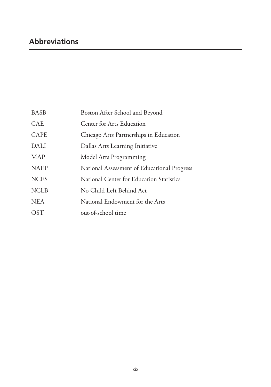# **Abbreviations**

| <b>BASB</b> | Boston After School and Beyond              |
|-------------|---------------------------------------------|
| <b>CAE</b>  | Center for Arts Education                   |
| <b>CAPE</b> | Chicago Arts Partnerships in Education      |
| <b>DALI</b> | Dallas Arts Learning Initiative             |
| <b>MAP</b>  | Model Arts Programming                      |
| <b>NAEP</b> | National Assessment of Educational Progress |
| <b>NCES</b> | National Center for Education Statistics    |
| <b>NCLB</b> | No Child Left Behind Act                    |
| <b>NEA</b>  | National Endowment for the Arts             |
| <b>OST</b>  | out-of-school time                          |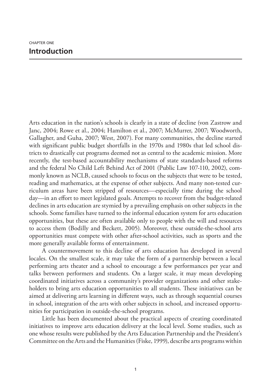# Chapter One **Introduction**

Arts education in the nation's schools is clearly in a state of decline (von Zastrow and Janc, 2004; Rowe et al., 2004; Hamilton et al., 2007; McMurrer, 2007; Woodworth, Gallagher, and Guha, 2007; West, 2007). For many communities, the decline started with significant public budget shortfalls in the 1970s and 1980s that led school districts to drastically cut programs deemed not as central to the academic mission. More recently, the test-based accountability mechanisms of state standards-based reforms and the federal No Child Left Behind Act of 2001 (Public Law 107-110, 2002), commonly known as NCLB, caused schools to focus on the subjects that were to be tested, reading and mathematics, at the expense of other subjects. And many non-tested curriculum areas have been stripped of resources—especially time during the school day—in an effort to meet legislated goals. Attempts to recover from the budget-related declines in arts education are stymied by a prevailing emphasis on other subjects in the schools. Some families have turned to the informal education system for arts education opportunities, but these are often available only to people with the will and resources to access them (Bodilly and Beckett, 2005). Moreover, these outside-the-school arts opportunities must compete with other after-school activities, such as sports and the more generally available forms of entertainment.

A countermovement to this decline of arts education has developed in several locales. On the smallest scale, it may take the form of a partnership between a local performing arts theater and a school to encourage a few performances per year and talks between performers and students. On a larger scale, it may mean developing coordinated initiatives across a community's provider organizations and other stakeholders to bring arts education opportunities to all students. These initiatives can be aimed at delivering arts learning in different ways, such as through sequential courses in school, integration of the arts with other subjects in school, and increased opportunities for participation in outside-the-school programs.

Little has been documented about the practical aspects of creating coordinated initiatives to improve arts education delivery at the local level. Some studies, such as one whose results were published by the Arts Education Partnership and the President's Committee on the Arts and the Humanities (Fiske, 1999), describe arts programs within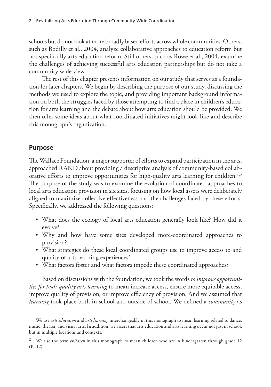schools but do not look at more broadly based efforts across whole communities. Others, such as Bodilly et al., 2004, analyze collaborative approaches to education reform but not specifically arts education reform. Still others, such as Rowe et al., 2004, examine the challenges of achieving successful arts education partnerships but do not take a community-wide view.

The rest of this chapter presents information on our study that serves as a foundation for later chapters. We begin by describing the purpose of our study, discussing the methods we used to explore the topic, and providing important background information on both the struggles faced by those attempting to find a place in children's education for arts learning and the debate about how arts education should be provided. We then offer some ideas about what coordinated initiatives might look like and describe this monograph's organization.

# **Purpose**

The Wallace Foundation, a major supporter of efforts to expand participation in the arts, approached RAND about providing a descriptive analysis of community-based collaborative efforts to improve opportunities for high-quality arts learning for children.<sup>1,2</sup> The purpose of the study was to examine the evolution of coordinated approaches to local arts education provision in six sites, focusing on how local assets were deliberately aligned to maximize collective effectiveness and the challenges faced by these efforts. Specifically, we addressed the following questions:

- What does the ecology of local arts education generally look like? How did it evolve?
- • Why and how have some sites developed more-coordinated approaches to provision?
- What strategies do these local coordinated groups use to improve access to and quality of arts learning experiences?
- What factors foster and what factors impede these coordinated approaches?

Based on discussions with the foundation, we took the words *to improve opportunities for high-quality arts learning* to mean increase access, ensure more equitable access, improve quality of provision, or improve efficiency of provision. And we assumed that *learning* took place both in school and outside of school. We defined a *community* as

We use arts education and arts learning interchangeably in this monograph to mean learning related to dance, music, theater, and visual arts. In addition, we assert that arts education and arts learning occur not just in school, but in multiple locations and contexts.

<sup>2</sup> We use the term *children* in this monograph to mean children who are in kindergarten through grade 12  $(K-12)$ .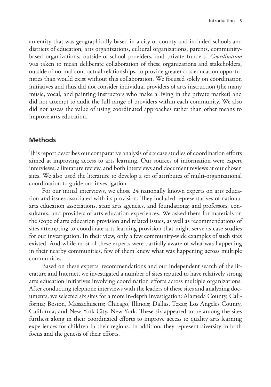an entity that was geographically based in a city or county and included schools and districts of education, arts organizations, cultural organizations, parents, communitybased organizations, outside-of-school providers, and private funders. *Coordination* was taken to mean deliberate collaboration of these organizations and stakeholders, outside of normal contractual relationships, to provide greater arts education opportunities than would exist without this collaboration. We focused solely on coordination initiatives and thus did not consider individual providers of arts instruction (the many music, vocal, and painting instructors who make a living in the private market) and did not attempt to audit the full range of providers within each community. We also did not assess the value of using coordinated approaches rather than other means to improve arts education.

#### **Methods**

This report describes our comparative analysis of six case studies of coordination efforts aimed at improving access to arts learning. Our sources of information were expert interviews, a literature review, and both interviews and document reviews at our chosen sites. We also used the literature to develop a set of attributes of multi-organizational coordination to guide our investigation.

For our initial interviews, we chose 24 nationally known experts on arts education and issues associated with its provision. They included representatives of national arts education associations, state arts agencies, and foundations; and professors, consultants, and providers of arts education experiences. We asked them for materials on the scope of arts education provision and related issues, as well as recommendations of sites attempting to coordinate arts learning provision that might serve as case studies for our investigation. In their view, only a few community-wide examples of such sites existed. And while most of these experts were partially aware of what was happening in their nearby communities, few of them knew what was happening across multiple communities.

Based on these experts' recommendations and our independent search of the literature and Internet, we investigated a number of sites reputed to have relatively strong arts education initiatives involving coordination efforts across multiple organizations. After conducting telephone interviews with the leaders of these sites and analyzing documents, we selected six sites for a more in-depth investigation: Alameda County, California; Boston, Massachusetts; Chicago, Illinois; Dallas, Texas; Los Angeles County, California; and New York City, New York. These six appeared to be among the sites furthest along in their coordinated efforts to improve access to quality arts learning experiences for children in their regions. In addition, they represent diversity in both focus and the genesis of their efforts.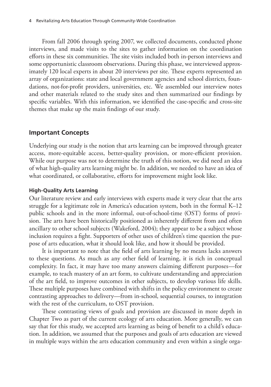From fall 2006 through spring 2007, we collected documents, conducted phone interviews, and made visits to the sites to gather information on the coordination efforts in these six communities. The site visits included both in-person interviews and some opportunistic classroom observations. During this phase, we interviewed approximately 120 local experts in about 20 interviews per site. These experts represented an array of organizations: state and local government agencies and school districts, foundations, not-for-profit providers, universities, etc. We assembled our interview notes and other materials related to the study sites and then summarized our findings by specific variables. With this information, we identified the case-specific and cross-site themes that make up the main findings of our study.

# **Important Concepts**

Underlying our study is the notion that arts learning can be improved through greater access, more-equitable access, better-quality provision, or more-efficient provision. While our purpose was not to determine the truth of this notion, we did need an idea of what high-quality arts learning might be. In addition, we needed to have an idea of what coordinated, or collaborative, efforts for improvement might look like.

### **High-Quality Arts Learning**

Our literature review and early interviews with experts made it very clear that the arts struggle for a legitimate role in America's education system, both in the formal K–12 public schools and in the more informal, out-of-school-time (OST) forms of provision. The arts have been historically positioned as inherently different from and often ancillary to other school subjects (Wakeford, 2004); they appear to be a subject whose inclusion requires a fight. Supporters of other uses of children's time question the purpose of arts education, what it should look like, and how it should be provided.

It is important to note that the field of arts learning by no means lacks answers to these questions. As much as any other field of learning, it is rich in conceptual complexity. In fact, it may have too many answers claiming different purposes—for example, to teach mastery of an art form, to cultivate understanding and appreciation of the art field, to improve outcomes in other subjects, to develop various life skills. These multiple purposes have combined with shifts in the policy environment to create contrasting approaches to delivery—from in-school, sequential courses, to integration with the rest of the curriculum, to OST provision.

These contrasting views of goals and provision are discussed in more depth in Chapter Two as part of the current ecology of arts education. More generally, we can say that for this study, we accepted arts learning as being of benefit to a child's education. In addition, we assumed that the purposes and goals of arts education are viewed in multiple ways within the arts education community and even within a single orga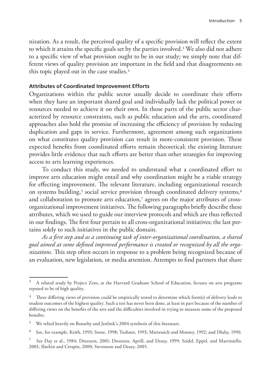nization. As a result, the perceived quality of a specific provision will reflect the extent to which it attains the specific goals set by the parties involved.3 We also did not adhere to a specific view of what provision ought to be in our study; we simply note that different views of quality provision are important in the field and that disagreements on this topic played out in the case studies.<sup>4</sup>

#### **Attributes of Coordinated Improvement Efforts**

Organizations within the public sector usually decide to coordinate their efforts when they have an important shared goal and individually lack the political power or resources needed to achieve it on their own. In those parts of the public sector characterized by resource constraints, such as public education and the arts, coordinated approaches also hold the promise of increasing the efficiency of provision by reducing duplication and gaps in service. Furthermore, agreement among such organizations on what constitutes quality provision can result in more-consistent provision. These expected benefits from coordinated efforts remain theoretical; the existing literature provides little evidence that such efforts are better than other strategies for improving access to arts learning experiences.

To conduct this study, we needed to understand what a coordinated effort to improve arts education might entail and why coordination might be a viable strategy for effecting improvement. The relevant literature, including organizational research on systems building,<sup>5</sup> social service provision through coordinated delivery systems,<sup>6</sup> and collaboration to promote arts education,<sup>7</sup> agrees on the major attributes of crossorganizational improvement initiatives. The following paragraphs briefly describe these attributes, which we used to guide our interview protocols and which are thus reflected in our findings. The first four pertain to all cross-organizational initiatives; the last pertains solely to such initiatives in the public domain.

*As a first step and as a continuing task of inter-organizational coordination, a shared goal aimed at some defined improved performance is created or recognized by all the organizations.* This step often occurs in response to a problem being recognized because of an evaluation, new legislation, or media attention. Attempts to find partners that share

<sup>3</sup> A related study by Project Zero, at the Harvard Graduate School of Education, focuses on arts programs reputed to be of high quality.

 $4$  These differing views of provision could be empirically tested to determine which form(s) of delivery leads to student outcomes of the highest quality. Such a test has never been done, at least in part because of the number of differing views on the benefits of the arts and the difficulties involved in trying to measure some of the proposed benefits.

<sup>5</sup> We relied heavily on Banathy and Jenlink's 2004 synthesis of this literature.

<sup>6</sup> See, for example, Keith, 1993; Stone, 1998; Tushnet, 1993; Mattessich and Monsey, 1992; and Dluhy, 1990.

<sup>7</sup> See Day et al., 1984; Dreeszen, 2001; Dreeszen, Aprill, and Deasy, 1999; Seidel, Eppel, and Martiniello, 2001; Slavkin and Crespin, 2000; Stevenson and Deasy, 2005.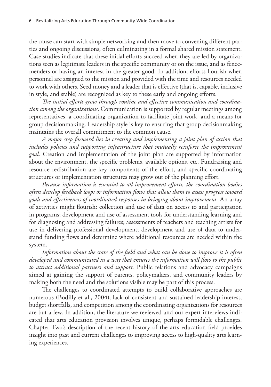the cause can start with simple networking and then move to convening different parties and ongoing discussions, often culminating in a formal shared mission statement. Case studies indicate that these initial efforts succeed when they are led by organizations seen as legitimate leaders in the specific community or on the issue, and as fencemenders or having an interest in the greater good. In addition, efforts flourish when personnel are assigned to the mission and provided with the time and resources needed to work with others. Seed money and a leader that is effective (that is, capable, inclusive in style, and stable) are recognized as key to these early and ongoing efforts.

*The initial efforts grow through routine and effective communication and coordination among the organizations*. Communication is supported by regular meetings among representatives, a coordinating organization to facilitate joint work, and a means for group decisionmaking. Leadership style is key to ensuring that group decisionmaking maintains the overall commitment to the common cause.

*A major step forward lies in creating and implementing a joint plan of action that includes policies and supporting infrastructure that mutually reinforce the improvement goal*. Creation and implementation of the joint plan are supported by information about the environment, the specific problems, available options, etc. Fundraising and resource redistribution are key components of the effort, and specific coordinating structures or implementation structures may grow out of the planning effort.

*Because information is essential to all improvement efforts, the coordination bodies often develop feedback loops or information flows that allow them to assess progress toward goals and effectiveness of coordinated responses in bringing about improvement.* An array of activities might flourish: collection and use of data on access to and participation in programs; development and use of assessment tools for understanding learning and for diagnosing and addressing failures; assessments of teachers and teaching artists for use in delivering professional development; development and use of data to understand funding flows and determine where additional resources are needed within the system.

*Information about the state of the field and what can be done to improve it is often developed and communicated in a way that ensures the information will flow to the public to attract additional partners and support.* Public relations and advocacy campaigns aimed at gaining the support of parents, policymakers, and community leaders by making both the need and the solutions visible may be part of this process.

The challenges to coordinated attempts to build collaborative approaches are numerous (Bodilly et al., 2004); lack of consistent and sustained leadership interest, budget shortfalls, and competition among the coordinating organizations for resources are but a few. In addition, the literature we reviewed and our expert interviews indicated that arts education provision involves unique, perhaps formidable challenges. Chapter Two's description of the recent history of the arts education field provides insight into past and current challenges to improving access to high-quality arts learning experiences.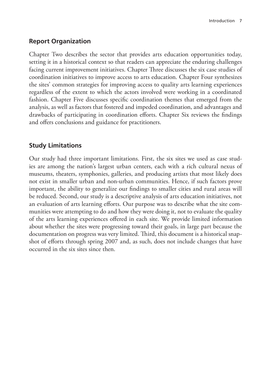# **Report Organization**

Chapter Two describes the sector that provides arts education opportunities today, setting it in a historical context so that readers can appreciate the enduring challenges facing current improvement initiatives. Chapter Three discusses the six case studies of coordination initiatives to improve access to arts education. Chapter Four synthesizes the sites' common strategies for improving access to quality arts learning experiences regardless of the extent to which the actors involved were working in a coordinated fashion. Chapter Five discusses specific coordination themes that emerged from the analysis, as well as factors that fostered and impeded coordination, and advantages and drawbacks of participating in coordination efforts. Chapter Six reviews the findings and offers conclusions and guidance for practitioners.

# **Study Limitations**

Our study had three important limitations. First, the six sites we used as case studies are among the nation's largest urban centers, each with a rich cultural nexus of museums, theaters, symphonies, galleries, and producing artists that most likely does not exist in smaller urban and non-urban communities. Hence, if such factors prove important, the ability to generalize our findings to smaller cities and rural areas will be reduced. Second, our study is a descriptive analysis of arts education initiatives, not an evaluation of arts learning efforts. Our purpose was to describe what the site communities were attempting to do and how they were doing it, not to evaluate the quality of the arts learning experiences offered in each site. We provide limited information about whether the sites were progressing toward their goals, in large part because the documentation on progress was very limited. Third, this document is a historical snapshot of efforts through spring 2007 and, as such, does not include changes that have occurred in the six sites since then.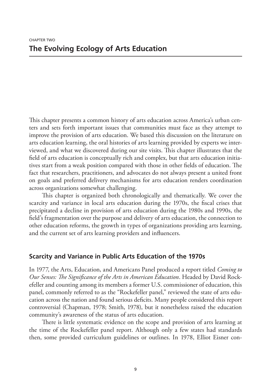This chapter presents a common history of arts education across America's urban centers and sets forth important issues that communities must face as they attempt to improve the provision of arts education. We based this discussion on the literature on arts education learning, the oral histories of arts learning provided by experts we interviewed, and what we discovered during our site visits. This chapter illustrates that the field of arts education is conceptually rich and complex, but that arts education initiatives start from a weak position compared with those in other fields of education. The fact that researchers, practitioners, and advocates do not always present a united front on goals and preferred delivery mechanisms for arts education renders coordination across organizations somewhat challenging.

This chapter is organized both chronologically and thematically. We cover the scarcity and variance in local arts education during the 1970s, the fiscal crises that precipitated a decline in provision of arts education during the 1980s and 1990s, the field's fragmentation over the purpose and delivery of arts education, the connection to other education reforms, the growth in types of organizations providing arts learning, and the current set of arts learning providers and influencers.

## **Scarcity and Variance in Public Arts Education of the 1970s**

In 1977, the Arts, Education, and Americans Panel produced a report titled *Coming to Our Senses: The Significance of the Arts in American Education*. Headed by David Rockefeller and counting among its members a former U.S. commissioner of education, this panel, commonly referred to as the "Rockefeller panel," reviewed the state of arts education across the nation and found serious deficits. Many people considered this report controversial (Chapman, 1978; Smith, 1978), but it nonetheless raised the education community's awareness of the status of arts education.

There is little systematic evidence on the scope and provision of arts learning at the time of the Rockefeller panel report. Although only a few states had standards then, some provided curriculum guidelines or outlines. In 1978, Elliot Eisner con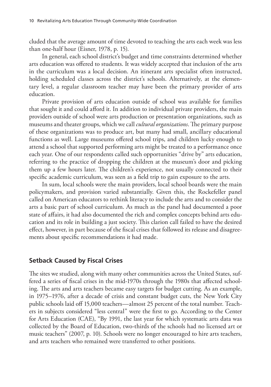cluded that the average amount of time devoted to teaching the arts each week was less than one-half hour (Eisner, 1978, p. 15).

In general, each school district's budget and time constraints determined whether arts education was offered to students. It was widely accepted that inclusion of the arts in the curriculum was a local decision. An itinerant arts specialist often instructed, holding scheduled classes across the district's schools. Alternatively, at the elementary level, a regular classroom teacher may have been the primary provider of arts education.

Private provision of arts education outside of school was available for families that sought it and could afford it. In addition to individual private providers, the main providers outside of school were arts production or presentation organizations, such as museums and theater groups, which we call *cultural organizations*. The primary purpose of these organizations was to produce art, but many had small, ancillary educational functions as well. Large museums offered school trips, and children lucky enough to attend a school that supported performing arts might be treated to a performance once each year. One of our respondents called such opportunities "drive by" arts education, referring to the practice of dropping the children at the museum's door and picking them up a few hours later. The children's experience, not usually connected to their specific academic curriculum, was seen as a field trip to gain exposure to the arts.

In sum, local schools were the main providers, local school boards were the main policymakers, and provision varied substantially. Given this, the Rockefeller panel called on American educators to rethink literacy to include the arts and to consider the arts a basic part of school curriculum. As much as the panel had documented a poor state of affairs, it had also documented the rich and complex concepts behind arts education and its role in building a just society. This clarion call failed to have the desired effect, however, in part because of the fiscal crises that followed its release and disagreements about specific recommendations it had made.

## **Setback Caused by Fiscal Crises**

The sites we studied, along with many other communities across the United States, suffered a series of fiscal crises in the mid-1970s through the 1980s that affected schooling. The arts and arts teachers became easy targets for budget cutting. As an example, in 1975–1976, after a decade of crisis and constant budget cuts, the New York City public schools laid off 15,000 teachers—almost 25 percent of the total number. Teachers in subjects considered "less central" were the first to go. According to the Center for Arts Education (CAE), "By 1991, the last year for which systematic arts data was collected by the Board of Education, two-thirds of the schools had no licensed art or music teachers" (2007, p. 10). Schools were no longer encouraged to hire arts teachers, and arts teachers who remained were transferred to other positions.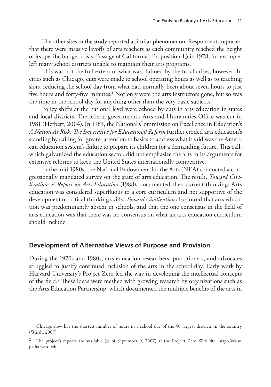The other sites in the study reported a similar phenomenon. Respondents reported that there were massive layoffs of arts teachers as each community reached the height of its specific budget crisis. Passage of California's Proposition 13 in 1978, for example, left many school districts unable to maintain their arts programs.

This was not the full extent of what was claimed by the fiscal crises, however. In cities such as Chicago, cuts were made to school operating hours as well as to teaching slots, reducing the school day from what had normally been about seven hours to just five hours and forty-five minutes.1 Not only were the arts instructors gone, but so was the time in the school day for anything other than the very basic subjects.

Policy shifts at the national level were echoed by cuts in arts education in states and local districts. The federal government's Arts and Humanities Office was cut in 1981 (Herbert, 2004). In 1983, the National Commission on Excellence in Education's *A Nation At Risk: The Imperative for Educational Reform* further eroded arts education's standing by calling for greater attention to basics to address what it said was the American education system's failure to prepare its children for a demanding future. This call, which galvanized the education sector, did not emphasize the arts in its arguments for extensive reforms to keep the United States internationally competitive.

In the mid-1980s, the National Endowment for the Arts (NEA) conducted a congressionally mandated survey on the state of arts education. The result, *Toward Civilization: A Report on Arts Education* (1988), documented then current thinking: Arts education was considered superfluous to a core curriculum and not supportive of the development of critical thinking skills. *Toward Civilization* also found that arts education was predominantly absent in schools, and that the one consensus in the field of arts education was that there was no consensus on what an arts education curriculum should include.

## **Development of Alternative Views of Purpose and Provision**

During the 1970s and 1980s, arts education researchers, practitioners, and advocates struggled to justify continued inclusion of the arts in the school day. Early work by Harvard University's Project Zero led the way in developing the intellectual concepts of the field.2 These ideas were meshed with growing research by organizations such as the Arts Education Partnership, which documented the multiple benefits of the arts in

Chicago now has the shortest number of hours in a school day of the 50 largest districts in the country (Walsh, 2007).

<sup>2</sup> The project's reports are available (as of September 9, 2007) at the Project Zero Web site: http://www. pz.harvard.edu.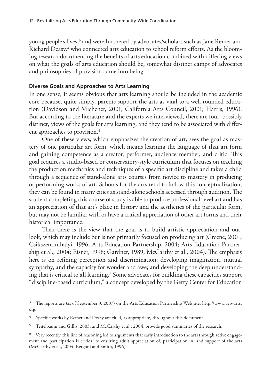young people's lives,<sup>3</sup> and were furthered by advocates/scholars such as Jane Remer and Richard Deasy,<sup>4</sup> who connected arts education to school reform efforts. As the blooming research documenting the benefits of arts education combined with differing views on what the goals of arts education should be, somewhat distinct camps of advocates and philosophies of provision came into being.

#### **Diverse Goals and Approaches to Arts Learning**

In one sense, it seems obvious that arts learning should be included in the academic core because, quite simply, parents support the arts as vital to a well-rounded education (Davidson and Michener, 2001; California Arts Council, 2001; Harris, 1996). But according to the literature and the experts we interviewed, there are four, possibly distinct, views of the goals for arts learning, and they tend to be associated with different approaches to provision.<sup>5</sup>

One of these views, which emphasizes the creation of art, sees the goal as mastery of one particular art form, which means learning the language of that art form and gaining competence as a creator, performer, audience member, and critic. This goal requires a studio-based or conservatory-style curriculum that focuses on teaching the production mechanics and techniques of a specific art discipline and takes a child through a sequence of stand-alone arts courses from novice to mastery in producing or performing works of art. Schools for the arts tend to follow this conceptualization; they can be found in many cities as stand-alone schools accessed through audition. The student completing this course of study is able to produce professional-level art and has an appreciation of that art's place in history and the aesthetics of the particular form, but may not be familiar with or have a critical appreciation of other art forms and their historical importance.

Then there is the view that the goal is to build artistic appreciation and outlook, which may include but is not primarily focused on producing art (Greene, 2001; Csikszentmihalyi, 1996; Arts Education Partnership, 2004; Arts Education Partnership et al., 2004; Eisner, 1998; Gardner, 1989; McCarthy et al., 2004). The emphasis here is on refining perception and discrimination; developing imagination, mutual sympathy, and the capacity for wonder and awe; and developing the deep understanding that is critical to all learning.<sup>6</sup> Some advocates for building these capacities support "discipline-based curriculum," a concept developed by the Getty Center for Education

<sup>3</sup> The reports are (as of September 9, 2007) on the Arts Education Partnership Web site: http://www.aep-arts. org.

Specific works by Remer and Deasy are cited, as appropriate, throughout this document.

<sup>5</sup> Teitelbaum and Gillis, 2003, and McCarthy et al., 2004, provide good summaries of the research.

 $^6$  Very recently, this line of reasoning led to arguments that early introduction to the arts through active engagement and participation is critical to ensuring adult appreciation of, participation in, and support of the arts (McCarthy et al., 2004; Bergoni and Smith, 1996).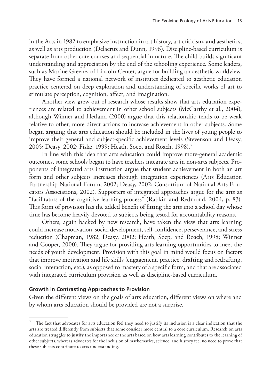in the Arts in 1982 to emphasize instruction in art history, art criticism, and aesthetics, as well as arts production (Delacruz and Dunn, 1996). Discipline-based curriculum is separate from other core courses and sequential in nature. The child builds significant understanding and appreciation by the end of the schooling experience. Some leaders, such as Maxine Greene, of Lincoln Center, argue for building an aesthetic worldview. They have formed a national network of institutes dedicated to aesthetic education practice centered on deep exploration and understanding of specific works of art to stimulate perception, cognition, affect, and imagination.

Another view grew out of research whose results show that arts education experiences are related to achievement in other school subjects (McCarthy et al., 2004), although Winner and Hetland (2000) argue that this relationship tends to be weak relative to other, more direct actions to increase achievement in other subjects. Some began arguing that arts education should be included in the lives of young people to improve their general and subject-specific achievement levels (Stevenson and Deasy, 2005; Deasy, 2002; Fiske, 1999; Heath, Soep, and Roach, 1998).7

In line with this idea that arts education could improve more-general academic outcomes, some schools began to have teachers integrate arts in non-arts subjects. Proponents of integrated arts instruction argue that student achievement in both an art form and other subjects increases through integration experiences (Arts Education Partnership National Forum, 2002; Deasy, 2002; Consortium of National Arts Educators Associations, 2002). Supporters of integrated approaches argue for the arts as "facilitators of the cognitive learning process" (Rabkin and Redmond, 2004, p. 83). This form of provision has the added benefit of fitting the arts into a school day whose time has become heavily devoted to subjects being tested for accountability reasons.

Others, again backed by new research, have taken the view that arts learning could increase motivation, social development, self-confidence, perseverance, and stress reduction (Chapman, 1982; Deasy, 2002; Heath, Soep, and Roach, 1998; Winner and Cooper, 2000). They argue for providing arts learning opportunities to meet the needs of youth development. Provision with this goal in mind would focus on factors that improve motivation and life skills (engagement, practice, drafting and redrafting, social interaction, etc.), as opposed to mastery of a specific form, and that are associated with integrated curriculum provision as well as discipline-based curriculum.

#### **Growth in Contrasting Approaches to Provision**

Given the different views on the goals of arts education, different views on where and by whom arts education should be provided are not a surprise.

<sup>7</sup> The fact that advocates for arts education feel they need to justify its inclusion is a clear indication that the arts are treated differently from subjects that some consider more central to a core curriculum. Research on arts education struggles to justify the importance of the arts based on how arts learning contributes to the learning of other subjects, whereas advocates for the inclusion of mathematics, science, and history feel no need to prove that these subjects contribute to arts understanding.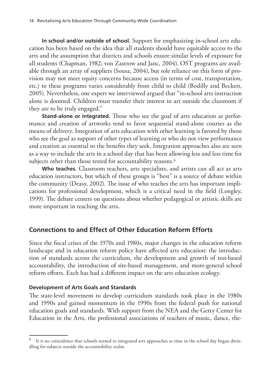**In school and/or outside of school.** Support for emphasizing in-school arts education has been based on the idea that all students should have equitable access to the arts and the assumption that districts and schools ensure similar levels of exposure for all students (Chapman, 1982; von Zastrow and Janc, 2004). OST programs are available through an array of suppliers (Sousa, 2004), but sole reliance on this form of provision may not meet equity concerns because access (in terms of cost, transportation, etc.) to these programs varies considerably from child to child (Bodilly and Beckett, 2005). Nevertheless, one expert we interviewed argued that "in-school arts instruction alone is doomed. Children must transfer their interest in art outside the classroom if they are to be truly engaged."

**Stand-alone or integrated.** Those who see the goal of arts education as performance and creation of artworks tend to favor sequential stand-alone courses as the means of delivery. Integration of arts education with other learning is favored by those who see the goal as support of other types of learning or who do not view performance and creation as essential to the benefits they seek. Integration approaches also are seen as a way to include the arts in a school day that has been allowing less and less time for subjects other than those tested for accountability reasons.<sup>8</sup>

**Who teaches.** Classroom teachers, arts specialists, and artists can all act as arts education instructors, but which of these groups is "best" is a source of debate within the community (Deasy, 2002). The issue of who teaches the arts has important implications for professional development, which is a critical need in the field (Longley, 1999). The debate centers on questions about whether pedagogical or artistic skills are more important in teaching the arts.

## **Connections to and Effect of Other Education Reform Efforts**

Since the fiscal crises of the 1970s and 1980s, major changes in the education reform landscape and in education reform policy have affected arts education: the introduction of standards across the curriculum, the development and growth of test-based accountability, the introduction of site-based management, and more-general school reform efforts. Each has had a different impact on the arts education ecology.

#### **Development of Arts Goals and Standards**

The state-level movement to develop curriculum standards took place in the 1980s and 1990s and gained momentum in the 1990s from the federal push for national education goals and standards. With support from the NEA and the Getty Center for Education in the Arts, the professional associations of teachers of music, dance, the-

It is no coincidence that schools turned to integrated arts approaches as time in the school day began dwindling for subjects outside the accountability realm.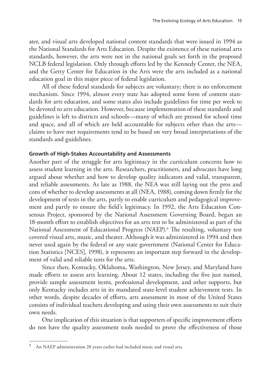ater, and visual arts developed national content standards that were issued in 1994 as the National Standards for Arts Education. Despite the existence of these national arts standards, however, the arts were not in the national goals set forth in the proposed NCLB federal legislation. Only through efforts led by the Kennedy Center, the NEA, and the Getty Center for Education in the Arts were the arts included as a national education goal in this major piece of federal legislation.

All of these federal standards for subjects are voluntary; there is no enforcement mechanism. Since 1994, almost every state has adopted some form of content standards for arts education, and some states also include guidelines for time per week to be devoted to arts education. However, because implementation of these standards and guidelines is left to districts and schools—many of which are pressed for school time and space, and all of which are held accountable for subjects other than the arts claims to have met requirements tend to be based on very broad interpretations of the standards and guidelines.

#### **Growth of High-Stakes Accountability and Assessments**

Another part of the struggle for arts legitimacy in the curriculum concerns how to assess student learning in the arts. Researchers, practitioners, and advocates have long argued about whether and how to develop quality indicators and valid, transparent, and reliable assessments. As late as 1988, the NEA was still laying out the pros and cons of whether to develop assessments at all (NEA, 1988), coming down firmly for the development of tests in the arts, partly to enable curriculum and pedagogical improvement and partly to ensure the field's legitimacy. In 1992, the Arts Education Consensus Project, sponsored by the National Assessment Governing Board, began an 18-month effort to establish objectives for an arts test to be administered as part of the National Assessment of Educational Progress (NAEP).9 The resulting, voluntary test covered visual arts, music, and theater. Although it was administered in 1994 and then never used again by the federal or any state government (National Center for Education Statistics [NCES], 1998), it represents an important step forward in the development of valid and reliable tests for the arts.

Since then, Kentucky, Oklahoma, Washington, New Jersey, and Maryland have made efforts to assess arts learning. About 12 states, including the five just named, provide sample assessment items, professional development, and other supports, but only Kentucky includes arts in its mandated state-level student achievement tests. In other words, despite decades of efforts, arts assessment in most of the United States consists of individual teachers developing and using their own assessments to suit their own needs.

One implication of this situation is that supporters of specific improvement efforts do not have the quality assessment tools needed to prove the effectiveness of those

<sup>9</sup> An NAEP administration 20 years earlier had included music and visual arts.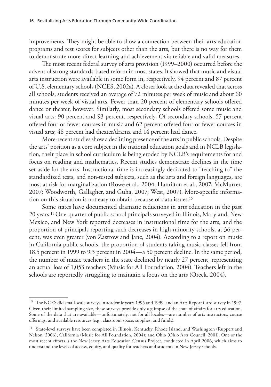improvements. They might be able to show a connection between their arts education programs and test scores for subjects other than the arts, but there is no way for them to demonstrate more-direct learning and achievement via reliable and valid measures.

The most recent federal survey of arts provision (1999–2000) occurred before the advent of strong standards-based reform in most states. It showed that music and visual arts instruction were available in some form in, respectively, 94 percent and 87 percent of U.S. elementary schools (NCES, 2002a). A closer look at the data revealed that across all schools, students received an average of 72 minutes per week of music and about 60 minutes per week of visual arts. Fewer than 20 percent of elementary schools offered dance or theater, however. Similarly, most secondary schools offered some music and visual arts: 90 percent and 93 percent, respectively. Of secondary schools, 57 percent offered four or fewer courses in music and 62 percent offered four or fewer courses in visual arts; 48 percent had theater/drama and 14 percent had dance.

More-recent studies show a declining presence of the arts in public schools. Despite the arts' position as a core subject in the national education goals and in NCLB legislation, their place in school curriculum is being eroded by NCLB's requirements for and focus on reading and mathematics. Recent studies demonstrate declines in the time set aside for the arts. Instructional time is increasingly dedicated to "teaching to" the standardized tests, and non-tested subjects, such as the arts and foreign languages, are most at risk for marginalization (Rowe et al., 2004; Hamilton et al., 2007; McMurrer, 2007; Woodworth, Gallagher, and Guha, 2007; West, 2007). More-specific information on this situation is not easy to obtain because of data issues.10

Some states have documented dramatic reductions in arts education in the past 20 years.11 One-quarter of public school principals surveyed in Illinois, Maryland, New Mexico, and New York reported decreases in instructional time for the arts, and the proportion of principals reporting such decreases in high-minority schools, at 36 percent, was even greater (von Zastrow and Janc, 2004). According to a report on music in California public schools, the proportion of students taking music classes fell from 18.5 percent in 1999 to 9.3 percent in 2004—a 50 percent decline. In the same period, the number of music teachers in the state declined by nearly 27 percent, representing an actual loss of 1,053 teachers (Music for All Foundation, 2004). Teachers left in the schools are reportedly struggling to maintain a focus on the arts (Oreck, 2004).

<sup>10</sup> The NCES did small-scale surveys in academic years 1995 and 1999, and an Arts Report Card survey in 1997. Given their limited sampling size, these surveys provide only a glimpse of the state of affairs for arts education. Some of the data that are available—unfortunately, not for all locales—are number of arts instructors, course offerings, and available resources (e.g., classroom space, supplies, and funds).

<sup>&</sup>lt;sup>11</sup> State-level surveys have been completed in Illinois, Kentucky, Rhode Island, and Washington (Ruppert and Nelson, 2006); California (Music for All Foundation, 2004); and Ohio (Ohio Arts Council, 2001). One of the most recent efforts is the New Jersey Arts Education Census Project, conducted in April 2006, which aims to understand the levels of access, equity, and quality for teachers and students in New Jersey schools.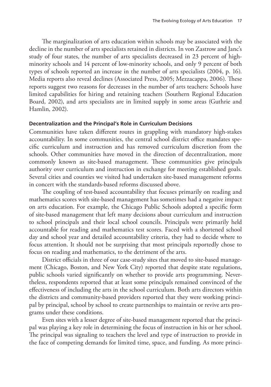The marginalization of arts education within schools may be associated with the decline in the number of arts specialists retained in districts. In von Zastrow and Janc's study of four states, the number of arts specialists decreased in 23 percent of highminority schools and 14 percent of low-minority schools, and only 9 percent of both types of schools reported an increase in the number of arts specialists (2004, p. 16). Media reports also reveal declines (Associated Press, 2005; Mezzacappa, 2006). These reports suggest two reasons for decreases in the number of arts teachers: Schools have limited capabilities for hiring and retaining teachers (Southern Regional Education Board, 2002), and arts specialists are in limited supply in some areas (Guthrie and Hamlin, 2002).

## **Decentralization and the Principal's Role in Curriculum Decisions**

Communities have taken different routes in grappling with mandatory high-stakes accountability. In some communities, the central school district office mandates specific curriculum and instruction and has removed curriculum discretion from the schools. Other communities have moved in the direction of decentralization, more commonly known as site-based management. These communities give principals authority over curriculum and instruction in exchange for meeting established goals. Several cities and counties we visited had undertaken site-based management reforms in concert with the standards-based reforms discussed above.

The coupling of test-based accountability that focuses primarily on reading and mathematics scores with site-based management has sometimes had a negative impact on arts education. For example, the Chicago Public Schools adopted a specific form of site-based management that left many decisions about curriculum and instruction to school principals and their local school councils. Principals were primarily held accountable for reading and mathematics test scores. Faced with a shortened school day and school year and detailed accountability criteria, they had to decide where to focus attention. It should not be surprising that most principals reportedly chose to focus on reading and mathematics, to the detriment of the arts.

District officials in three of our case-study sites that moved to site-based management (Chicago, Boston, and New York City) reported that despite state regulations, public schools varied significantly on whether to provide arts programming. Nevertheless, respondents reported that at least some principals remained convinced of the effectiveness of including the arts in the school curriculum. Both arts directors within the districts and community-based providers reported that they were working principal by principal, school by school to create partnerships to maintain or revive arts programs under these conditions.

Even sites with a lesser degree of site-based management reported that the principal was playing a key role in determining the focus of instruction in his or her school. The principal was signaling to teachers the level and type of instruction to provide in the face of competing demands for limited time, space, and funding. As more princi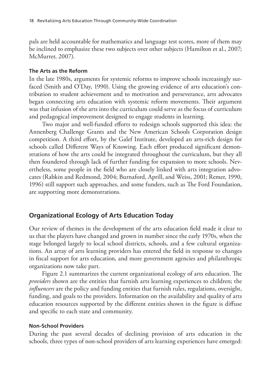pals are held accountable for mathematics and language test scores, more of them may be inclined to emphasize these two subjects over other subjects (Hamilton et al., 2007; McMurrer, 2007).

# **The Arts as the Reform**

In the late 1980s, arguments for systemic reforms to improve schools increasingly surfaced (Smith and O'Day, 1990). Using the growing evidence of arts education's contribution to student achievement and to motivation and perseverance, arts advocates began connecting arts education with systemic reform movements. Their argument was that infusion of the arts into the curriculum could serve as the focus of curriculum and pedagogical improvement designed to engage students in learning.

Two major and well-funded efforts to redesign schools supported this idea: the Annenberg Challenge Grants and the New American Schools Corporation design competition. A third effort, by the Galef Institute, developed an arts-rich design for schools called Different Ways of Knowing. Each effort produced significant demonstrations of how the arts could be integrated throughout the curriculum, but they all then foundered through lack of further funding for expansion to more schools. Nevertheless, some people in the field who are closely linked with arts integration advocates (Rabkin and Redmond, 2004; Burnaford, Aprill, and Weiss, 2001; Remer, 1990, 1996) still support such approaches, and some funders, such as The Ford Foundation, are supporting more demonstrations.

# **Organizational Ecology of Arts Education Today**

Our review of themes in the development of the arts education field made it clear to us that the players have changed and grown in number since the early 1970s, when the stage belonged largely to local school districts, schools, and a few cultural organizations. An array of arts learning providers has entered the field in response to changes in fiscal support for arts education, and more government agencies and philanthropic organizations now take part.

Figure 2.1 summarizes the current organizational ecology of arts education. The *providers* shown are the entities that furnish arts learning experiences to children; the *influencers* are the policy and funding entities that furnish rules, regulations, oversight, funding, and goals to the providers. Information on the availability and quality of arts education resources supported by the different entities shown in the figure is diffuse and specific to each state and community.

# **Non-School Providers**

During the past several decades of declining provision of arts education in the schools, three types of non-school providers of arts learning experiences have emerged: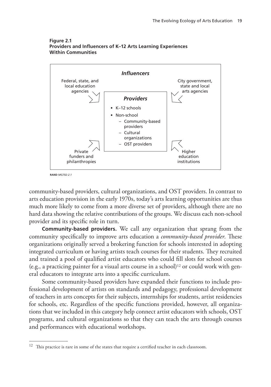

#### **Figure 2.1 Providers and Influencers of K–12 Arts Learning Experiences Within Communities**

**RAND** *MG702-2.1*

community-based providers, cultural organizations, and OST providers. In contrast to arts education provision in the early 1970s, today's arts learning opportunities are thus much more likely to come from a more diverse set of providers, although there are no hard data showing the relative contributions of the groups. We discuss each non-school provider and its specific role in turn.

**Community-based providers.** We call any organization that sprang from the community specifically to improve arts education a *community-based provider*. These organizations originally served a brokering function for schools interested in adopting integrated curriculum or having artists teach courses for their students. They recruited and trained a pool of qualified artist educators who could fill slots for school courses (e.g., a practicing painter for a visual arts course in a school)<sup>12</sup> or could work with general educators to integrate arts into a specific curriculum.

Some community-based providers have expanded their functions to include professional development of artists on standards and pedagogy, professional development of teachers in arts concepts for their subjects, internships for students, artist residencies for schools, etc. Regardless of the specific functions provided, however, all organizations that we included in this category help connect artist educators with schools, OST programs, and cultural organizations so that they can teach the arts through courses and performances with educational workshops.

<sup>&</sup>lt;sup>12</sup> This practice is rare in some of the states that require a certified teacher in each classroom.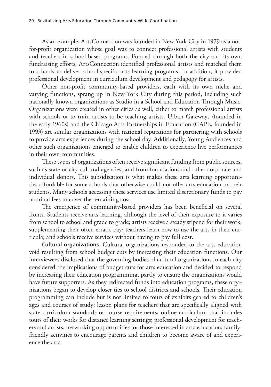As an example, ArtsConnection was founded in New York City in 1979 as a notfor-profit organization whose goal was to connect professional artists with students and teachers in school-based programs. Funded through both the city and its own fundraising efforts, ArtsConnection identified professional artists and matched them to schools to deliver school-specific arts learning programs. In addition, it provided professional development in curriculum development and pedagogy for artists.

Other non-profit community-based providers, each with its own niche and varying functions, sprang up in New York City during this period, including such nationally known organizations as Studio in a School and Education Through Music. Organizations were created in other cities as well, either to match professional artists with schools or to train artists to be teaching artists. Urban Gateways (founded in the early 1960s) and the Chicago Arts Partnerships in Education (CAPE, founded in 1993) are similar organizations with national reputations for partnering with schools to provide arts experiences during the school day. Additionally, Young Audiences and other such organizations emerged to enable children to experience live performances in their own communities.

These types of organizations often receive significant funding from public sources, such as state or city cultural agencies, and from foundations and other corporate and individual donors. This subsidization is what makes these arts learning opportunities affordable for some schools that otherwise could not offer arts education to their students. Many schools accessing these services use limited discretionary funds to pay nominal fees to cover the remaining cost.

The emergence of community-based providers has been beneficial on several fronts. Students receive arts learning, although the level of their exposure to it varies from school to school and grade to grade; artists receive a steady stipend for their work, supplementing their often erratic pay; teachers learn how to use the arts in their curricula; and schools receive services without having to pay full cost.

**Cultural organizations.** Cultural organizations responded to the arts education void resulting from school budget cuts by increasing their education functions. Our interviewees disclosed that the governing bodies of cultural organizations in each city considered the implications of budget cuts for arts education and decided to respond by increasing their education programming, partly to ensure the organizations would have future supporters. As they redirected funds into education programs, these organizations began to develop closer ties to school districts and schools. Their education programming can include but is not limited to tours of exhibits geared to children's ages and courses of study; lesson plans for teachers that are specifically aligned with state curriculum standards or course requirements; online curriculum that includes tours of their works for distance learning settings; professional development for teachers and artists; networking opportunities for those interested in arts education; familyfriendly activities to encourage parents and children to become aware of and experience the arts.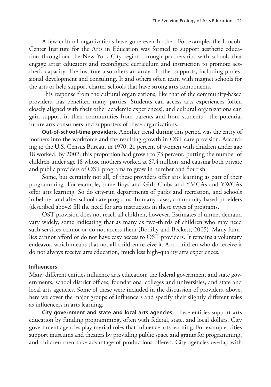A few cultural organizations have gone even further. For example, the Lincoln Center Institute for the Arts in Education was formed to support aesthetic education throughout the New York City region through partnerships with schools that engage artist educators and reconfigure curriculum and instruction to promote aesthetic capacity. The institute also offers an array of other supports, including professional development and consulting. It and others often team with magnet schools for the arts or help support charter schools that have strong arts components.

This response from the cultural organizations, like that of the community-based providers, has benefited many parties. Students can access arts experiences (often closely aligned with their other academic experiences), and cultural organizations can gain support in their communities from parents and from students—the potential future arts consumers and supporters of these organizations.

**Out-of-school-time providers.** Another trend during this period was the entry of mothers into the workforce and the resulting growth in OST care provision. According to the U.S. Census Bureau, in 1970, 21 percent of women with children under age 18 worked. By 2002, this proportion had grown to 73 percent, putting the number of children under age 18 whose mothers worked at 67.4 million, and causing both private and public providers of OST programs to grow in number and flourish.

Some, but certainly not all, of these providers offer arts learning as part of their programming. For example, some Boys and Girls Clubs and YMCAs and YWCAs offer arts learning. So do city-run departments of parks and recreation, and schools in before- and after-school care programs. In many cases, community-based providers (described above) fill the need for arts instructors in these types of programs.

OST provision does not reach all children, however. Estimates of unmet demand vary widely, some indicating that as many as two-thirds of children who may need such services cannot or do not access them (Bodilly and Beckett, 2005). Many families cannot afford or do not have easy access to OST providers. It remains a voluntary endeavor, which means that not all children receive it. And children who do receive it do not always receive arts education, much less high-quality arts experiences.

### **Influencers**

Many different entities influence arts education: the federal government and state governments, school district offices, foundations, colleges and universities, and state and local arts agencies. Some of these were included in the discussion of providers, above; here we cover the major groups of influencers and specify their slightly different roles as influencers in arts learning.

**City government and state and local arts agencies.** These entities support arts education by funding programming, often with federal, state, and local dollars. City government agencies play myriad roles that influence arts learning. For example, cities support museums and theaters by providing public space and grants for programming, and children then take advantage of productions offered. City agencies overlap with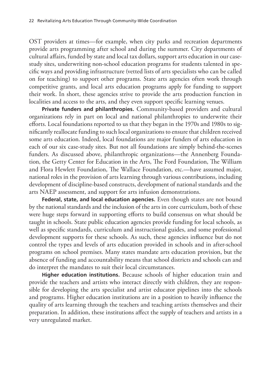OST providers at times—for example, when city parks and recreation departments provide arts programming after school and during the summer. City departments of cultural affairs, funded by state and local tax dollars, support arts education in our casestudy sites, underwriting non-school education programs for students talented in specific ways and providing infrastructure (vetted lists of arts specialists who can be called on for teaching) to support other programs. State arts agencies often work through competitive grants, and local arts education programs apply for funding to support their work. In short, these agencies strive to provide the arts production function in localities and access to the arts, and they even support specific learning venues.

**Private funders and philanthropies.** Community-based providers and cultural organizations rely in part on local and national philanthropies to underwrite their efforts. Local foundations reported to us that they began in the 1970s and 1980s to significantly reallocate funding to such local organizations to ensure that children received some arts education. Indeed, local foundations are major funders of arts education in each of our six case-study sites. But not all foundations are simply behind-the-scenes funders. As discussed above, philanthropic organizations—the Annenberg Foundation, the Getty Center for Education in the Arts, The Ford Foundation, The William and Flora Hewlett Foundation, The Wallace Foundation, etc.—have assumed major, national roles in the provision of arts learning through various contributions, including development of discipline-based constructs, development of national standards and the arts NAEP assessment, and support for arts infusion demonstrations.

**Federal, state, and local education agencies.** Even though states are not bound by the national standards and the inclusion of the arts in core curriculum, both of these were huge steps forward in supporting efforts to build consensus on what should be taught in schools. State public education agencies provide funding for local schools, as well as specific standards, curriculum and instructional guides, and some professional development supports for these schools. As such, these agencies influence but do not control the types and levels of arts education provided in schools and in after-school programs on school premises. Many states mandate arts education provision, but the absence of funding and accountability means that school districts and schools can and do interpret the mandates to suit their local circumstances.

**Higher education institutions.** Because schools of higher education train and provide the teachers and artists who interact directly with children, they are responsible for developing the arts specialist and artist educator pipelines into the schools and programs. Higher education institutions are in a position to heavily influence the quality of arts learning through the teachers and teaching artists themselves and their preparation. In addition, these institutions affect the supply of teachers and artists in a very unregulated market.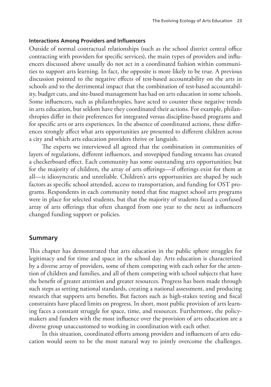### **Interactions Among Providers and Influencers**

Outside of normal contractual relationships (such as the school district central office contracting with providers for specific services), the main types of providers and influencers discussed above usually do not act in a coordinated fashion within communities to support arts learning. In fact, the opposite is more likely to be true. A previous discussion pointed to the negative effects of test-based accountability on the arts in schools and to the detrimental impact that the combination of test-based accountability, budget cuts, and site-based management has had on arts education in some schools. Some influencers, such as philanthropies, have acted to counter these negative trends in arts education, but seldom have they coordinated their actions. For example, philanthropies differ in their preferences for integrated versus discipline-based programs and for specific arts or arts experiences. In the absence of coordinated actions, these differences strongly affect what arts opportunities are presented to different children across a city and which arts education providers thrive or languish.

The experts we interviewed all agreed that the combination in communities of layers of regulations, different influences, and stovepiped funding streams has created a checkerboard effect. Each community has some outstanding arts opportunities; but for the majority of children, the array of arts offerings—if offerings exist for them at all—is idiosyncratic and unreliable. Children's arts opportunities are shaped by such factors as specific school attended, access to transportation, and funding for OST programs. Respondents in each community noted that fine magnet school arts programs were in place for selected students, but that the majority of students faced a confused array of arts offerings that often changed from one year to the next as influencers changed funding support or policies.

### **Summary**

This chapter has demonstrated that arts education in the public sphere struggles for legitimacy and for time and space in the school day. Arts education is characterized by a diverse array of providers, some of them competing with each other for the attention of children and families, and all of them competing with school subjects that have the benefit of greater attention and greater resources. Progress has been made through such steps as setting national standards, creating a national assessment, and producing research that supports arts benefits. But factors such as high-stakes testing and fiscal constraints have placed limits on progress. In short, most public provision of arts learning faces a constant struggle for space, time, and resources. Furthermore, the policymakers and funders with the most influence over the provision of arts education are a diverse group unaccustomed to working in coordination with each other.

In this situation, coordinated efforts among providers and influencers of arts education would seem to be the most natural way to jointly overcome the challenges.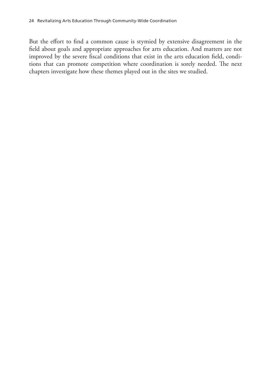But the effort to find a common cause is stymied by extensive disagreement in the field about goals and appropriate approaches for arts education. And matters are not improved by the severe fiscal conditions that exist in the arts education field, conditions that can promote competition where coordination is sorely needed. The next chapters investigate how these themes played out in the sites we studied.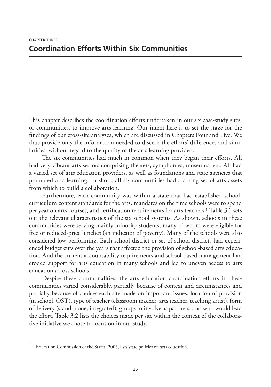This chapter describes the coordination efforts undertaken in our six case-study sites, or communities, to improve arts learning. Our intent here is to set the stage for the findings of our cross-site analyses, which are discussed in Chapters Four and Five. We thus provide only the information needed to discern the efforts' differences and similarities, without regard to the quality of the arts learning provided.

The six communities had much in common when they began their efforts. All had very vibrant arts sectors comprising theaters, symphonies, museums, etc. All had a varied set of arts education providers, as well as foundations and state agencies that promoted arts learning. In short, all six communities had a strong set of arts assets from which to build a collaboration.

Furthermore, each community was within a state that had established schoolcurriculum content standards for the arts, mandates on the time schools were to spend per year on arts courses, and certification requirements for arts teachers.1 Table 3.1 sets out the relevant characteristics of the six school systems. As shown, schools in these communities were serving mainly minority students, many of whom were eligible for free or reduced-price lunches (an indicator of poverty). Many of the schools were also considered low performing. Each school district or set of school districts had experienced budget cuts over the years that affected the provision of school-based arts education. And the current accountability requirements and school-based management had eroded support for arts education in many schools and led to uneven access to arts education across schools.

Despite these commonalities, the arts education coordination efforts in these communities varied considerably, partially because of context and circumstances and partially because of choices each site made on important issues: location of provision (in school, OST), type of teacher (classroom teacher, arts teacher, teaching artist), form of delivery (stand-alone, integrated), groups to involve as partners, and who would lead the effort. Table 3.2 lists the choices made per site within the context of the collaborative initiative we chose to focus on in our study.

Education Commission of the States, 2005, lists state policies on arts education.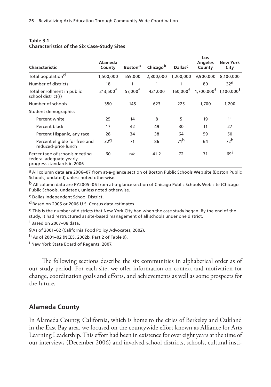| <b>Characteristic</b>                                                                  | Alameda<br>County    | <b>Boston<sup>a</sup></b> | Chicagob  | <b>Dallas<sup>C</sup></b> | Los<br><b>Angeles</b><br>County                                          | New York<br>City |
|----------------------------------------------------------------------------------------|----------------------|---------------------------|-----------|---------------------------|--------------------------------------------------------------------------|------------------|
| Total population <sup>d</sup>                                                          | 1,500,000            | 559,000                   | 2,800,000 | 1,200,000                 | 9,900,000                                                                | 8,100,000        |
| Number of districts                                                                    | 18                   | 1                         |           | 1                         | 80                                                                       | 32 <sup>e</sup>  |
| Total enrollment in public<br>school district(s)                                       | 213,500 <sup>f</sup> | $57,000^{\dagger}$        | 421,000   |                           | $160,000$ <sup>f</sup> $1,700,000$ <sup>f</sup> $1,100,000$ <sup>f</sup> |                  |
| Number of schools                                                                      | 350                  | 145                       | 623       | 225                       | 1,700                                                                    | 1,200            |
| Student demographics                                                                   |                      |                           |           |                           |                                                                          |                  |
| Percent white                                                                          | 25                   | 14                        | 8         | 5                         | 19                                                                       | 11               |
| Percent black                                                                          | 17                   | 42                        | 49        | 30                        | 11                                                                       | 27               |
| Percent Hispanic, any race                                                             | 28                   | 34                        | 38        | 64                        | 59                                                                       | 50               |
| Percent eligible for free and<br>reduced-price lunch                                   | 329                  | 71                        | 86        | 71 <sup>h</sup>           | 64                                                                       | 72 <sup>h</sup>  |
| Percentage of schools meeting<br>federal adequate yearly<br>progress standards in 2006 | 60                   | n/a                       | 41.2      | 72                        | 71                                                                       | 69 <sup>1</sup>  |

### **Table 3.1 Characteristics of the Six Case-Study Sites**

a All column data are 2006–07 from at-a-glance section of Boston Public Schools Web site (Boston Public Schools, undated) unless noted otherwise.

b All column data are FY2005–06 from at-a-glance section of Chicago Public Schools Web site (Chicago Public Schools, undated), unless noted otherwise.

c Dallas Independent School District.

d Based on 2005 or 2006 U.S. Census data estimates.

e This is the number of districts that New York City had when the case study began. By the end of the study, it had restructured as site-based management of all schools under one district.

f Based on 2007–08 data.

g As of 2001–02 (California Food Policy Advocates, 2002).

h As of 2001–02 (NCES, 2002b, Part 2 of Table 9).

<sup>i</sup> New York State Board of Regents, 2007.

The following sections describe the six communities in alphabetical order as of our study period. For each site, we offer information on context and motivation for change, coordination goals and efforts, and achievements as well as some prospects for the future.

# **Alameda County**

In Alameda County, California, which is home to the cities of Berkeley and Oakland in the East Bay area, we focused on the countywide effort known as Alliance for Arts Learning Leadership. This effort had been in existence for over eight years at the time of our interviews (December 2006) and involved school districts, schools, cultural insti-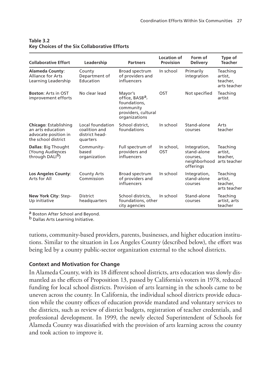| <b>Collaborative Effort</b>                                                               | Leadership                                                      | <b>Partners</b>                                                                                             | <b>Location of</b><br>Provision | Form of<br><b>Delivery</b>                                           | Type of<br><b>Teacher</b>                       |
|-------------------------------------------------------------------------------------------|-----------------------------------------------------------------|-------------------------------------------------------------------------------------------------------------|---------------------------------|----------------------------------------------------------------------|-------------------------------------------------|
| <b>Alameda County:</b><br><b>Alliance for Arts</b><br>Learning Leadership                 | County<br>Department of<br>Education                            | Broad spectrum<br>of providers and<br>influencers                                                           | In school                       | Primarily<br>integration                                             | Teaching<br>artist,<br>teacher.<br>arts teacher |
| <b>Boston: Arts in OST</b><br>improvement efforts                                         | No clear lead                                                   | Mayor's<br>office, BASB <sup>d</sup> ,<br>foundations.<br>community<br>providers, cultural<br>organizations | OST                             | Not specified                                                        | Teaching<br>artist                              |
| Chicago: Establishing<br>an arts education<br>advocate position in<br>the school district | Local foundation<br>coalition and<br>district head-<br>quarters | School district,<br>foundations                                                                             | In school                       | Stand-alone<br>courses                                               | Arts<br>teacher                                 |
| Dallas: Big Thought<br>(Young Audiences<br>through DALI <sup>D</sup> )                    | Community-<br>based<br>organization                             | Full spectrum of<br>providers and<br>influencers                                                            | In school.<br>OST               | Integration,<br>stand-alone<br>courses,<br>neighborhood<br>offerings | Teaching<br>artist.<br>teacher,<br>arts teacher |
| Los Angeles County:<br>Arts for All                                                       | <b>County Arts</b><br>Commission                                | Broad spectrum<br>of providers and<br>influencers                                                           | In school                       | Integration,<br>stand-alone<br>courses                               | Teaching<br>artist.<br>teacher.<br>arts teacher |
| New York City: Step-<br>Up initiative                                                     | <b>District</b><br>headquarters                                 | School districts,<br>foundations, other<br>city agencies                                                    | In school                       | Stand-alone<br>courses                                               | Teaching<br>artist, arts<br>teacher             |

#### **Table 3.2 Key Choices of the Six Collaborative Efforts**

a Boston After School and Beyond.

b Dallas Arts Learning Initiative.

tutions, community-based providers, parents, businesses, and higher education institutions. Similar to the situation in Los Angeles County (described below), the effort was being led by a county public-sector organization external to the school districts.

# **Context and Motivation for Change**

In Alameda County, with its 18 different school districts, arts education was slowly dismantled as the effects of Proposition 13, passed by California's voters in 1978, reduced funding for local school districts. Provision of arts learning in the schools came to be uneven across the county. In California, the individual school districts provide education while the county offices of education provide mandated and voluntary services to the districts, such as review of district budgets, registration of teacher credentials, and professional development. In 1999, the newly elected Superintendent of Schools for Alameda County was dissatisfied with the provision of arts learning across the county and took action to improve it.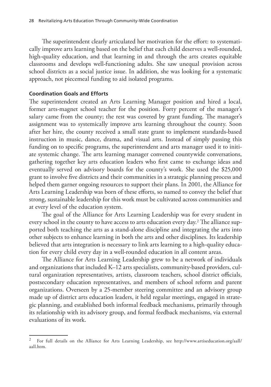The superintendent clearly articulated her motivation for the effort: to systematically improve arts learning based on the belief that each child deserves a well-rounded, high-quality education, and that learning in and through the arts creates equitable classrooms and develops well-functioning adults. She saw unequal provision across school districts as a social justice issue. In addition, she was looking for a systematic approach, not piecemeal funding to aid isolated programs.

# **Coordination Goals and Efforts**

The superintendent created an Arts Learning Manager position and hired a local, former arts-magnet school teacher for the position. Forty percent of the manager's salary came from the county; the rest was covered by grant funding. The manager's assignment was to systemically improve arts learning throughout the county. Soon after her hire, the county received a small state grant to implement standards-based instruction in music, dance, drama, and visual arts. Instead of simply passing this funding on to specific programs, the superintendent and arts manager used it to initiate systemic change. The arts learning manager convened countywide conversations, gathering together key arts education leaders who first came to exchange ideas and eventually served on advisory boards for the county's work. She used the \$25,000 grant to involve five districts and their communities in a strategic planning process and helped them garner ongoing resources to support their plans. In 2001, the Alliance for Arts Learning Leadership was born of these efforts, so named to convey the belief that strong, sustainable leadership for this work must be cultivated across communities and at every level of the education system.

The goal of the Alliance for Arts Learning Leadership was for every student in every school in the county to have access to arts education every day.2 The alliance supported both teaching the arts as a stand-alone discipline and integrating the arts into other subjects to enhance learning in both the arts and other disciplines. Its leadership believed that arts integration is necessary to link arts learning to a high-quality education for every child every day in a well-rounded education in all content areas.

The Alliance for Arts Learning Leadership grew to be a network of individuals and organizations that included K–12 arts specialists, community-based providers, cultural organization representatives, artists, classroom teachers, school district officials, postsecondary education representatives, and members of school reform and parent organizations. Overseen by a 25-member steering committee and an advisory group made up of district arts education leaders, it held regular meetings, engaged in strategic planning, and established both informal feedback mechanisms, primarily through its relationship with its advisory group, and formal feedback mechanisms, via external evaluations of its work.

<sup>&</sup>lt;sup>2</sup> For full details on the Alliance for Arts Learning Leadership, see http://www.artiseducation.org/aall/ aall.htm.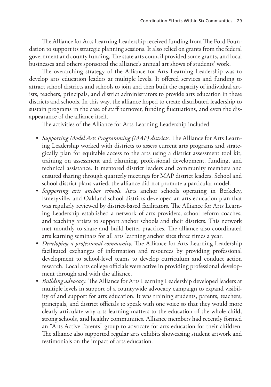The Alliance for Arts Learning Leadership received funding from The Ford Foundation to support its strategic planning sessions. It also relied on grants from the federal government and county funding. The state arts council provided some grants, and local businesses and others sponsored the alliance's annual art shows of students' work.

The overarching strategy of the Alliance for Arts Learning Leadership was to develop arts education leaders at multiple levels. It offered services and funding to attract school districts and schools to join and then built the capacity of individual artists, teachers, principals, and district administrators to provide arts education in these districts and schools. In this way, the alliance hoped to create distributed leadership to sustain programs in the case of staff turnover, funding fluctuations, and even the disappearance of the alliance itself.

The activities of the Alliance for Arts Learning Leadership included

- *• Supporting Model Arts Programming (MAP) districts.* The Alliance for Arts Learning Leadership worked with districts to assess current arts programs and strategically plan for equitable access to the arts using a district assessment tool kit, training on assessment and planning, professional development, funding, and technical assistance. It mentored district leaders and community members and ensured sharing through quarterly meetings for MAP district leaders. School and school district plans varied; the alliance did not promote a particular model.
- *• Supporting arts anchor schools.* Arts anchor schools operating in Berkeley, Emeryville, and Oakland school districts developed an arts education plan that was regularly reviewed by district-based facilitators. The Alliance for Arts Learning Leadership established a network of arts providers, school reform coaches, and teaching artists to support anchor schools and their districts. This network met monthly to share and build better practices. The alliance also coordinated arts learning seminars for all arts learning anchor sites three times a year.
- *• Developing a professional community.* The Alliance for Arts Learning Leadership facilitated exchanges of information and resources by providing professional development to school-level teams to develop curriculum and conduct action research. Local arts college officials were active in providing professional development through and with the alliance.
- *• Building advocacy.* The Alliance for Arts Learning Leadership developed leaders at multiple levels in support of a countywide advocacy campaign to expand visibility of and support for arts education. It was training students, parents, teachers, principals, and district officials to speak with one voice so that they would more clearly articulate why arts learning matters to the education of the whole child, strong schools, and healthy communities. Alliance members had recently formed an "Arts Active Parents" group to advocate for arts education for their children. The alliance also supported regular arts exhibits showcasing student artwork and testimonials on the impact of arts education.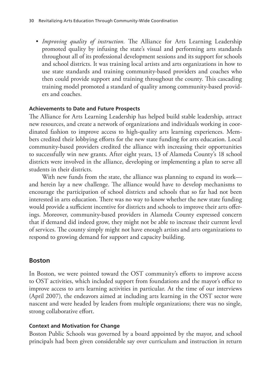*• Improving quality of instruction.* The Alliance for Arts Learning Leadership promoted quality by infusing the state's visual and performing arts standards throughout all of its professional development sessions and its support for schools and school districts. It was training local artists and arts organizations in how to use state standards and training community-based providers and coaches who then could provide support and training throughout the county. This cascading training model promoted a standard of quality among community-based providers and coaches.

## **Achievements to Date and Future Prospects**

The Alliance for Arts Learning Leadership has helped build stable leadership, attract new resources, and create a network of organizations and individuals working in coordinated fashion to improve access to high-quality arts learning experiences. Members credited their lobbying efforts for the new state funding for arts education. Local community-based providers credited the alliance with increasing their opportunities to successfully win new grants. After eight years, 13 of Alameda County's 18 school districts were involved in the alliance, developing or implementing a plan to serve all students in their districts.

With new funds from the state, the alliance was planning to expand its work and herein lay a new challenge. The alliance would have to develop mechanisms to encourage the participation of school districts and schools that so far had not been interested in arts education. There was no way to know whether the new state funding would provide a sufficient incentive for districts and schools to improve their arts offerings. Moreover, community-based providers in Alameda County expressed concern that if demand did indeed grow, they might not be able to increase their current level of services. The county simply might not have enough artists and arts organizations to respond to growing demand for support and capacity building.

# **Boston**

In Boston, we were pointed toward the OST community's efforts to improve access to OST activities, which included support from foundations and the mayor's office to improve access to arts learning activities in particular. At the time of our interviews (April 2007), the endeavors aimed at including arts learning in the OST sector were nascent and were headed by leaders from multiple organizations; there was no single, strong collaborative effort.

# **Context and Motivation for Change**

Boston Public Schools was governed by a board appointed by the mayor, and school principals had been given considerable say over curriculum and instruction in return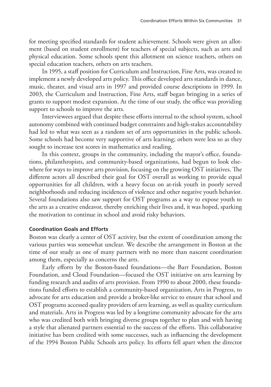for meeting specified standards for student achievement. Schools were given an allotment (based on student enrollment) for teachers of special subjects, such as arts and physical education. Some schools spent this allotment on science teachers, others on special education teachers, others on arts teachers.

In 1995, a staff position for Curriculum and Instruction, Fine Arts, was created to implement a newly developed arts policy. This office developed arts standards in dance, music, theater, and visual arts in 1997 and provided course descriptions in 1999. In 2003, the Curriculum and Instruction, Fine Arts, staff began bringing in a series of grants to support modest expansion. At the time of our study, the office was providing support to schools to improve the arts.

Interviewees argued that despite these efforts internal to the school system, school autonomy combined with continued budget constraints and high-stakes accountability had led to what was seen as a random set of arts opportunities in the public schools. Some schools had become very supportive of arts learning; others were less so as they sought to increase test scores in mathematics and reading.

In this context, groups in the community, including the mayor's office, foundations, philanthropists, and community-based organizations, had begun to look elsewhere for ways to improve arts provision, focusing on the growing OST initiatives. The different actors all described their goal for OST overall as working to provide equal opportunities for all children, with a heavy focus on at-risk youth in poorly served neighborhoods and reducing incidences of violence and other negative youth behavior. Several foundations also saw support for OST programs as a way to expose youth to the arts as a creative endeavor, thereby enriching their lives and, it was hoped, sparking the motivation to continue in school and avoid risky behaviors.

### **Coordination Goals and Efforts**

Boston was clearly a center of OST activity, but the extent of coordination among the various parties was somewhat unclear. We describe the arrangement in Boston at the time of our study as one of many partners with no more than nascent coordination among them, especially as concerns the arts.

Early efforts by the Boston-based foundations—the Barr Foundation, Boston Foundation, and Cloud Foundation—focused the OST initiative on arts learning by funding research and audits of arts provision. From 1990 to about 2000, these foundations funded efforts to establish a community-based organization, Arts in Progress, to advocate for arts education and provide a broker-like service to ensure that school and OST programs accessed quality providers of arts learning, as well as quality curriculum and materials. Arts in Progress was led by a longtime community advocate for the arts who was credited both with bringing diverse groups together to plan and with having a style that alienated partners essential to the success of the efforts. This collaborative initiative has been credited with some successes, such as influencing the development of the 1994 Boston Public Schools arts policy. Its efforts fell apart when the director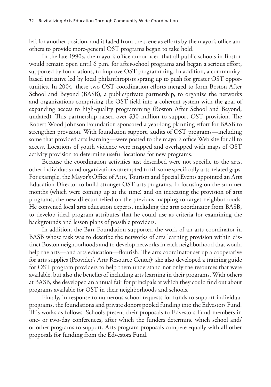left for another position, and it faded from the scene as efforts by the mayor's office and others to provide more-general OST programs began to take hold.

In the late-1990s, the mayor's office announced that all public schools in Boston would remain open until 6 p.m. for after-school programs and began a serious effort, supported by foundations, to improve OST programming. In addition, a communitybased initiative led by local philanthropists sprang up to push for greater OST opportunities. In 2004, these two OST coordination efforts merged to form Boston After School and Beyond (BASB), a public/private partnership, to organize the networks and organizations comprising the OST field into a coherent system with the goal of expanding access to high-quality programming (Boston After School and Beyond, undated). This partnership raised over \$30 million to support OST provision. The Robert Wood Johnson Foundation sponsored a year-long planning effort for BASB to strengthen provision. With foundation support, audits of OST programs—including some that provided arts learning—were posted to the mayor's office Web site for all to access. Locations of youth violence were mapped and overlapped with maps of OST activity provision to determine useful locations for new programs.

Because the coordination activities just described were not specific to the arts, other individuals and organizations attempted to fill some specifically arts-related gaps. For example, the Mayor's Office of Arts, Tourism and Special Events appointed an Arts Education Director to build stronger OST arts programs. In focusing on the summer months (which were coming up at the time) and on increasing the provision of arts programs, the new director relied on the previous mapping to target neighborhoods. He convened local arts education experts, including the arts coordinator from BASB, to develop ideal program attributes that he could use as criteria for examining the backgrounds and lesson plans of possible providers.

In addition, the Barr Foundation supported the work of an arts coordinator in BASB whose task was to describe the networks of arts learning provision within distinct Boston neighborhoods and to develop networks in each neighborhood that would help the arts—and arts education—flourish. The arts coordinator set up a cooperative for arts supplies (Provider's Arts Resource Center); she also developed a training guide for OST program providers to help them understand not only the resources that were available, but also the benefits of including arts learning in their programs. With others at BASB, she developed an annual fair for principals at which they could find out about programs available for OST in their neighborhoods and schools.

Finally, in response to numerous school requests for funds to support individual programs, the foundations and private donors pooled funding into the Edvestors Fund. This works as follows: Schools present their proposals to Edvestors Fund members in one- or two-day conferences, after which the funders determine which school and/ or other programs to support. Arts program proposals compete equally with all other proposals for funding from the Edvestors Fund.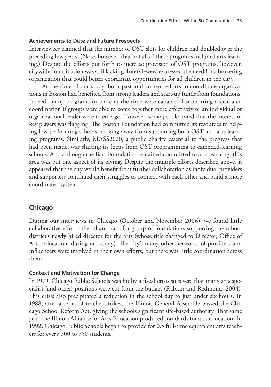## **Achievements to Date and Future Prospects**

Interviewees claimed that the number of OST slots for children had doubled over the preceding few years. (Note, however, that not all of these programs included arts learning.) Despite the efforts put forth to increase provision of OST programs, however, citywide coordination was still lacking. Interviewees expressed the need for a brokering organization that could better coordinate opportunities for all children in the city.

At the time of our study, both past and current efforts to coordinate organizations in Boston had benefited from strong leaders and start-up funds from foundations. Indeed, many programs in place at the time were capable of supporting accelerated coordination if groups were able to come together more effectively or an individual or organizational leader were to emerge. However, some people noted that the interest of key players was flagging. The Boston Foundation had committed its resources to helping low-performing schools, moving away from supporting both OST and arts learning programs. Similarly, MASS2020, a public charity essential to the progress that had been made, was shifting its focus from OST programming to extended-learning schools. And although the Barr Foundation remained committed to arts learning, this area was but one aspect of its giving. Despite the multiple efforts described above, it appeared that the city would benefit from further collaboration as individual providers and supporters continued their struggles to connect with each other and build a more coordinated system.

# **Chicago**

During our interviews in Chicago (October and November 2006), we found little collaborative effort other than that of a group of foundations supporting the school district's newly hired director for the arts (whose title changed to Director, Office of Arts Education, during our study). The city's many other networks of providers and influencers were involved in their own efforts, but there was little coordination across them.

# **Context and Motivation for Change**

In 1979, Chicago Public Schools was hit by a fiscal crisis so severe that many arts specialist (and other) positions were cut from the budget (Rabkin and Redmond, 2004). This crisis also precipitated a reduction in the school day to just under six hours. In 1988, after a series of teacher strikes, the Illinois General Assembly passed the Chicago School Reform Act, giving the schools significant site-based authority. That same year, the Illinois Alliance for Arts Education produced standards for arts education. In 1992, Chicago Public Schools began to provide for 0.5 full-time equivalent arts teachers for every 700 to 750 students.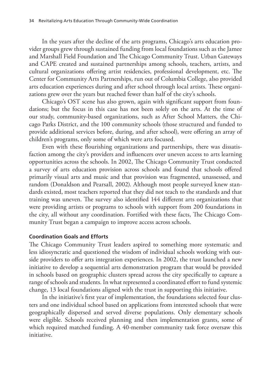In the years after the decline of the arts programs, Chicago's arts education provider groups grew through sustained funding from local foundations such as the Jamee and Marshall Field Foundation and The Chicago Community Trust. Urban Gateways and CAPE created and sustained partnerships among schools, teachers, artists, and cultural organizations offering artist residencies, professional development, etc. The Center for Community Arts Partnerships, run out of Columbia College, also provided arts education experiences during and after school through local artists. These organizations grew over the years but reached fewer than half of the city's schools.

Chicago's OST scene has also grown, again with significant support from foundations; but the focus in this case has not been solely on the arts. At the time of our study, community-based organizations, such as After School Matters*,* the Chicago Parks District, and the 100 community schools (those structured and funded to provide additional services before, during, and after school), were offering an array of children's programs, only some of which were arts focused.

Even with these flourishing organizations and partnerships, there was dissatisfaction among the city's providers and influencers over uneven access to arts learning opportunities across the schools. In 2002, The Chicago Community Trust conducted a survey of arts education provision across schools and found that schools offered primarily visual arts and music and that provision was fragmented, unassessed, and random (Donaldson and Pearsall, 2002). Although most people surveyed knew standards existed, most teachers reported that they did not teach to the standards and that training was uneven. The survey also identified 144 different arts organizations that were providing artists or programs to schools with support from 200 foundations in the city, all without any coordination. Fortified with these facts, The Chicago Community Trust began a campaign to improve access across schools.

### **Coordination Goals and Efforts**

The Chicago Community Trust leaders aspired to something more systematic and less idiosyncratic and questioned the wisdom of individual schools working with outside providers to offer arts integration experiences. In 2002, the trust launched a new initiative to develop a sequential arts demonstration program that would be provided in schools based on geographic clusters spread across the city specifically to capture a range of schools and students. In what represented a coordinated effort to fund systemic change, 13 local foundations aligned with the trust in supporting this initiative.

In the initiative's first year of implementation, the foundations selected four clusters and one individual school based on applications from interested schools that were geographically dispersed and served diverse populations. Only elementary schools were eligible. Schools received planning and then implementation grants, some of which required matched funding. A 40-member community task force oversaw this initiative.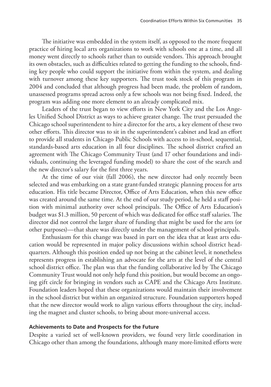The initiative was embedded in the system itself, as opposed to the more frequent practice of hiring local arts organizations to work with schools one at a time, and all money went directly to schools rather than to outside vendors. This approach brought its own obstacles, such as difficulties related to getting the funding to the schools, finding key people who could support the initiative from within the system, and dealing with turnover among these key supporters. The trust took stock of this program in 2004 and concluded that although progress had been made, the problem of random, unassessed programs spread across only a few schools was not being fixed. Indeed, the program was adding one more element to an already complicated mix.

Leaders of the trust began to view efforts in New York City and the Los Angeles Unified School District as ways to achieve greater change. The trust persuaded the Chicago school superintendent to hire a director for the arts, a key element of these two other efforts. This director was to sit in the superintendent's cabinet and lead an effort to provide all students in Chicago Public Schools with access to in-school, sequential, standards-based arts education in all four disciplines. The school district crafted an agreement with The Chicago Community Trust (and 17 other foundations and individuals, continuing the leveraged funding model) to share the cost of the search and the new director's salary for the first three years.

At the time of our visit (fall 2006), the new director had only recently been selected and was embarking on a state grant-funded strategic planning process for arts education. His title became Director, Office of Arts Education, when this new office was created around the same time. At the end of our study period, he held a staff position with minimal authority over school principals. The Office of Arts Education's budget was \$1.3 million, 50 percent of which was dedicated for office staff salaries. The director did not control the larger share of funding that might be used for the arts (or other purposes)—that share was directly under the management of school principals.

Enthusiasm for this change was based in part on the idea that at least arts education would be represented in major policy discussions within school district headquarters. Although this position ended up not being at the cabinet level, it nonetheless represents progress in establishing an advocate for the arts at the level of the central school district office. The plan was that the funding collaborative led by The Chicago Community Trust would not only help fund this position, but would become an ongoing gift circle for bringing in vendors such as CAPE and the Chicago Arts Institute. Foundation leaders hoped that these organizations would maintain their involvement in the school district but within an organized structure. Foundation supporters hoped that the new director would work to align various efforts throughout the city, including the magnet and cluster schools, to bring about more-universal access.

### **Achievements to Date and Prospects for the Future**

Despite a varied set of well-known providers, we found very little coordination in Chicago other than among the foundations, although many more-limited efforts were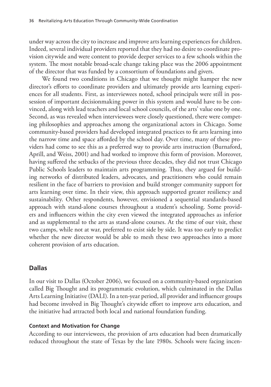under way across the city to increase and improve arts learning experiences for children. Indeed, several individual providers reported that they had no desire to coordinate provision citywide and were content to provide deeper services to a few schools within the system. The most notable broad-scale change taking place was the 2006 appointment of the director that was funded by a consortium of foundations and givers.

We found two conditions in Chicago that we thought might hamper the new director's efforts to coordinate providers and ultimately provide arts learning experiences for all students. First, as interviewees noted, school principals were still in possession of important decisionmaking power in this system and would have to be convinced, along with lead teachers and local school councils, of the arts' value one by one. Second, as was revealed when interviewees were closely questioned, there were competing philosophies and approaches among the organizational actors in Chicago. Some community-based providers had developed integrated practices to fit arts learning into the narrow time and space afforded by the school day. Over time, many of these providers had come to see this as a preferred way to provide arts instruction (Burnaford, Aprill, and Weiss, 2001) and had worked to improve this form of provision. Moreover, having suffered the setbacks of the previous three decades, they did not trust Chicago Public Schools leaders to maintain arts programming. Thus, they argued for building networks of distributed leaders, advocates, and practitioners who could remain resilient in the face of barriers to provision and build stronger community support for arts learning over time. In their view, this approach supported greater resiliency and sustainability. Other respondents, however, envisioned a sequential standards-based approach with stand-alone courses throughout a student's schooling. Some providers and influencers within the city even viewed the integrated approaches as inferior and as supplemental to the arts as stand-alone courses. At the time of our visit, these two camps, while not at war, preferred to exist side by side. It was too early to predict whether the new director would be able to mesh these two approaches into a more coherent provision of arts education.

# **Dallas**

In our visit to Dallas (October 2006), we focused on a community-based organization called Big Thought and its programmatic evolution, which culminated in the Dallas Arts Learning Initiative (DALI). In a ten-year period, all provider and influencer groups had become involved in Big Thought's citywide effort to improve arts education, and the initiative had attracted both local and national foundation funding.

# **Context and Motivation for Change**

According to our interviewees, the provision of arts education had been dramatically reduced throughout the state of Texas by the late 1980s. Schools were facing incen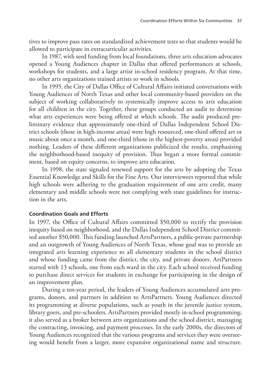tives to improve pass rates on standardized achievement tests so that students would be allowed to participate in extracurricular activities.

In 1987, with seed funding from local foundations, three arts education advocates opened a Young Audiences chapter in Dallas that offered performances at schools, workshops for students, and a large artist in-school residency program. At that time, no other arts organizations trained artists to work in schools.

In 1995, the City of Dallas Office of Cultural Affairs initiated conversations with Young Audiences of North Texas and other local community-based providers on the subject of working collaboratively to systemically improve access to arts education for all children in the city. Together, these groups conducted an audit to determine what arts experiences were being offered at which schools. The audit produced preliminary evidence that approximately one-third of Dallas Independent School District schools (those in high-income areas) were high resourced, one-third offered art or music about once a month, and one-third (those in the highest-poverty areas) provided nothing. Leaders of these different organizations publicized the results, emphasizing the neighborhood-based inequity of provision. Thus began a more formal commitment, based on equity concerns, to improve arts education.

In 1998, the state signaled renewed support for the arts by adopting the Texas Essential Knowledge and Skills for the Fine Arts. Our interviewees reported that while high schools were adhering to the graduation requirement of one arts credit, many elementary and middle schools were not complying with state guidelines for instruction in the arts.

### **Coordination Goals and Efforts**

In 1997, the Office of Cultural Affairs committed \$50,000 to rectify the provision inequity based on neighborhood, and the Dallas Independent School District committed another \$50,000. This funding launched ArtsPartners, a public-private partnership and an outgrowth of Young Audiences of North Texas, whose goal was to provide an integrated arts learning experience to all elementary students in the school district and whose funding came from the district, the city, and private donors. ArtPartners started with 13 schools, one from each ward in the city. Each school received funding to purchase direct services for students in exchange for participating in the design of an improvement plan.

During a ten-year period, the leaders of Young Audiences accumulated arts programs, donors, and partners in addition to ArtsPartners. Young Audiences directed its programming at diverse populations, such as youth in the juvenile justice system, library goers, and pre-schoolers. ArtsPartners provided mostly in-school programming; it also served as a broker between arts organizations and the school district, managing the contracting, invoicing, and payment processes. In the early 2000s, the directors of Young Audiences recognized that the various programs and services they were overseeing would benefit from a larger, more expansive organizational name and structure.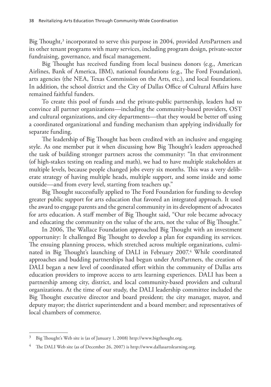Big Thought,<sup>3</sup> incorporated to serve this purpose in 2004, provided ArtsPartners and its other tenant programs with many services, including program design, private-sector fundraising, governance, and fiscal management.

Big Thought has received funding from local business donors (e.g., American Airlines, Bank of America, IBM), national foundations (e.g., The Ford Foundation), arts agencies (the NEA, Texas Commission on the Arts, etc.), and local foundations. In addition, the school district and the City of Dallas Office of Cultural Affairs have remained faithful funders.

To create this pool of funds and the private-public partnership, leaders had to convince all partner organizations—including the community-based providers, OST and cultural organizations, and city departments—that they would be better off using a coordinated organizational and funding mechanism than applying individually for separate funding.

The leadership of Big Thought has been credited with an inclusive and engaging style. As one member put it when discussing how Big Thought's leaders approached the task of building stronger partners across the community: "In that environment (of high-stakes testing on reading and math), we had to have multiple stakeholders at multiple levels, because people changed jobs every six months. This was a very deliberate strategy of having multiple heads, multiple support, and some inside and some outside—and from every level, starting from teachers up."

Big Thought successfully applied to The Ford Foundation for funding to develop greater public support for arts education that favored an integrated approach. It used the award to engage parents and the general community in its development of advocates for arts education. A staff member of Big Thought said, "Our role became advocacy and educating the community on the value of the arts, not the value of Big Thought."

In 2006, The Wallace Foundation approached Big Thought with an investment opportunity: It challenged Big Thought to develop a plan for expanding its services. The ensuing planning process, which stretched across multiple organizations, culminated in Big Thought's launching of DALI in February 2007.4 While coordinated approaches and budding partnerships had begun under ArtsPartners, the creation of DALI began a new level of coordinated effort within the community of Dallas arts education providers to improve access to arts learning experiences. DALI has been a partnership among city, district, and local community-based providers and cultural organizations. At the time of our study, the DALI leadership committee included the Big Thought executive director and board president; the city manager, mayor, and deputy mayor; the district superintendent and a board member; and representatives of local chambers of commerce.

Big Thought's Web site is (as of January 1, 2008) http://www.bigthought.org.

 $4$  The DALI Web site (as of December 26, 2007) is http://www.dallasartslearning.org.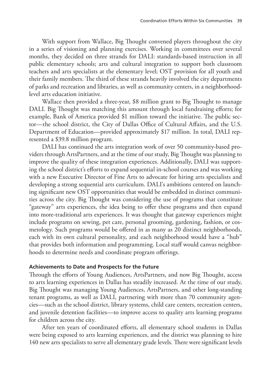With support from Wallace, Big Thought convened players throughout the city in a series of visioning and planning exercises. Working in committees over several months, they decided on three strands for DALI: standards-based instruction in all public elementary schools; arts and cultural integration to support both classroom teachers and arts specialists at the elementary level; OST provision for all youth and their family members. The third of these strands heavily involved the city departments of parks and recreation and libraries, as well as community centers, in a neighborhoodlevel arts education initiative.

Wallace then provided a three-year, \$8 million grant to Big Thought to manage DALI. Big Thought was matching this amount through local fundraising efforts; for example, Bank of America provided \$1 million toward the initiative. The public sector—the school district, the City of Dallas Office of Cultural Affairs, and the U.S. Department of Education—provided approximately \$17 million. In total, DALI represented a \$39.8 million program.

DALI has continued the arts integration work of over 50 community-based providers through ArtsPartners, and at the time of our study, Big Thought was planning to improve the quality of these integration experiences. Additionally, DALI was supporting the school district's efforts to expand sequential in-school courses and was working with a new Executive Director of Fine Arts to advocate for hiring arts specialists and developing a strong sequential arts curriculum. DALI's ambitions centered on launching significant new OST opportunities that would be embedded in distinct communities across the city. Big Thought was considering the use of programs that constitute "gateway" arts experiences, the idea being to offer these programs and then expand into more-traditional arts experiences. It was thought that gateway experiences might include programs on sewing, pet care, personal grooming, gardening, fashion, or cosmetology. Such programs would be offered in as many as 20 distinct neighborhoods, each with its own cultural personality, and each neighborhood would have a "hub" that provides both information and programming. Local staff would canvas neighborhoods to determine needs and coordinate program offerings.

### **Achievements to Date and Prospects for the Future**

Through the efforts of Young Audiences, ArtsPartners, and now Big Thought, access to arts learning experiences in Dallas has steadily increased. At the time of our study, Big Thought was managing Young Audiences, ArtsPartners, and other long-standing tenant programs, as well as DALI, partnering with more than 70 community agencies—such as the school district, library systems, child care centers, recreation centers, and juvenile detention facilities—to improve access to quality arts learning programs for children across the city.

After ten years of coordinated efforts, all elementary school students in Dallas were being exposed to arts learning experiences, and the district was planning to hire 140 new arts specialists to serve all elementary grade levels. There were significant levels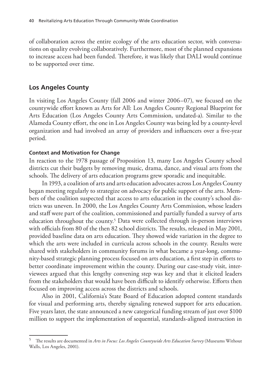of collaboration across the entire ecology of the arts education sector, with conversations on quality evolving collaboratively. Furthermore, most of the planned expansions to increase access had been funded. Therefore, it was likely that DALI would continue to be supported over time.

# **Los Angeles County**

In visiting Los Angeles County (fall 2006 and winter 2006–07), we focused on the countywide effort known as Arts for All: Los Angeles County Regional Blueprint for Arts Education (Los Angeles County Arts Commission, undated-a). Similar to the Alameda County effort, the one in Los Angeles County was being led by a county-level organization and had involved an array of providers and influencers over a five-year period.

# **Context and Motivation for Change**

In reaction to the 1978 passage of Proposition 13, many Los Angeles County school districts cut their budgets by removing music, drama, dance, and visual arts from the schools. The delivery of arts education programs grew sporadic and inequitable.

In 1993, a coalition of arts and arts education advocates across Los Angeles County began meeting regularly to strategize on advocacy for public support of the arts. Members of the coalition suspected that access to arts education in the county's school districts was uneven. In 2000, the Los Angeles County Arts Commission, whose leaders and staff were part of the coalition, commissioned and partially funded a survey of arts education throughout the county.<sup>5</sup> Data were collected through in-person interviews with officials from 80 of the then 82 school districts. The results, released in May 2001, provided baseline data on arts education. They showed wide variation in the degree to which the arts were included in curricula across schools in the county. Results were shared with stakeholders in community forums in what became a year-long, community-based strategic planning process focused on arts education, a first step in efforts to better coordinate improvement within the county. During our case-study visit, interviewees argued that this lengthy convening step was key and that it elicited leaders from the stakeholders that would have been difficult to identify otherwise. Efforts then focused on improving access across the districts and schools.

Also in 2001, California's State Board of Education adopted content standards for visual and performing arts, thereby signaling renewed support for arts education. Five years later, the state announced a new categorical funding stream of just over \$100 million to support the implementation of sequential, standards-aligned instruction in

<sup>5</sup> The results are documented in *Arts in Focus: Los Angeles Countywide Arts Education Survey* (Museums Without Walls, Los Angeles, 2001).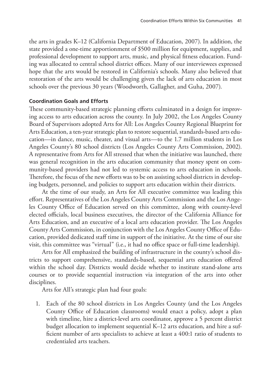the arts in grades K–12 (California Department of Education, 2007). In addition, the state provided a one-time apportionment of \$500 million for equipment, supplies, and professional development to support arts, music, and physical fitness education. Funding was allocated to central school district offices. Many of our interviewees expressed hope that the arts would be restored in California's schools. Many also believed that restoration of the arts would be challenging given the lack of arts education in most schools over the previous 30 years (Woodworth, Gallagher, and Guha, 2007).

## **Coordination Goals and Efforts**

These community-based strategic planning efforts culminated in a design for improving access to arts education across the county. In July 2002, the Los Angeles County Board of Supervisors adopted Arts for All: Los Angeles County Regional Blueprint for Arts Education, a ten-year strategic plan to restore sequential, standards-based arts education—in dance, music, theater, and visual arts—to the 1.7 million students in Los Angeles County's 80 school districts (Los Angeles County Arts Commission, 2002). A representative from Arts for All stressed that when the initiative was launched, there was general recognition in the arts education community that money spent on community-based providers had not led to systemic access to arts education in schools. Therefore, the focus of the new efforts was to be on assisting school districts in developing budgets, personnel, and policies to support arts education within their districts.

At the time of our study, an Arts for All executive committee was leading this effort. Representatives of the Los Angeles County Arts Commission and the Los Angeles County Office of Education served on this committee, along with county-level elected officials, local business executives, the director of the California Alliance for Arts Education, and an executive of a local arts education provider. The Los Angeles County Arts Commission, in conjunction with the Los Angeles County Office of Education, provided dedicated staff time in support of the initiative. At the time of our site visit, this committee was "virtual" (i.e., it had no office space or full-time leadership).

Arts for All emphasized the building of infrastructure in the county's school districts to support comprehensive, standards-based, sequential arts education offered within the school day. Districts would decide whether to institute stand-alone arts courses or to provide sequential instruction via integration of the arts into other disciplines.

Arts for All's strategic plan had four goals:

1. Each of the 80 school districts in Los Angeles County (and the Los Angeles County Office of Education classrooms) would enact a policy, adopt a plan with timeline, hire a district-level arts coordinator, approve a 5 percent district budget allocation to implement sequential K–12 arts education, and hire a sufficient number of arts specialists to achieve at least a 400:1 ratio of students to credentialed arts teachers.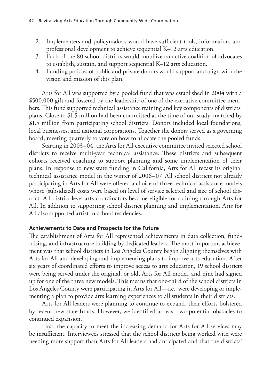- 2. Implementers and policymakers would have sufficient tools, information, and professional development to achieve sequential K–12 arts education.
- 3. Each of the 80 school districts would mobilize an active coalition of advocates to establish, sustain, and support sequential K–12 arts education.
- 4. Funding policies of public and private donors would support and align with the vision and mission of this plan.

Arts for All was supported by a pooled fund that was established in 2004 with a \$500,000 gift and fostered by the leadership of one of the executive committee members. This fund supported technical assistance training and key components of districts' plans. Close to \$1.5 million had been committed at the time of our study, matched by \$1.5 million from participating school districts. Donors included local foundations, local businesses, and national corporations. Together the donors served as a governing board, meeting quarterly to vote on how to allocate the pooled funds.

Starting in 2003–04, the Arts for All executive committee invited selected school districts to receive multi-year technical assistance. These districts and subsequent cohorts received coaching to support planning and some implementation of their plans. In response to new state funding in California, Arts for All recast its original technical assistance model in the winter of 2006–07. All school districts not already participating in Arts for All were offered a choice of three technical assistance models whose (subsidized) costs were based on level of service selected and size of school district. All district-level arts coordinators became eligible for training through Arts for All. In addition to supporting school district planning and implementation, Arts for All also supported artist in-school residencies.

# **Achievements to Date and Prospects for the Future**

The establishment of Arts for All represented achievements in data collection, fundraising, and infrastructure building by dedicated leaders. The most important achievement was that school districts in Los Angeles County began aligning themselves with Arts for All and developing and implementing plans to improve arts education. After six years of coordinated efforts to improve access to arts education, 19 school districts were being served under the original, or old, Arts for All model, and nine had signed up for one of the three new models. This means that one-third of the school districts in Los Angeles County were participating in Arts for All—i.e., were developing or implementing a plan to provide arts learning experiences to all students in their districts.

Arts for All leaders were planning to continue to expand, their efforts bolstered by recent new state funds. However, we identified at least two potential obstacles to continued expansion.

First, the capacity to meet the increasing demand for Arts for All services may be insufficient. Interviewees stressed that the school districts being worked with were needing more support than Arts for All leaders had anticipated and that the districts'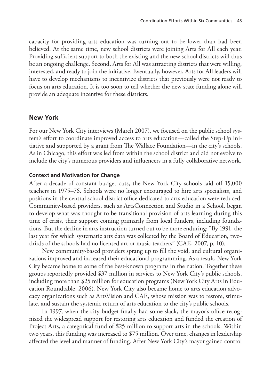capacity for providing arts education was turning out to be lower than had been believed. At the same time, new school districts were joining Arts for All each year. Providing sufficient support to both the existing and the new school districts will thus be an ongoing challenge. Second, Arts for All was attracting districts that were willing, interested, and ready to join the initiative. Eventually, however, Arts for All leaders will have to develop mechanisms to incentivize districts that previously were not ready to focus on arts education. It is too soon to tell whether the new state funding alone will provide an adequate incentive for these districts.

### **New York**

For our New York City interviews (March 2007), we focused on the public school system's effort to coordinate improved access to arts education—called the Step-Up initiative and supported by a grant from The Wallace Foundation—in the city's schools. As in Chicago, this effort was led from within the school district and did not evolve to include the city's numerous providers and influencers in a fully collaborative network.

### **Context and Motivation for Change**

After a decade of constant budget cuts, the New York City schools laid off 15,000 teachers in 1975–76. Schools were no longer encouraged to hire arts specialists, and positions in the central school district office dedicated to arts education were reduced. Community-based providers, such as ArtsConnection and Studio in a School, began to develop what was thought to be transitional provision of arts learning during this time of crisis, their support coming primarily from local funders, including foundations. But the decline in arts instruction turned out to be more enduring: "By 1991, the last year for which systematic arts data was collected by the Board of Education, twothirds of the schools had no licensed art or music teachers" (CAE, 2007, p. 10).

New community-based providers sprang up to fill the void, and cultural organizations improved and increased their educational programming. As a result, New York City became home to some of the best-known programs in the nation. Together these groups reportedly provided \$37 million in services to New York City's public schools, including more than \$25 million for education programs (New York City Arts in Education Roundtable, 2006). New York City also became home to arts education advocacy organizations such as ArtsVision and CAE, whose mission was to restore, stimulate, and sustain the systemic return of arts education to the city's public schools.

In 1997, when the city budget finally had some slack, the mayor's office recognized the widespread support for restoring arts education and funded the creation of Project Arts, a categorical fund of \$25 million to support arts in the schools. Within two years, this funding was increased to \$75 million. Over time, changes in leadership affected the level and manner of funding. After New York City's mayor gained control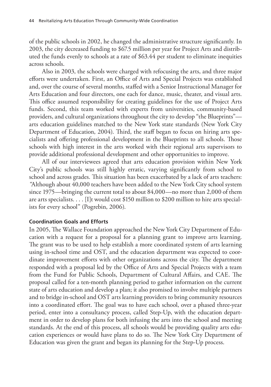of the public schools in 2002, he changed the administrative structure significantly. In 2003, the city decreased funding to \$67.5 million per year for Project Arts and distributed the funds evenly to schools at a rate of \$63.44 per student to eliminate inequities across schools.

Also in 2003, the schools were charged with refocusing the arts, and three major efforts were undertaken. First, an Office of Arts and Special Projects was established and, over the course of several months, staffed with a Senior Instructional Manager for Arts Education and four directors, one each for dance, music, theater, and visual arts. This office assumed responsibility for creating guidelines for the use of Project Arts funds. Second, this team worked with experts from universities, community-based providers, and cultural organizations throughout the city to develop "the Blueprints" arts education guidelines matched to the New York state standards (New York City Department of Education, 2004). Third, the staff began to focus on hiring arts specialists and offering professional development in the Blueprints to all schools. Those schools with high interest in the arts worked with their regional arts supervisors to provide additional professional development and other opportunities to improve.

All of our interviewees agreed that arts education provision within New York City's public schools was still highly erratic, varying significantly from school to school and across grades. This situation has been exacerbated by a lack of arts teachers: *"*Although about 40,000 teachers have been added to the New York City school system since 1975—bringing the current total to about 84,000—no more than 2,000 of them are arts specialists. . . . [I]t would cost \$150 million to \$200 million to hire arts specialists for every school" (Pogrebin, 2006).

# **Coordination Goals and Efforts**

In 2005, The Wallace Foundation approached the New York City Department of Education with a request for a proposal for a planning grant to improve arts learning. The grant was to be used to help establish a more coordinated system of arts learning using in-school time and OST, and the education department was expected to coordinate improvement efforts with other organizations across the city. The department responded with a proposal led by the Office of Arts and Special Projects with a team from the Fund for Public Schools, Department of Cultural Affairs, and CAE. The proposal called for a ten-month planning period to gather information on the current state of arts education and develop a plan; it also promised to involve multiple partners and to bridge in-school and OST arts learning providers to bring community resources into a coordinated effort. The goal was to have each school, over a phased three-year period, enter into a consultancy process, called Step-Up, with the education department in order to develop plans for both infusing the arts into the school and meeting standards. At the end of this process, all schools would be providing quality arts education experiences or would have plans to do so. The New York City Department of Education was given the grant and began its planning for the Step-Up process.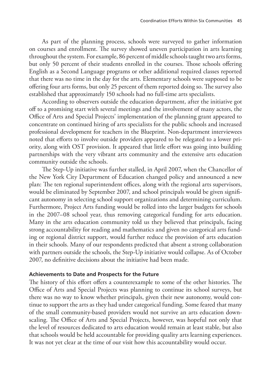As part of the planning process, schools were surveyed to gather information on courses and enrollment. The survey showed uneven participation in arts learning throughout the system. For example, 86 percent of middle schools taught two arts forms, but only 50 percent of their students enrolled in the courses. Those schools offering English as a Second Language programs or other additional required classes reported that there was no time in the day for the arts. Elementary schools were supposed to be offering four arts forms, but only 25 percent of them reported doing so. The survey also established that approximately 150 schools had no full-time arts specialists.

According to observers outside the education department, after the initiative got off to a promising start with several meetings and the involvement of many actors, the Office of Arts and Special Projects' implementation of the planning grant appeared to concentrate on continued hiring of arts specialists for the public schools and increased professional development for teachers in the Blueprint. Non-department interviewees noted that efforts to involve outside providers appeared to be relegated to a lower priority, along with OST provision. It appeared that little effort was going into building partnerships with the very vibrant arts community and the extensive arts education community outside the schools.

The Step-Up initiative was further stalled, in April 2007, when the Chancellor of the New York City Department of Education changed policy and announced a new plan: The ten regional superintendent offices, along with the regional arts supervisors, would be eliminated by September 2007, and school principals would be given significant autonomy in selecting school support organizations and determining curriculum. Furthermore, Project Arts funding would be rolled into the larger budgets for schools in the 2007–08 school year, thus removing categorical funding for arts education. Many in the arts education community told us they believed that principals, facing strong accountability for reading and mathematics and given no categorical arts funding or regional district support, would further reduce the provision of arts education in their schools. Many of our respondents predicted that absent a strong collaboration with partners outside the schools, the Step-Up initiative would collapse. As of October 2007, no definitive decisions about the initiative had been made.

### **Achievements to Date and Prospects for the Future**

The history of this effort offers a counterexample to some of the other histories. The Office of Arts and Special Projects was planning to continue its school surveys, but there was no way to know whether principals, given their new autonomy, would continue to support the arts as they had under categorical funding. Some feared that many of the small community-based providers would not survive an arts education downscaling. The Office of Arts and Special Projects, however, was hopeful not only that the level of resources dedicated to arts education would remain at least stable, but also that schools would be held accountable for providing quality arts learning experiences. It was not yet clear at the time of our visit how this accountability would occur.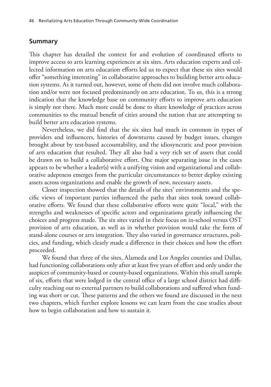# **Summary**

This chapter has detailed the context for and evolution of coordinated efforts to improve access to arts learning experiences at six sites. Arts education experts and collected information on arts education efforts led us to expect that these six sites would offer "something interesting" in collaborative approaches to building better arts education systems. As it turned out, however, some of them did not involve much collaboration and/or were not focused predominantly on arts education. To us, this is a strong indication that the knowledge base on community efforts to improve arts education is simply not there. Much more could be done to share knowledge of practices across communities to the mutual benefit of cities around the nation that are attempting to build better arts education systems.

Nevertheless, we did find that the six sites had much in common in types of providers and influencers, histories of downturns caused by budget issues, changes brought about by test-based accountability, and the idiosyncratic and poor provision of arts education that resulted. They all also had a very rich set of assets that could be drawn on to build a collaborative effort. One major separating issue in the cases appears to be whether a leader(s) with a unifying vision and organizational and collaborative adeptness emerges from the particular circumstances to better deploy existing assets across organizations and enable the growth of new, necessary assets.

Closer inspection showed that the details of the sites' environments and the specific views of important parties influenced the paths that sites took toward collaborative efforts. We found that these collaborative efforts were quite "local," with the strengths and weaknesses of specific actors and organizations greatly influencing the choices and progress made. The six sites varied in their focus on in-school versus OST provision of arts education, as well as in whether provision would take the form of stand-alone courses or arts integration. They also varied in governance structures, policies, and funding, which clearly made a difference in their choices and how the effort proceeded.

We found that three of the sites, Alameda and Los Angeles counties and Dallas, had functioning collaborations only after at least five years of effort and only under the auspices of community-based or county-based organizations. Within this small sample of six, efforts that were lodged in the central office of a large school district had difficulty reaching out to external partners to build collaborations and suffered when funding was short or cut. These patterns and the others we found are discussed in the next two chapters, which further explore lessons we can learn from the case studies about how to begin collaboration and how to sustain it.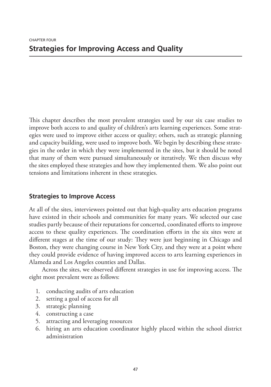This chapter describes the most prevalent strategies used by our six case studies to improve both access to and quality of children's arts learning experiences. Some strategies were used to improve either access or quality; others, such as strategic planning and capacity building, were used to improve both. We begin by describing these strategies in the order in which they were implemented in the sites, but it should be noted that many of them were pursued simultaneously or iteratively. We then discuss why the sites employed these strategies and how they implemented them. We also point out tensions and limitations inherent in these strategies.

# **Strategies to Improve Access**

At all of the sites, interviewees pointed out that high-quality arts education programs have existed in their schools and communities for many years. We selected our case studies partly because of their reputations for concerted, coordinated efforts to improve access to these quality experiences. The coordination efforts in the six sites were at different stages at the time of our study: They were just beginning in Chicago and Boston, they were changing course in New York City, and they were at a point where they could provide evidence of having improved access to arts learning experiences in Alameda and Los Angeles counties and Dallas.

Across the sites, we observed different strategies in use for improving access. The eight most prevalent were as follows:

- 1. conducting audits of arts education
- 2. setting a goal of access for all
- 3. strategic planning
- 4. constructing a case
- 5. attracting and leveraging resources
- 6. hiring an arts education coordinator highly placed within the school district administration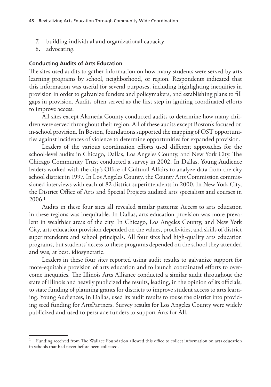- 7. building individual and organizational capacity
- 8. advocating.

#### **Conducting Audits of Arts Education**

The sites used audits to gather information on how many students were served by arts learning programs by school, neighborhood, or region. Respondents indicated that this information was useful for several purposes, including highlighting inequities in provision in order to galvanize funders and policymakers, and establishing plans to fill gaps in provision. Audits often served as the first step in igniting coordinated efforts to improve access.

All sites except Alameda County conducted audits to determine how many children were served throughout their region. All of these audits except Boston's focused on in-school provision. In Boston, foundations supported the mapping of OST opportunities against incidences of violence to determine opportunities for expanded provision.

Leaders of the various coordination efforts used different approaches for the school-level audits in Chicago, Dallas, Los Angeles County, and New York City. The Chicago Community Trust conducted a survey in 2002. In Dallas, Young Audience leaders worked with the city's Office of Cultural Affairs to analyze data from the city school district in 1997. In Los Angeles County, the County Arts Commission commissioned interviews with each of 82 district superintendents in 2000. In New York City, the District Office of Arts and Special Projects audited arts specialists and courses in 2006.1

Audits in these four sites all revealed similar patterns: Access to arts education in these regions was inequitable. In Dallas, arts education provision was more prevalent in wealthier areas of the city. In Chicago, Los Angeles County, and New York City, arts education provision depended on the values, proclivities, and skills of district superintendents and school principals. All four sites had high-quality arts education programs, but students' access to these programs depended on the school they attended and was, at best, idiosyncratic.

Leaders in these four sites reported using audit results to galvanize support for more-equitable provision of arts education and to launch coordinated efforts to overcome inequities. The Illinois Arts Alliance conducted a similar audit throughout the state of Illinois and heavily publicized the results, leading, in the opinion of its officials, to state funding of planning grants for districts to improve student access to arts learning. Young Audiences, in Dallas, used its audit results to rouse the district into providing seed funding for ArtsPartners. Survey results for Los Angeles County were widely publicized and used to persuade funders to support Arts for All.

<sup>1</sup> Funding received from The Wallace Foundation allowed this office to collect information on arts education in schools that had never before been collected.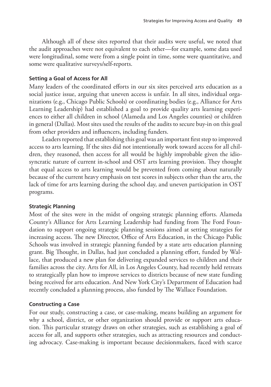Although all of these sites reported that their audits were useful, we noted that the audit approaches were not equivalent to each other—for example, some data used were longitudinal, some were from a single point in time, some were quantitative, and some were qualitative surveys/self-reports.

## **Setting a Goal of Access for All**

Many leaders of the coordinated efforts in our six sites perceived arts education as a social justice issue, arguing that uneven access is unfair. In all sites, individual organizations (e.g., Chicago Public Schools) or coordinating bodies (e.g., Alliance for Arts Learning Leadership) had established a goal to provide quality arts learning experiences to either all children in school (Alameda and Los Angeles counties) or children in general (Dallas). Most sites used the results of the audits to secure buy-in on this goal from other providers and influencers, including funders.

Leaders reported that establishing this goal was an important first step to improved access to arts learning. If the sites did not intentionally work toward access for all children, they reasoned, then access for all would be highly improbable given the idiosyncratic nature of current in-school and OST arts learning provision. They thought that equal access to arts learning would be prevented from coming about naturally because of the current heavy emphasis on test scores in subjects other than the arts, the lack of time for arts learning during the school day, and uneven participation in OST programs.

# **Strategic Planning**

Most of the sites were in the midst of ongoing strategic planning efforts. Alameda County's Alliance for Arts Learning Leadership had funding from The Ford Foundation to support ongoing strategic planning sessions aimed at setting strategies for increasing access. The new Director, Office of Arts Education, in the Chicago Public Schools was involved in strategic planning funded by a state arts education planning grant. Big Thought, in Dallas, had just concluded a planning effort, funded by Wallace, that produced a new plan for delivering expanded services to children and their families across the city. Arts for All, in Los Angeles County, had recently held retreats to strategically plan how to improve services to districts because of new state funding being received for arts education. And New York City's Department of Education had recently concluded a planning process, also funded by The Wallace Foundation.

# **Constructing a Case**

For our study, constructing a case, or case-making, means building an argument for why a school, district, or other organization should provide or support arts education. This particular strategy draws on other strategies, such as establishing a goal of access for all, and supports other strategies, such as attracting resources and conducting advocacy. Case-making is important because decisionmakers, faced with scarce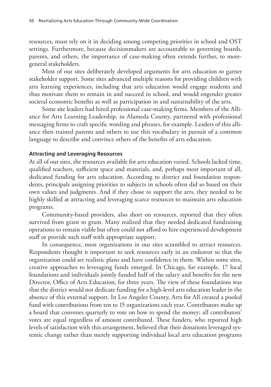resources, must rely on it in deciding among competing priorities in school and OST settings. Furthermore, because decisionmakers are accountable to governing boards, parents, and others, the importance of case-making often extends further, to moregeneral stakeholders.

Most of our sites deliberately developed arguments for arts education to garner stakeholder support. Some sites advanced multiple reasons for providing children with arts learning experiences, including that arts education would engage students and thus motivate them to remain in and succeed in school, and would engender greater societal economic benefits as well as participation in and sustainability of the arts.

Some site leaders had hired professional case-making firms. Members of the Alliance for Arts Learning Leadership*,* in Alameda County, partnered with professional messaging firms to craft specific wording and phrases, for example. Leaders of this alliance then trained parents and others to use this vocabulary in pursuit of a common language to describe and convince others of the benefits of arts education.

## **Attracting and Leveraging Resources**

At all of our sites, the resources available for arts education varied. Schools lacked time, qualified teachers, sufficient space and materials, and, perhaps most important of all, dedicated funding for arts education. According to district and foundation respondents, principals assigning priorities to subjects in schools often did so based on their own values and judgments. And if they chose to support the arts, they needed to be highly skilled at attracting and leveraging scarce resources to maintain arts education programs.

Community-based providers, also short on resources, reported that they often survived from grant to grant. Many realized that they needed dedicated fundraising operations to remain viable but often could not afford to hire experienced development staff or provide such staff with appropriate support.

In consequence, most organizations in our sites scrambled to attract resources. Respondents thought it important to seek resources early in an endeavor so that the organization could set realistic plans and have confidence in them. Within some sites, creative approaches to leveraging funds emerged. In Chicago, for example, 17 local foundations and individuals jointly funded half of the salary and benefits for the new Director, Office of Arts Education, for three years. The view of these foundations was that the district would not dedicate funding for a high-level arts education leader in the absence of this external support. In Los Angeles County, Arts for All created a pooled fund with contributions from ten to 15 organizations each year. Contributors make up a board that convenes quarterly to vote on how to spend the money; all contributors' votes are equal regardless of amount contributed. These funders, who reported high levels of satisfaction with this arrangement, believed that their donations leveraged systemic change rather than merely supporting individual local arts education programs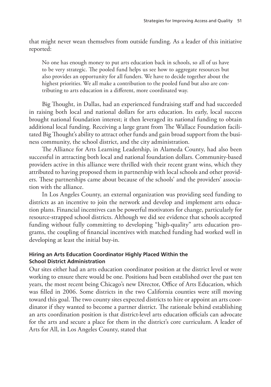that might never wean themselves from outside funding. As a leader of this initiative reported:

No one has enough money to put arts education back in schools, so all of us have to be very strategic. The pooled fund helps us see how to aggregate resources but also provides an opportunity for all funders. We have to decide together about the highest priorities. We all make a contribution to the pooled fund but also are contributing to arts education in a different, more coordinated way.

Big Thought, in Dallas, had an experienced fundraising staff and had succeeded in raising both local and national dollars for arts education. Its early, local success brought national foundation interest; it then leveraged its national funding to obtain additional local funding. Receiving a large grant from The Wallace Foundation facilitated Big Thought's ability to attract other funds and gain broad support from the business community, the school district, and the city administration.

The Alliance for Arts Learning Leadership, in Alameda County, had also been successful in attracting both local and national foundation dollars. Community-based providers active in this alliance were thrilled with their recent grant wins, which they attributed to having proposed them in partnership with local schools and other providers. These partnerships came about because of the schools' and the providers' association with the alliance.

In Los Angeles County, an external organization was providing seed funding to districts as an incentive to join the network and develop and implement arts education plans. Financial incentives can be powerful motivators for change, particularly for resource-strapped school districts. Although we did see evidence that schools accepted funding without fully committing to developing "high-quality" arts education programs, the coupling of financial incentives with matched funding had worked well in developing at least the initial buy-in.

# **Hiring an Arts Education Coordinator Highly Placed Within the School District Administration**

Our sites either had an arts education coordinator position at the district level or were working to ensure there would be one. Positions had been established over the past ten years, the most recent being Chicago's new Director, Office of Arts Education, which was filled in 2006. Some districts in the two California counties were still moving toward this goal. The two county sites expected districts to hire or appoint an arts coordinator if they wanted to become a partner district. The rationale behind establishing an arts coordination position is that district-level arts education officials can advocate for the arts and secure a place for them in the district's core curriculum. A leader of Arts for All, in Los Angeles County, stated that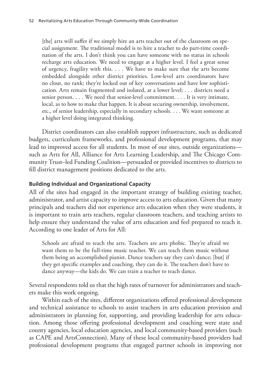[the] arts will suffer if we simply hire an arts teacher out of the classroom on special assignment. The traditional model is to hire a teacher to do part-time coordination of the arts. I don't think you can have someone with no status in schools recharge arts education. We need to engage at a higher level. I feel a great sense of urgency, fragility with this. . . . We have to make sure that the arts become embedded alongside other district priorities. Low-level arts coordinators have no clout, no rank; they're locked out of key conversations and have low sophistication. Arts remain fragmented and isolated, at a lower level; . . . districts need a senior person. . . . We need that senior-level commitment. . . . It is very intimate, local, as to how to make that happen. It is about securing ownership, involvement, etc., of senior leadership, especially in secondary schools. . . . We want someone at a higher level doing integrated thinking.

District coordinators can also establish support infrastructure, such as dedicated budgets, curriculum frameworks, and professional development programs, that may lead to improved access for all students. In most of our sites, outside organizations such as Arts for All, Alliance for Arts Learning Leadership, and The Chicago Community Trust–led Funding Coalition—persuaded or provided incentives to districts to fill district management positions dedicated to the arts.

## **Building Individual and Organizational Capacity**

All of the sites had engaged in the important strategy of building existing teacher, administrator, and artist capacity to improve access to arts education. Given that many principals and teachers did not experience arts education when they were students, it is important to train arts teachers, regular classroom teachers, and teaching artists to help ensure they understand the value of arts education and feel prepared to teach it. According to one leader of Arts for All:

Schools are afraid to teach the arts. Teachers are arts phobic. They're afraid we want them to be the full-time music teacher. We can teach them music without them being an accomplished pianist. Dance teachers say they can't dance; [but] if they get specific examples and coaching, they can do it. The teachers don't have to dance anyway—the kids do. We can train a teacher to teach dance.

Several respondents told us that the high rates of turnover for administrators and teachers make this work ongoing.

Within each of the sites, different organizations offered professional development and technical assistance to schools to assist teachers in arts education provision and administrators in planning for, supporting, and providing leadership for arts education. Among those offering professional development and coaching were state and county agencies, local education agencies, and local community-based providers (such as CAPE and ArtsConnection). Many of these local community-based providers had professional development programs that engaged partner schools in improving not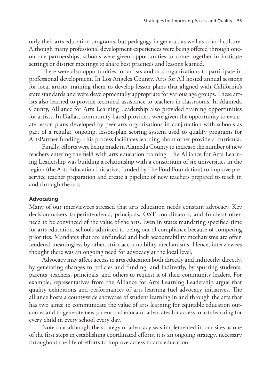only their arts education programs, but pedagogy in general, as well as school culture. Although many professional development experiences were being offered through oneon-one partnerships, schools were given opportunities to come together in institute settings or district meetings to share best practices and lessons learned.

There were also opportunities for artists and arts organizations to participate in professional development. In Los Angeles County, Arts for All hosted annual sessions for local artists, training them to develop lesson plans that aligned with California's state standards and were developmentally appropriate for various age groups. These artists also learned to provide technical assistance to teachers in classrooms. In Alameda County, Alliance for Arts Learning Leadership also provided training opportunities for artists. In Dallas, community-based providers were given the opportunity to evaluate lesson plans developed by peer arts organizations in conjunction with schools as part of a regular, ongoing, lesson-plan scoring system used to qualify programs for ArtsPartner funding. This process facilitates learning about other providers' curricula.

Finally, efforts were being made in Alameda County to increase the number of new teachers entering the field with arts education training. The Alliance for Arts Learning Leadership was building a relationship with a consortium of six universities in the region (the Arts Education Initiative, funded by The Ford Foundation) to improve preservice teacher preparation and create a pipeline of new teachers prepared to teach in and through the arts.

#### **Advocating**

Many of our interviewees stressed that arts education needs constant advocacy. Key decisionmakers (superintendents, principals, OST coordinators, and funders) often need to be convinced of the value of the arts. Even in states mandating specified time for arts education, schools admitted to being out of compliance because of competing priorities. Mandates that are unfunded and lack accountability mechanisms are often rendered meaningless by other, strict accountability mechanisms. Hence, interviewees thought there was an ongoing need for advocacy at the local level.

Advocacy may affect access to arts education both directly and indirectly: directly, by generating changes to policies and funding; and indirectly, by spurring students, parents, teachers, principals, and others to request it of their community leaders. For example, representatives from the Alliance for Arts Learning Leadership argue that quality exhibitions and performances of arts learning fuel advocacy initiatives. The alliance hosts a countywide showcase of student learning in and through the arts that has two aims: to communicate the value of arts learning for equitable education outcomes and to generate new parent and educator advocates for access to arts learning for every child in every school every day.

Note that although the strategy of advocacy was implemented in our sites as one of the first steps in establishing coordinated efforts, it is an ongoing strategy, necessary throughout the life of efforts to improve access to arts education.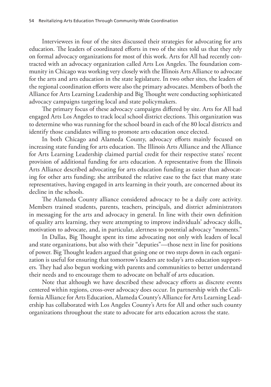Interviewees in four of the sites discussed their strategies for advocating for arts education. The leaders of coordinated efforts in two of the sites told us that they rely on formal advocacy organizations for most of this work. Arts for All had recently contracted with an advocacy organization called Arts Los Angeles. The foundation community in Chicago was working very closely with the Illinois Arts Alliance to advocate for the arts and arts education in the state legislature. In two other sites, the leaders of the regional coordination efforts were also the primary advocates. Members of both the Alliance for Arts Learning Leadership and Big Thought were conducting sophisticated advocacy campaigns targeting local and state policymakers.

The primary focus of these advocacy campaigns differed by site. Arts for All had engaged Arts Los Angeles to track local school district elections. This organization was to determine who was running for the school board in each of the 80 local districts and identify those candidates willing to promote arts education once elected.

In both Chicago and Alameda County, advocacy efforts mainly focused on increasing state funding for arts education. The Illinois Arts Alliance and the Alliance for Arts Learning Leadership claimed partial credit for their respective states' recent provision of additional funding for arts education. A representative from the Illinois Arts Alliance described advocating for arts education funding as easier than advocating for other arts funding; she attributed the relative ease to the fact that many state representatives, having engaged in arts learning in their youth, are concerned about its decline in the schools.

The Alameda County alliance considered advocacy to be a daily core activity. Members trained students, parents, teachers, principals, and district administrators in messaging for the arts and advocacy in general. In line with their own definition of quality arts learning, they were attempting to improve individuals' advocacy skills, motivation to advocate, and, in particular, alertness to potential advocacy "moments."

In Dallas, Big Thought spent its time advocating not only with leaders of local and state organizations, but also with their "deputies"—those next in line for positions of power. Big Thought leaders argued that going one or two steps down in each organization is useful for ensuring that tomorrow's leaders are today's arts education supporters. They had also begun working with parents and communities to better understand their needs and to encourage them to advocate on behalf of arts education.

Note that although we have described these advocacy efforts as discrete events centered within regions, cross-over advocacy does occur. In partnership with the California Alliance for Arts Education, Alameda County's Alliance for Arts Learning Leadership has collaborated with Los Angeles County's Arts for All and other such county organizations throughout the state to advocate for arts education across the state.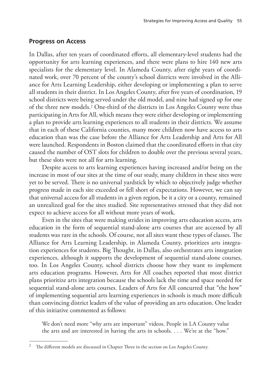#### **Progress on Access**

In Dallas, after ten years of coordinated efforts, all elementary-level students had the opportunity for arts learning experiences, and there were plans to hire 140 new arts specialists for the elementary level. In Alameda County, after eight years of coordinated work, over 70 percent of the county's school districts were involved in the Alliance for Arts Learning Leadership, either developing or implementing a plan to serve all students in their district. In Los Angeles County, after five years of coordination, 19 school districts were being served under the old model, and nine had signed up for one of the three new models.2 One-third of the districts in Los Angeles County were thus participating in Arts for All, which means they were either developing or implementing a plan to provide arts learning experiences to all students in their districts. We assume that in each of these California counties, many more children now have access to arts education than was the case before the Alliance for Arts Leadership and Arts for All were launched. Respondents in Boston claimed that the coordinated efforts in that city caused the number of OST slots for children to double over the previous several years, but these slots were not all for arts learning.

Despite access to arts learning experiences having increased and/or being on the increase in most of our sites at the time of our study, many children in these sites were yet to be served. There is no universal yardstick by which to objectively judge whether progress made in each site exceeded or fell short of expectations. However, we can say that universal access for all students in a given region, be it a city or a county, remained an unrealized goal for the sites studied. Site representatives stressed that they did not expect to achieve access for all without more years of work.

Even in the sites that were making strides in improving arts education access, arts education in the form of sequential stand-alone arts courses that are accessed by all students was rare in the schools. Of course, not all sites want these types of classes. The Alliance for Arts Learning Leadership, in Alameda County, prioritizes arts integration experiences for students. Big Thought, in Dallas, also orchestrates arts integration experiences, although it supports the development of sequential stand-alone courses, too. In Los Angeles County, school districts choose how they want to implement arts education programs. However, Arts for All coaches reported that most district plans prioritize arts integration because the schools lack the time and space needed for sequential stand-alone arts courses. Leaders of Arts for All concurred that "the how" of implementing sequential arts learning experiences in schools is much more difficult than convincing district leaders of the value of providing an arts education. One leader of this initiative commented as follows:

We don't need more "why arts are important" videos. People in LA County value the arts and are interested in having the arts in schools. . . . We're at the "how."

 $2$  The different models are discussed in Chapter Three in the section on Los Angeles County.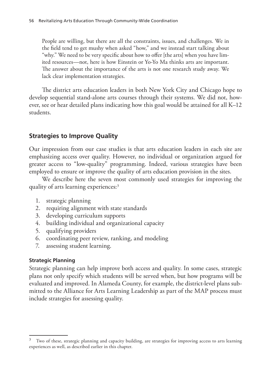People are willing, but there are all the constraints, issues, and challenges. We in the field tend to get mushy when asked "how," and we instead start talking about "why." We need to be very specific about how to offer [the arts] when you have limited resources—not, here is how Einstein or Yo-Yo Ma thinks arts are important. The answer about the importance of the arts is not one research study away. We lack clear implementation strategies.

The district arts education leaders in both New York City and Chicago hope to develop sequential stand-alone arts courses through their systems. We did not, however, see or hear detailed plans indicating how this goal would be attained for all K–12 students.

# **Strategies to Improve Quality**

Our impression from our case studies is that arts education leaders in each site are emphasizing access over quality. However, no individual or organization argued for greater access to "low-quality" programming. Indeed, various strategies have been employed to ensure or improve the quality of arts education provision in the sites.

We describe here the seven most commonly used strategies for improving the quality of arts learning experiences:3

- 1. strategic planning
- 2. requiring alignment with state standards
- 3. developing curriculum supports
- 4. building individual and organizational capacity
- 5. qualifying providers
- 6. coordinating peer review, ranking, and modeling
- 7. assessing student learning.

### **Strategic Planning**

Strategic planning can help improve both access and quality. In some cases, strategic plans not only specify which students will be served when, but how programs will be evaluated and improved. In Alameda County, for example, the district-level plans submitted to the Alliance for Arts Learning Leadership as part of the MAP process must include strategies for assessing quality.

Two of these, strategic planning and capacity building, are strategies for improving access to arts learning experiences as well, as described earlier in this chapter.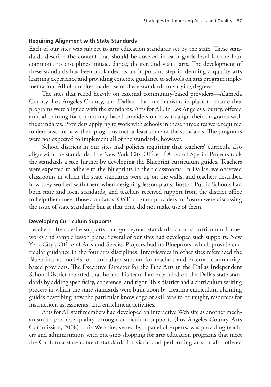#### **Requiring Alignment with State Standards**

Each of our sites was subject to arts education standards set by the state. These standards describe the content that should be covered in each grade level for the four common arts disciplines: music, dance, theater, and visual arts. The development of these standards has been applauded as an important step in defining a quality arts learning experience and providing concrete guidance to schools on arts program implementation. All of our sites made use of these standards to varying degrees.

The sites that relied heavily on external community-based providers—Alameda County, Los Angeles County, and Dallas—had mechanisms in place to ensure that programs were aligned with the standards. Arts for All, in Los Angeles County, offered annual training for community-based providers on how to align their programs with the standards. Providers applying to work with schools in these three sites were required to demonstrate how their programs met at least some of the standards. The programs were not expected to implement all of the standards, however.

School districts in our sites had policies requiring that teachers' curricula also align with the standards. The New York City Office of Arts and Special Projects took the standards a step further by developing the Blueprint curriculum guides. Teachers were expected to adhere to the Blueprints in their classrooms. In Dallas, we observed classrooms in which the state standards were up on the walls, and teachers described how they worked with them when designing lesson plans. Boston Public Schools had both state and local standards, and teachers received support from the district office to help them meet those standards. OST program providers in Boston were discussing the issue of state standards but at that time did not make use of them.

#### **Developing Curriculum Supports**

Teachers often desire supports that go beyond standards, such as curriculum frameworks and sample lesson plans. Several of our sites had developed such supports. New York City's Office of Arts and Special Projects had its Blueprints, which provide curricular guidance in the four arts disciplines. Interviewees in other sites referenced the Blueprints as models for curriculum support for teachers and external communitybased providers. The Executive Director for the Fine Arts in the Dallas Independent School District reported that he and his team had expanded on the Dallas state standards by adding specificity, coherence, and rigor. This district had a curriculum writing process in which the state standards were built upon by creating curriculum planning guides describing how the particular knowledge or skill was to be taught, resources for instruction, assessments, and enrichment activities.

Arts for All staff members had developed an interactive Web site as another mechanism to promote quality through curriculum supports (Los Angeles County Arts Commission, 2008). This Web site, vetted by a panel of experts, was providing teachers and administrators with one-stop shopping for arts education programs that meet the California state content standards for visual and performing arts. It also offered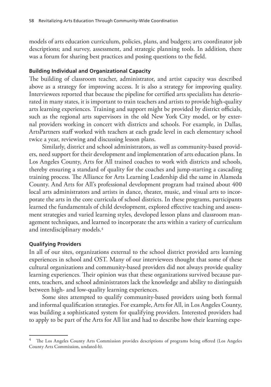models of arts education curriculum, policies, plans, and budgets; arts coordinator job descriptions; and survey, assessment, and strategic planning tools. In addition, there was a forum for sharing best practices and posing questions to the field.

#### **Building Individual and Organizational Capacity**

The building of classroom teacher, administrator, and artist capacity was described above as a strategy for improving access. It is also a strategy for improving quality. Interviewees reported that because the pipeline for certified arts specialists has deteriorated in many states, it is important to train teachers and artists to provide high-quality arts learning experiences. Training and support might be provided by district officials, such as the regional arts supervisors in the old New York City model, or by external providers working in concert with districts and schools. For example, in Dallas, ArtsPartners staff worked with teachers at each grade level in each elementary school twice a year, reviewing and discussing lesson plans.

Similarly, district and school administrators, as well as community-based providers, need support for their development and implementation of arts education plans. In Los Angeles County, Arts for All trained coaches to work with districts and schools, thereby ensuring a standard of quality for the coaches and jump-starting a cascading training process. The Alliance for Arts Learning Leadership did the same in Alameda County. And Arts for All's professional development program had trained about 400 local arts administrators and artists in dance, theater, music, and visual arts to incorporate the arts in the core curricula of school districts. In these programs, participants learned the fundamentals of child development, explored effective teaching and assessment strategies and varied learning styles, developed lesson plans and classroom management techniques, and learned to incorporate the arts within a variety of curriculum and interdisciplinary models.4

#### **Qualifying Providers**

In all of our sites, organizations external to the school district provided arts learning experiences in school and OST. Many of our interviewees thought that some of these cultural organizations and community-based providers did not always provide quality learning experiences. Their opinion was that these organizations survived because parents, teachers, and school administrators lack the knowledge and ability to distinguish between high- and low-quality learning experiences.

Some sites attempted to qualify community-based providers using both formal and informal qualification strategies. For example, Arts for All, in Los Angeles County, was building a sophisticated system for qualifying providers. Interested providers had to apply to be part of the Arts for All list and had to describe how their learning expe-

<sup>4</sup> The Los Angeles County Arts Commission provides descriptions of programs being offered (Los Angeles County Arts Commission, undated-b).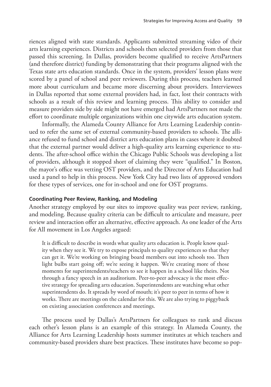riences aligned with state standards. Applicants submitted streaming video of their arts learning experiences. Districts and schools then selected providers from those that passed this screening. In Dallas, providers become qualified to receive ArtsPartners (and therefore district) funding by demonstrating that their programs aligned with the Texas state arts education standards. Once in the system, providers' lesson plans were scored by a panel of school and peer reviewers. During this process, teachers learned more about curriculum and became more discerning about providers. Interviewees in Dallas reported that some external providers had, in fact, lost their contracts with schools as a result of this review and learning process. This ability to consider and measure providers side by side might not have emerged had ArtsPartners not made the effort to coordinate multiple organizations within one citywide arts education system.

Informally, the Alameda County Alliance for Arts Learning Leadership continued to refer the same set of external community-based providers to schools. The alliance refused to fund school and district arts education plans in cases where it doubted that the external partner would deliver a high-quality arts learning experience to students. The after-school office within the Chicago Public Schools was developing a list of providers, although it stopped short of claiming they were "qualified." In Boston, the mayor's office was vetting OST providers, and the Director of Arts Education had used a panel to help in this process. New York City had two lists of approved vendors for these types of services, one for in-school and one for OST programs.

#### **Coordinating Peer Review, Ranking, and Modeling**

Another strategy employed by our sites to improve quality was peer review, ranking, and modeling. Because quality criteria can be difficult to articulate and measure, peer review and interaction offer an alternative, effective approach. As one leader of the Arts for All movement in Los Angeles argued:

It is difficult to describe in words what quality arts education is. People know quality when they see it. We try to expose principals to quality experiences so that they can get it. We're working on bringing board members out into schools too. Then light bulbs start going off; we're seeing it happen. We're creating more of those moments for superintendents/teachers to see it happen in a school like theirs. Not through a fancy speech in an auditorium. Peer-to-peer advocacy is the most effective strategy for spreading arts education. Superintendents are watching what other superintendents do. It spreads by word of mouth; it's peer to peer in terms of how it works. There are meetings on the calendar for this. We are also trying to piggyback on existing association conferences and meetings.

The process used by Dallas's ArtsPartners for colleagues to rank and discuss each other's lesson plans is an example of this strategy. In Alameda County, the Alliance for Arts Learning Leadership hosts summer institutes at which teachers and community-based providers share best practices. These institutes have become so pop-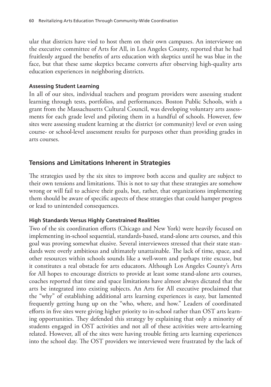ular that districts have vied to host them on their own campuses. An interviewee on the executive committee of Arts for All, in Los Angeles County, reported that he had fruitlessly argued the benefits of arts education with skeptics until he was blue in the face, but that these same skeptics became converts after observing high-quality arts education experiences in neighboring districts.

#### **Assessing Student Learning**

In all of our sites, individual teachers and program providers were assessing student learning through tests, portfolios, and performances. Boston Public Schools, with a grant from the Massachusetts Cultural Council, was developing voluntary arts assessments for each grade level and piloting them in a handful of schools. However, few sites were assessing student learning at the district (or community) level or even using course- or school-level assessment results for purposes other than providing grades in arts courses.

# **Tensions and Limitations Inherent in Strategies**

The strategies used by the six sites to improve both access and quality are subject to their own tensions and limitations. This is not to say that these strategies are somehow wrong or will fail to achieve their goals, but, rather, that organizations implementing them should be aware of specific aspects of these strategies that could hamper progress or lead to unintended consequences.

### **High Standards Versus Highly Constrained Realities**

Two of the six coordination efforts (Chicago and New York) were heavily focused on implementing in-school sequential, standards-based, stand-alone arts courses, and this goal was proving somewhat elusive. Several interviewees stressed that their state standards were overly ambitious and ultimately unattainable. The lack of time, space, and other resources within schools sounds like a well-worn and perhaps trite excuse, but it constitutes a real obstacle for arts educators. Although Los Angeles County's Arts for All hopes to encourage districts to provide at least some stand-alone arts courses, coaches reported that time and space limitations have almost always dictated that the arts be integrated into existing subjects. An Arts for All executive proclaimed that the "why" of establishing additional arts learning experiences is easy, but lamented frequently getting hung up on the "who, where, and how." Leaders of coordinated efforts in five sites were giving higher priority to in-school rather than OST arts learning opportunities. They defended this strategy by explaining that only a minority of students engaged in OST activities and not all of these activities were arts-learning related. However, all of the sites were having trouble fitting arts learning experiences into the school day. The OST providers we interviewed were frustrated by the lack of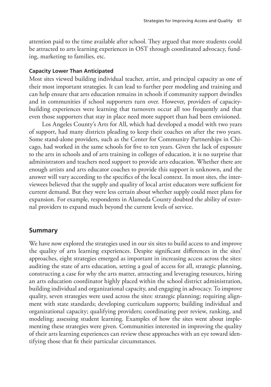attention paid to the time available after school. They argued that more students could be attracted to arts learning experiences in OST through coordinated advocacy, funding, marketing to families, etc.

#### **Capacity Lower Than Anticipated**

Most sites viewed building individual teacher, artist, and principal capacity as one of their most important strategies. It can lead to further peer modeling and training and can help ensure that arts education remains in schools if community support dwindles and in communities if school supporters turn over. However, providers of capacitybuilding experiences were learning that turnovers occur all too frequently and that even those supporters that stay in place need more support than had been envisioned.

Los Angeles County's Arts for All, which had developed a model with two years of support, had many districts pleading to keep their coaches on after the two years. Some stand-alone providers, such as the Center for Community Partnerships in Chicago, had worked in the same schools for five to ten years. Given the lack of exposure to the arts in schools and of arts training in colleges of education, it is no surprise that administrators and teachers need support to provide arts education. Whether there are enough artists and arts educator coaches to provide this support is unknown, and the answer will vary according to the specifics of the local context. In most sites, the interviewees believed that the supply and quality of local artist educators were sufficient for current demand. But they were less certain about whether supply could meet plans for expansion. For example, respondents in Alameda County doubted the ability of external providers to expand much beyond the current levels of service.

#### **Summary**

We have now explored the strategies used in our six sites to build access to and improve the quality of arts learning experiences. Despite significant differences in the sites' approaches, eight strategies emerged as important in increasing access across the sites: auditing the state of arts education, setting a goal of access for all, strategic planning, constructing a case for why the arts matter, attracting and leveraging resources, hiring an arts education coordinator highly placed within the school district administration, building individual and organizational capacity, and engaging in advocacy. To improve quality, seven strategies were used across the sites: strategic planning; requiring alignment with state standards; developing curriculum supports; building individual and organizational capacity; qualifying providers; coordinating peer review, ranking, and modeling; assessing student learning. Examples of how the sites went about implementing these strategies were given. Communities interested in improving the quality of their arts learning experiences can review these approaches with an eye toward identifying those that fit their particular circumstances.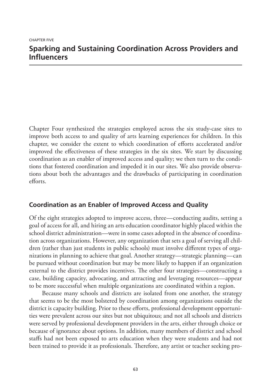# **Sparking and Sustaining Coordination Across Providers and Influencers**

Chapter Four synthesized the strategies employed across the six study-case sites to improve both access to and quality of arts learning experiences for children. In this chapter, we consider the extent to which coordination of efforts accelerated and/or improved the effectiveness of these strategies in the six sites. We start by discussing coordination as an enabler of improved access and quality; we then turn to the conditions that fostered coordination and impeded it in our sites. We also provide observations about both the advantages and the drawbacks of participating in coordination efforts.

# **Coordination as an Enabler of Improved Access and Quality**

Of the eight strategies adopted to improve access, three—conducting audits, setting a goal of access for all, and hiring an arts education coordinator highly placed within the school district administration—were in some cases adopted in the absence of coordination across organizations. However, any organization that sets a goal of serving all children (rather than just students in public schools) must involve different types of organizations in planning to achieve that goal. Another strategy—strategic planning—can be pursued without coordination but may be more likely to happen if an organization external to the district provides incentives. The other four strategies—constructing a case, building capacity, advocating, and attracting and leveraging resources—appear to be more successful when multiple organizations are coordinated within a region.

Because many schools and districts are isolated from one another, the strategy that seems to be the most bolstered by coordination among organizations outside the district is capacity building. Prior to these efforts, professional development opportunities were prevalent across our sites but not ubiquitous; and not all schools and districts were served by professional development providers in the arts, either through choice or because of ignorance about options. In addition, many members of district and school staffs had not been exposed to arts education when they were students and had not been trained to provide it as professionals. Therefore, any artist or teacher seeking pro-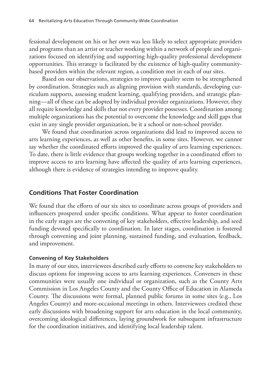fessional development on his or her own was less likely to select appropriate providers and programs than an artist or teacher working within a network of people and organizations focused on identifying and supporting high-quality professional development opportunities. This strategy is facilitated by the existence of high-quality communitybased providers within the relevant region, a condition met in each of our sites.

Based on our observations, strategies to improve quality seem to be strengthened by coordination. Strategies such as aligning provision with standards, developing curriculum supports, assessing student learning, qualifying providers, and strategic planning—all of these can be adopted by individual provider organizations. However, they all require knowledge and skills that not every provider possesses. Coordination among multiple organizations has the potential to overcome the knowledge and skill gaps that exist in any single provider organization, be it a school or non-school provider.

We found that coordination across organizations did lead to improved access to arts learning experiences, as well as other benefits, in some sites. However, we cannot say whether the coordinated efforts improved the quality of arts learning experiences. To date, there is little evidence that groups working together in a coordinated effort to improve access to arts learning have affected the quality of arts learning experiences, although there is evidence of strategies intending to improve quality.

# **Conditions That Foster Coordination**

We found that the efforts of our six sites to coordinate across groups of providers and influencers prospered under specific conditions. What appear to foster coordination in the early stages are the convening of key stakeholders, effective leadership, and seed funding devoted specifically to coordination. In later stages, coordination is fostered through convening and joint planning, sustained funding, and evaluation, feedback, and improvement.

#### **Convening of Key Stakeholders**

In many of our sites, interviewees described early efforts to convene key stakeholders to discuss options for improving access to arts learning experiences. Conveners in these communities were usually one individual or organization, such as the County Arts Commission in Los Angeles County and the County Office of Education in Alameda County. The discussions were formal, planned public forums in some sites (e.g., Los Angeles County) and more-occasional meetings in others. Interviewees credited these early discussions with broadening support for arts education in the local community, overcoming ideological differences, laying groundwork for subsequent infrastructure for the coordination initiatives, and identifying local leadership talent.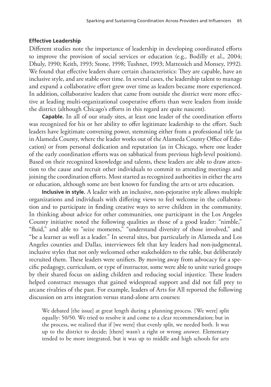#### **Effective Leadership**

Different studies note the importance of leadership in developing coordinated efforts to improve the provision of social services or education (e.g., Bodilly et al., 2004; Dhuly, 1990; Keith, 1993; Stone, 1998; Tushnet, 1993; Mattessich and Monsey, 1992). We found that effective leaders share certain characteristics: They are capable, have an inclusive style, and are stable over time. In several cases, the leadership talent to manage and expand a collaborative effort grew over time as leaders became more experienced. In addition, collaborative leaders that came from outside the district were more effective at leading multi-organizational cooperative efforts than were leaders from inside the district (although Chicago's efforts in this regard are quite nascent).

**Capable.** In all of our study sites, at least one leader of the coordination efforts was recognized for his or her ability to offer legitimate leadership to the effort. Such leaders have legitimate convening power, stemming either from a professional title (as in Alameda County, where the leader works out of the Alameda County Office of Education) or from personal dedication and reputation (as in Chicago, where one leader of the early coordination efforts was on sabbatical from previous high-level positions). Based on their recognized knowledge and talents, these leaders are able to draw attention to the cause and recruit other individuals to commit to attending meetings and joining the coordination efforts. Most started as recognized authorities in either the arts or education, although some are best known for funding the arts or arts education.

**Inclusive in style.** A leader with an inclusive, non-pejorative style allows multiple organizations and individuals with differing views to feel welcome in the collaboration and to participate in finding creative ways to serve children in the community. In thinking about advice for other communities, one participant in the Los Angeles County initiative noted the following qualities as those of a good leader: "nimble," "fluid," and able to "seize moments," "understand diversity of those involved," and "be a learner as well as a leader." In several sites, but particularly in Alameda and Los Angeles counties and Dallas, interviewees felt that key leaders had non-judgmental, inclusive styles that not only welcomed other stakeholders to the table, but deliberately recruited them. These leaders were unifiers. By moving away from advocacy for a specific pedagogy, curriculum, or type of instructor, some were able to unite varied groups by their shared focus on aiding children and reducing social injustice. These leaders helped construct messages that gained widespread support and did not fall prey to arcane rivalries of the past. For example, leaders of Arts for All reported the following discussion on arts integration versus stand-alone arts courses:

We debated [the issue] at great length during a planning process. [We were] split equally: 50/50. We tried to resolve it and come to a clear recommendation; but in the process, we realized that if [we were] that evenly split, we needed both. It was up to the district to decide; [there] wasn't a right or wrong answer. Elementary tended to be more integrated, but it was up to middle and high schools for arts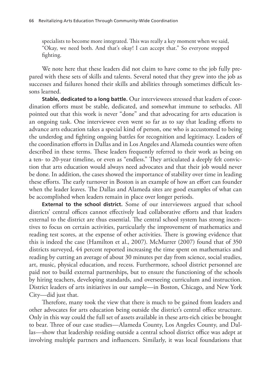specialists to become more integrated. This was really a key moment when we said, "Okay, we need both. And that's okay! I can accept that." So everyone stopped fighting.

We note here that these leaders did not claim to have come to the job fully prepared with these sets of skills and talents. Several noted that they grew into the job as successes and failures honed their skills and abilities through sometimes difficult lessons learned.

**Stable, dedicated to a long battle.** Our interviewees stressed that leaders of coordination efforts must be stable, dedicated, and somewhat immune to setbacks. All pointed out that this work is never "done" and that advocating for arts education is an ongoing task. One interviewee even went so far as to say that leading efforts to advance arts education takes a special kind of person, one who is accustomed to being the underdog and fighting ongoing battles for recognition and legitimacy. Leaders of the coordination efforts in Dallas and in Los Angeles and Alameda counties were often described in these terms. These leaders frequently referred to their work as being on a ten- to 20-year timeline, or even as "endless." They articulated a deeply felt conviction that arts education would always need advocates and that their job would never be done. In addition, the cases showed the importance of stability over time in leading these efforts. The early turnover in Boston is an example of how an effort can founder when the leader leaves. The Dallas and Alameda sites are good examples of what can be accomplished when leaders remain in place over longer periods.

**External to the school district.** Some of our interviewees argued that school districts' central offices cannot effectively lead collaborative efforts and that leaders external to the district are thus essential. The central school system has strong incentives to focus on certain activities, particularly the improvement of mathematics and reading test scores, at the expense of other activities. There is growing evidence that this is indeed the case (Hamilton et al., 2007). McMurrer (2007) found that of 350 districts surveyed, 44 percent reported increasing the time spent on mathematics and reading by cutting an average of about 30 minutes per day from science, social studies, art, music, physical education, and recess. Furthermore, school district personnel are paid not to build external partnerships, but to ensure the functioning of the schools by hiring teachers, developing standards, and overseeing curriculum and instruction. District leaders of arts initiatives in our sample—in Boston, Chicago, and New York City—did just that.

Therefore, many took the view that there is much to be gained from leaders and other advocates for arts education being outside the district's central office structure. Only in this way could the full set of assets available in these arts-rich cities be brought to bear. Three of our case studies—Alameda County, Los Angeles County, and Dallas—show that leadership residing outside a central school district office was adept at involving multiple partners and influencers. Similarly, it was local foundations that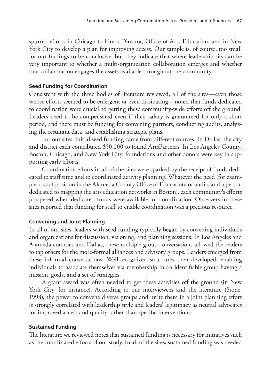spurred efforts in Chicago to hire a Director, Office of Arts Education, and in New York City to develop a plan for improving access. Our sample is, of course, too small for our findings to be conclusive, but they indicate that where leadership sits can be very important to whether a multi-organization collaboration emerges and whether that collaboration engages the assets available throughout the community.

#### **Seed Funding for Coordination**

Consistent with the three bodies of literature reviewed, all of the sites—even those whose efforts seemed to be emergent or even dissipating—noted that funds dedicated to coordination were crucial to getting these community-wide efforts off the ground. Leaders need to be compensated even if their salary is guaranteed for only a short period, and there must be funding for convening partners, conducting audits, analyzing the resultant data, and establishing strategic plans.

For our sites, initial seed funding came from different sources. In Dallas, the city and district each contributed \$50,000 to found ArtsPartners. In Los Angeles County, Boston, Chicago, and New York City, foundations and other donors were key in supporting early efforts.

Coordination efforts in all of the sites were sparked by the receipt of funds dedicated to staff time and to coordinated activity planning. Whatever the need (for example, a staff position in the Alameda County Office of Education, or audits and a person dedicated to mapping the arts education networks in Boston), each community's efforts prospered when dedicated funds were available for coordination. Observers in these sites reported that funding for staff to enable coordination was a precious resource.

### **Convening and Joint Planning**

In all of our sites, leaders with seed funding typically began by convening individuals and organizations for discussion, visioning, and planning sessions. In Los Angeles and Alameda counties and Dallas, these multiple group conversations allowed the leaders to tap others for the more-formal alliances and advisory groups. Leaders emerged from these informal conversations. Well-recognized structures then developed, enabling individuals to associate themselves via membership in an identifiable group having a mission, goals, and a set of strategies.

A grant award was often needed to get these activities off the ground (in New York City, for instance). According to our interviewees and the literature (Stone, 1998), the power to convene diverse groups and unite them in a joint planning effort is strongly correlated with leadership style and leaders' legitimacy as neutral advocates for improved access and quality rather than specific interventions.

### **Sustained Funding**

The literature we reviewed notes that sustained funding is necessary for initiatives such as the coordinated efforts of our study. In all of the sites, sustained funding was needed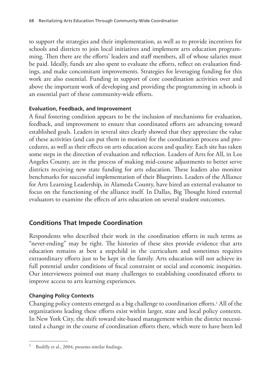to support the strategies and their implementation, as well as to provide incentives for schools and districts to join local initiatives and implement arts education programming. Then there are the efforts' leaders and staff members, all of whose salaries must be paid. Ideally, funds are also spent to evaluate the efforts, reflect on evaluation findings, and make concomitant improvements. Strategies for leveraging funding for this work are also essential. Funding in support of core coordination activities over and above the important work of developing and providing the programming in schools is an essential part of these community-wide efforts.

### **Evaluation, Feedback, and Improvement**

A final fostering condition appears to be the inclusion of mechanisms for evaluation, feedback, and improvement to ensure that coordinated efforts are advancing toward established goals. Leaders in several sites clearly showed that they appreciate the value of these activities (and can put them in motion) for the coordination process and procedures, as well as their effects on arts education access and quality. Each site has taken some steps in the direction of evaluation and reflection. Leaders of Arts for All, in Los Angeles County, are in the process of making mid-course adjustments to better serve districts receiving new state funding for arts education. These leaders also monitor benchmarks for successful implementation of their Blueprints. Leaders of the Alliance for Arts Learning Leadership, in Alameda County, have hired an external evaluator to focus on the functioning of the alliance itself. In Dallas, Big Thought hired external evaluators to examine the effects of arts education on several student outcomes.

# **Conditions That Impede Coordination**

Respondents who described their work in the coordination efforts in such terms as "never-ending" may be right. The histories of these sites provide evidence that arts education remains at best a stepchild in the curriculum and sometimes requires extraordinary efforts just to be kept in the family. Arts education will not achieve its full potential under conditions of fiscal constraint or social and economic inequities. Our interviewees pointed out many challenges to establishing coordinated efforts to improve access to arts learning experiences.

### **Changing Policy Contexts**

Changing policy contexts emerged as a big challenge to coordination efforts.1 All of the organizations leading these efforts exist within larger, state and local policy contexts. In New York City, the shift toward site-based management within the district necessitated a change in the course of coordination efforts there, which were to have been led

<sup>&</sup>lt;sup>1</sup> Bodilly et al., 2004, presents similar findings.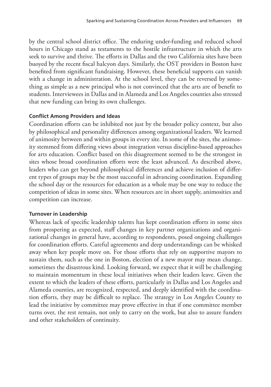by the central school district office. The enduring under-funding and reduced school hours in Chicago stand as testaments to the hostile infrastructure in which the arts seek to survive and thrive. The efforts in Dallas and the two California sites have been buoyed by the recent fiscal halcyon days. Similarly, the OST providers in Boston have benefited from significant fundraising. However, these beneficial supports can vanish with a change in administration. At the school level, they can be reversed by something as simple as a new principal who is not convinced that the arts are of benefit to students. Interviewees in Dallas and in Alameda and Los Angeles counties also stressed that new funding can bring its own challenges.

### **Conflict Among Providers and Ideas**

Coordination efforts can be inhibited not just by the broader policy context, but also by philosophical and personality differences among organizational leaders. We learned of animosity between and within groups in every site. In some of the sites, the animosity stemmed from differing views about integration versus discipline-based approaches for arts education. Conflict based on this disagreement seemed to be the strongest in sites whose broad coordination efforts were the least advanced. As described above, leaders who can get beyond philosophical differences and achieve inclusion of different types of groups may be the most successful in advancing coordination. Expanding the school day or the resources for education as a whole may be one way to reduce the competition of ideas in some sites. When resources are in short supply, animosities and competition can increase.

### **Turnover in Leadership**

Whereas lack of specific leadership talents has kept coordination efforts in some sites from prospering as expected, staff changes in key partner organizations and organizational changes in general have, according to respondents, posed ongoing challenges for coordination efforts. Careful agreements and deep understandings can be whisked away when key people move on. For those efforts that rely on supportive mayors to sustain them, such as the one in Boston, election of a new mayor may mean change, sometimes the disastrous kind. Looking forward, we expect that it will be challenging to maintain momentum in these local initiatives when their leaders leave. Given the extent to which the leaders of these efforts, particularly in Dallas and Los Angeles and Alameda counties, are recognized, respected, and deeply identified with the coordination efforts, they may be difficult to replace. The strategy in Los Angeles County to lead the initiative by committee may prove effective in that if one committee member turns over, the rest remain, not only to carry on the work, but also to assure funders and other stakeholders of continuity.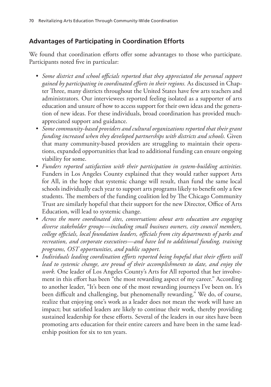# **Advantages of Participating in Coordination Efforts**

We found that coordination efforts offer some advantages to those who participate. Participants noted five in particular:

- *• Some district and school officials reported that they appreciated the personal support gained by participating in coordinated efforts in their regions.* As discussed in Chapter Three, many districts throughout the United States have few arts teachers and administrators. Our interviewees reported feeling isolated as a supporter of arts education and unsure of how to access support for their own ideas and the generation of new ideas. For these individuals, broad coordination has provided muchappreciated support and guidance.
- *• Some community-based providers and cultural organizations reported that their grant funding increased when they developed partnerships with districts and schools.* Given that many community-based providers are struggling to maintain their operations, expanded opportunities that lead to additional funding can ensure ongoing viability for some.
- *• Funders reported satisfaction with their participation in system-building activities.* Funders in Los Angeles County explained that they would rather support Arts for All, in the hope that systemic change will result, than fund the same local schools individually each year to support arts programs likely to benefit only a few students. The members of the funding coalition led by The Chicago Community Trust are similarly hopeful that their support for the new Director, Office of Arts Education, will lead to systemic change.
- *• Across the more coordinated sites, conversations about arts education are engaging diverse stakeholder groups—including small business owners, city council members, college officials, local foundation leaders, officials from city departments of parks and recreation, and corporate executives—and have led to additional funding, training programs, OST opportunities, and public support.*
- *• Individuals leading coordination efforts reported being hopeful that their efforts will lead to systemic change, are proud of their accomplishments to date, and enjoy the work.* One leader of Los Angeles County's Arts for All reported that her involvement in this effort has been "the most rewarding aspect of my career." According to another leader, "It's been one of the most rewarding journeys I've been on. It's been difficult and challenging, but phenomenally rewarding." We do, of course, realize that enjoying one's work as a leader does not mean the work will have an impact; but satisfied leaders are likely to continue their work, thereby providing sustained leadership for these efforts. Several of the leaders in our sites have been promoting arts education for their entire careers and have been in the same leadership position for six to ten years.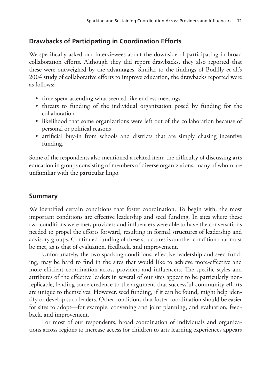# **Drawbacks of Participating in Coordination Efforts**

We specifically asked our interviewees about the downside of participating in broad collaboration efforts. Although they did report drawbacks, they also reported that these were outweighed by the advantages. Similar to the findings of Bodilly et al.'s 2004 study of collaborative efforts to improve education, the drawbacks reported were as follows:

- time spent attending what seemed like endless meetings
- threats to funding of the individual organization posed by funding for the collaboration
- likelihood that some organizations were left out of the collaboration because of personal or political reasons
- artificial buy-in from schools and districts that are simply chasing incentive funding.

Some of the respondents also mentioned a related item: the difficulty of discussing arts education in groups consisting of members of diverse organizations, many of whom are unfamiliar with the particular lingo.

# **Summary**

We identified certain conditions that foster coordination. To begin with, the most important conditions are effective leadership and seed funding. In sites where these two conditions were met, providers and influencers were able to have the conversations needed to propel the efforts forward, resulting in formal structures of leadership and advisory groups. Continued funding of these structures is another condition that must be met, as is that of evaluation, feedback, and improvement.

Unfortunately, the two sparking conditions, effective leadership and seed funding, may be hard to find in the sites that would like to achieve more-effective and more-efficient coordination across providers and influencers. The specific styles and attributes of the effective leaders in several of our sites appear to be particularly nonreplicable, lending some credence to the argument that successful community efforts are unique to themselves. However, seed funding, if it can be found, might help identify or develop such leaders. Other conditions that foster coordination should be easier for sites to adopt—for example, convening and joint planning, and evaluation, feedback, and improvement.

For most of our respondents, broad coordination of individuals and organizations across regions to increase access for children to arts learning experiences appears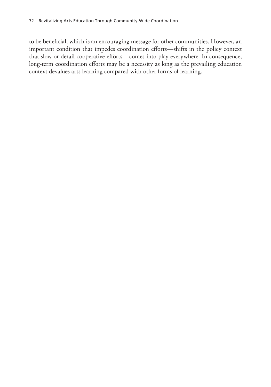to be beneficial, which is an encouraging message for other communities. However, an important condition that impedes coordination efforts—shifts in the policy context that slow or derail cooperative efforts—comes into play everywhere. In consequence, long-term coordination efforts may be a necessity as long as the prevailing education context devalues arts learning compared with other forms of learning.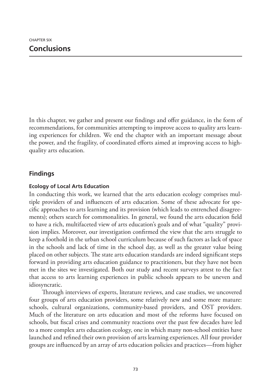In this chapter, we gather and present our findings and offer guidance, in the form of recommendations, for communities attempting to improve access to quality arts learning experiences for children. We end the chapter with an important message about the power, and the fragility, of coordinated efforts aimed at improving access to highquality arts education.

# **Findings**

#### **Ecology of Local Arts Education**

In conducting this work, we learned that the arts education ecology comprises multiple providers of and influencers of arts education. Some of these advocate for specific approaches to arts learning and its provision (which leads to entrenched disagreements); others search for commonalities. In general, we found the arts education field to have a rich, multifaceted view of arts education's goals and of what "quality" provision implies. Moreover, our investigation confirmed the view that the arts struggle to keep a foothold in the urban school curriculum because of such factors as lack of space in the schools and lack of time in the school day, as well as the greater value being placed on other subjects. The state arts education standards are indeed significant steps forward in providing arts education guidance to practitioners, but they have not been met in the sites we investigated. Both our study and recent surveys attest to the fact that access to arts learning experiences in public schools appears to be uneven and idiosyncratic.

Through interviews of experts, literature reviews, and case studies, we uncovered four groups of arts education providers, some relatively new and some more mature: schools, cultural organizations, community-based providers, and OST providers. Much of the literature on arts education and most of the reforms have focused on schools, but fiscal crises and community reactions over the past few decades have led to a more complex arts education ecology, one in which many non-school entities have launched and refined their own provision of arts learning experiences. All four provider groups are influenced by an array of arts education policies and practices—from higher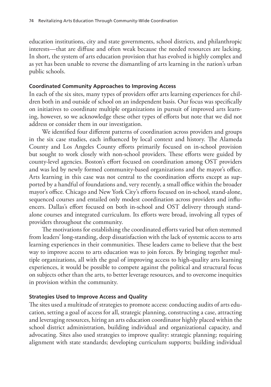education institutions, city and state governments, school districts, and philanthropic interests—that are diffuse and often weak because the needed resources are lacking. In short, the system of arts education provision that has evolved is highly complex and as yet has been unable to reverse the dismantling of arts learning in the nation's urban public schools.

#### **Coordinated Community Approaches to Improving Access**

In each of the six sites, many types of providers offer arts learning experiences for children both in and outside of school on an independent basis. Our focus was specifically on initiatives to coordinate multiple organizations in pursuit of improved arts learning, however, so we acknowledge these other types of efforts but note that we did not address or consider them in our investigation.

We identified four different patterns of coordination across providers and groups in the six case studies, each influenced by local context and history. The Alameda County and Los Angeles County efforts primarily focused on in-school provision but sought to work closely with non-school providers. These efforts were guided by county-level agencies. Boston's effort focused on coordination among OST providers and was led by newly formed community-based organizations and the mayor's office. Arts learning in this case was not central to the coordination efforts except as supported by a handful of foundations and, very recently, a small office within the broader mayor's office. Chicago and New York City's efforts focused on in-school, stand-alone, sequenced courses and entailed only modest coordination across providers and influencers. Dallas's effort focused on both in-school and OST delivery through standalone courses and integrated curriculum. Its efforts were broad, involving all types of providers throughout the community.

The motivations for establishing the coordinated efforts varied but often stemmed from leaders' long-standing, deep dissatisfaction with the lack of systemic access to arts learning experiences in their communities. These leaders came to believe that the best way to improve access to arts education was to join forces. By bringing together multiple organizations, all with the goal of improving access to high-quality arts learning experiences, it would be possible to compete against the political and structural focus on subjects other than the arts, to better leverage resources, and to overcome inequities in provision within the community.

#### **Strategies Used to Improve Access and Quality**

The sites used a multitude of strategies to promote access: conducting audits of arts education, setting a goal of access for all, strategic planning, constructing a case, attracting and leveraging resources, hiring an arts education coordinator highly placed within the school district administration, building individual and organizational capacity, and advocating. Sites also used strategies to improve quality: strategic planning; requiring alignment with state standards; developing curriculum supports; building individual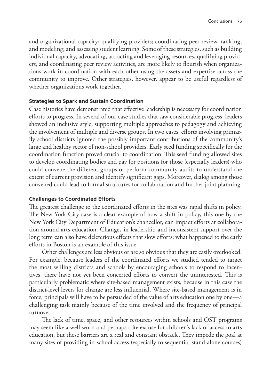and organizational capacity; qualifying providers; coordinating peer review, ranking, and modeling; and assessing student learning. Some of these strategies, such as building individual capacity, advocating, attracting and leveraging resources, qualifying providers, and coordinating peer review activities, are more likely to flourish when organizations work in coordination with each other using the assets and expertise across the community to improve. Other strategies, however, appear to be useful regardless of whether organizations work together.

#### **Strategies to Spark and Sustain Coordination**

Case histories have demonstrated that effective leadership is necessary for coordination efforts to progress. In several of our case studies that saw considerable progress, leaders showed an inclusive style, supporting multiple approaches to pedagogy and achieving the involvement of multiple and diverse groups. In two cases, efforts involving primarily school districts ignored the possibly important contributions of the community's large and healthy sector of non-school providers. Early seed funding specifically for the coordination function proved crucial to coordination. This seed funding allowed sites to develop coordinating bodies and pay for positions for those (especially leaders) who could convene the different groups or perform community audits to understand the extent of current provision and identify significant gaps. Moreover, dialog among those convened could lead to formal structures for collaboration and further joint planning.

#### **Challenges to Coordinated Efforts**

The greatest challenge to the coordinated efforts in the sites was rapid shifts in policy. The New York City case is a clear example of how a shift in policy, this one by the New York City Department of Education's chancellor, can impact efforts at collaboration around arts education. Changes in leadership and inconsistent support over the long term can also have deleterious effects that slow efforts; what happened to the early efforts in Boston is an example of this issue.

Other challenges are less obvious or are so obvious that they are easily overlooked. For example, because leaders of the coordinated efforts we studied tended to target the most willing districts and schools by encouraging schools to respond to incentives, there have not yet been concerted efforts to convert the uninterested. This is particularly problematic where site-based management exists, because in this case the district-level levers for change are less influential. Where site-based management is in force, principals will have to be persuaded of the value of arts education one by one—a challenging task mainly because of the time involved and the frequency of principal turnover.

The lack of time, space, and other resources within schools and OST programs may seem like a well-worn and perhaps trite excuse for children's lack of access to arts education, but these barriers are a real and constant obstacle. They impede the goal at many sites of providing in-school access (especially to sequential stand-alone courses)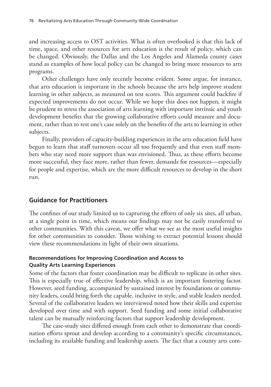and increasing access to OST activities. What is often overlooked is that this lack of time, space, and other resources for arts education is the result of policy, which can be changed. Obviously, the Dallas and the Los Angeles and Alameda county cases stand as examples of how local policy can be changed to bring more resources to arts programs.

Other challenges have only recently become evident. Some argue, for instance, that arts education is important in the schools because the arts help improve student learning in other subjects, as measured on test scores. This argument could backfire if expected improvements do not occur. While we hope this does not happen, it might be prudent to stress the association of arts learning with important intrinsic and youth development benefits that the growing collaborative efforts could measure and document, rather than to rest one's case solely on the benefits of the arts to learning in other subjects.

Finally, providers of capacity-building experiences in the arts education field have begun to learn that staff turnovers occur all too frequently and that even staff members who stay need more support than was envisioned. Thus, as these efforts become more successful, they face more, rather than fewer, demands for resources—especially for people and expertise, which are the more difficult resources to develop in the short run.

# **Guidance for Practitioners**

The confines of our study limited us to capturing the efforts of only six sites, all urban, at a single point in time, which means our findings may not be easily transferred to other communities. With this caveat, we offer what we see as the most useful insights for other communities to consider. Those wishing to extract potential lessons should view these recommendations in light of their own situations.

#### **Recommendations for Improving Coordination and Access to Quality Arts Learning Experiences**

Some of the factors that foster coordination may be difficult to replicate in other sites. This is especially true of effective leadership, which is an important fostering factor. However, seed funding, accompanied by sustained interest by foundations or community leaders, could bring forth the capable, inclusive in style, and stable leaders needed. Several of the collaborative leaders we interviewed noted how their skills and expertise developed over time and with support. Seed funding and some initial collaborative talent can be mutually reinforcing factors that support leadership development.

The case-study sites differed enough from each other to demonstrate that coordination efforts sprout and develop according to a community's specific circumstances, including its available funding and leadership assets. The fact that a county arts com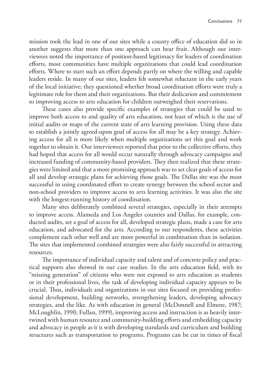mission took the lead in one of our sites while a county office of education did so in another suggests that more than one approach can bear fruit. Although our interviewees noted the importance of position-based legitimacy for leaders of coordination efforts, most communities have multiple organizations that could lead coordination efforts. Where to start such an effort depends partly on where the willing and capable leaders reside. In many of our sites, leaders felt somewhat reluctant in the early years of the local initiative; they questioned whether broad coordination efforts were truly a legitimate role for them and their organizations. But their dedication and commitment to improving access to arts education for children outweighed their reservations.

These cases also provide specific examples of strategies that could be used to improve both access to and quality of arts education, not least of which is the use of initial audits or maps of the current state of arts learning provision. Using these data to establish a jointly agreed-upon goal of access for all may be a key strategy. Achieving access for all is more likely when multiple organizations set this goal and work together to obtain it. Our interviewees reported that prior to the collective efforts, they had hoped that access for all would occur naturally through advocacy campaigns and increased funding of community-based providers. They then realized that these strategies were limited and that a more promising approach was to set clear goals of access for all and develop strategic plans for achieving those goals. The Dallas site was the most successful in using coordinated effort to create synergy between the school sector and non-school providers to improve access to arts learning activities. It was also the site with the longest-running history of coordination.

Many sites deliberately combined several strategies, especially in their attempts to improve access. Alameda and Los Angeles counties and Dallas, for example, conducted audits, set a goal of access for all, developed strategic plans, made a case for arts education, and advocated for the arts. According to our respondents, these activities complement each other well and are more powerful in combination than in isolation. The sites that implemented combined strategies were also fairly successful in attracting resources.

The importance of individual capacity and talent and of concrete policy and practical supports also showed in our case studies. In the arts education field, with its "missing generation" of citizens who were not exposed to arts education as students or in their professional lives, the task of developing individual capacity appears to be crucial. Thus, individuals and organizations in our sites focused on providing professional development, building networks, strengthening leaders, developing advocacy strategies, and the like. As with education in general (McDonnell and Elmore, 1987; McLoughlin, 1990; Fullan, 1999), improving access and instruction is as heavily intertwined with human resource and community-building efforts and embedding capacity and advocacy in people as it is with developing standards and curriculum and building structures such as transportation to programs. Programs can be cut in times of fiscal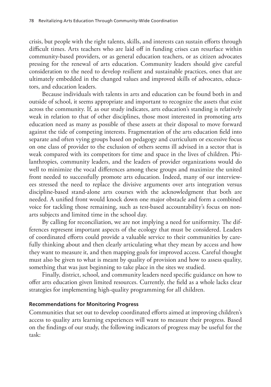crisis, but people with the right talents, skills, and interests can sustain efforts through difficult times. Arts teachers who are laid off in funding crises can resurface within community-based providers, or as general education teachers, or as citizen advocates pressing for the renewal of arts education. Community leaders should give careful consideration to the need to develop resilient and sustainable practices, ones that are ultimately embedded in the changed values and improved skills of advocates, educators, and education leaders.

Because individuals with talents in arts and education can be found both in and outside of school, it seems appropriate and important to recognize the assets that exist across the community. If, as our study indicates, arts education's standing is relatively weak in relation to that of other disciplines, those most interested in promoting arts education need as many as possible of these assets at their disposal to move forward against the tide of competing interests. Fragmentation of the arts education field into separate and often vying groups based on pedagogy and curriculum or excessive focus on one class of provider to the exclusion of others seems ill advised in a sector that is weak compared with its competitors for time and space in the lives of children. Philanthropies, community leaders, and the leaders of provider organizations would do well to minimize the vocal differences among these groups and maximize the united front needed to successfully promote arts education. Indeed, many of our interviewees stressed the need to replace the divisive arguments over arts integration versus discipline-based stand-alone arts courses with the acknowledgment that both are needed. A unified front would knock down one major obstacle and form a combined voice for tackling those remaining, such as test-based accountability's focus on nonarts subjects and limited time in the school day.

By calling for reconciliation, we are not implying a need for uniformity. The differences represent important aspects of the ecology that must be considered. Leaders of coordinated efforts could provide a valuable service to their communities by carefully thinking about and then clearly articulating what they mean by access and how they want to measure it, and then mapping goals for improved access. Careful thought must also be given to what is meant by quality of provision and how to assess quality, something that was just beginning to take place in the sites we studied.

Finally, district, school, and community leaders need specific guidance on how to offer arts education given limited resources. Currently, the field as a whole lacks clear strategies for implementing high-quality programming for all children.

#### **Recommendations for Monitoring Progress**

Communities that set out to develop coordinated efforts aimed at improving children's access to quality arts learning experiences will want to measure their progress. Based on the findings of our study, the following indicators of progress may be useful for the task: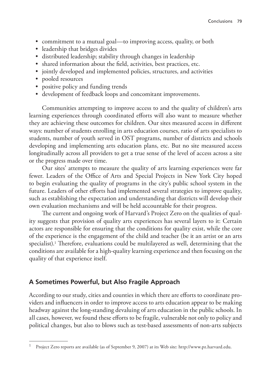- commitment to a mutual goal—to improving access, quality, or both
- leadership that bridges divides
- distributed leadership; stability through changes in leadership
- shared information about the field, activities, best practices, etc.
- jointly developed and implemented policies, structures, and activities
- pooled resources
- positive policy and funding trends
- development of feedback loops and concomitant improvements.

Communities attempting to improve access to and the quality of children's arts learning experiences through coordinated efforts will also want to measure whether they are achieving these outcomes for children. Our sites measured access in different ways: number of students enrolling in arts education courses, ratio of arts specialists to students, number of youth served in OST programs, number of districts and schools developing and implementing arts education plans, etc. But no site measured access longitudinally across all providers to get a true sense of the level of access across a site or the progress made over time.

Our sites' attempts to measure the quality of arts learning experiences were far fewer. Leaders of the Office of Arts and Special Projects in New York City hoped to begin evaluating the quality of programs in the city's public school system in the future. Leaders of other efforts had implemented several strategies to improve quality, such as establishing the expectation and understanding that districts will develop their own evaluation mechanisms and will be held accountable for their progress.

The current and ongoing work of Harvard's Project Zero on the qualities of quality suggests that provision of quality arts experiences has several layers to it: Certain actors are responsible for ensuring that the conditions for quality exist, while the core of the experience is the engagement of the child and teacher (be it an artist or an arts specialist).<sup>1</sup> Therefore, evaluations could be multilayered as well, determining that the conditions are available for a high-quality learning experience and then focusing on the quality of that experience itself.

# **A Sometimes Powerful, but Also Fragile Approach**

According to our study, cities and counties in which there are efforts to coordinate providers and influencers in order to improve access to arts education appear to be making headway against the long-standing devaluing of arts education in the public schools. In all cases, however, we found these efforts to be fragile, vulnerable not only to policy and political changes, but also to blows such as test-based assessments of non-arts subjects

<sup>1</sup> Project Zero reports are available (as of September 9, 2007) at its Web site: http://www.pz.harvard.edu.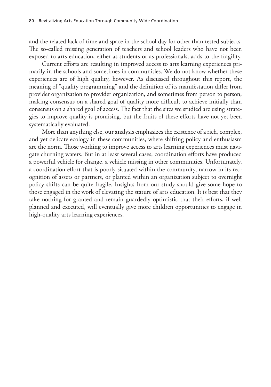and the related lack of time and space in the school day for other than tested subjects. The so-called missing generation of teachers and school leaders who have not been exposed to arts education, either as students or as professionals, adds to the fragility.

Current efforts are resulting in improved access to arts learning experiences primarily in the schools and sometimes in communities. We do not know whether these experiences are of high quality, however. As discussed throughout this report, the meaning of "quality programming" and the definition of its manifestation differ from provider organization to provider organization, and sometimes from person to person, making consensus on a shared goal of quality more difficult to achieve initially than consensus on a shared goal of access. The fact that the sites we studied are using strategies to improve quality is promising, but the fruits of these efforts have not yet been systematically evaluated.

More than anything else, our analysis emphasizes the existence of a rich, complex, and yet delicate ecology in these communities, where shifting policy and enthusiasm are the norm. Those working to improve access to arts learning experiences must navigate churning waters. But in at least several cases, coordination efforts have produced a powerful vehicle for change, a vehicle missing in other communities. Unfortunately, a coordination effort that is poorly situated within the community, narrow in its recognition of assets or partners, or planted within an organization subject to overnight policy shifts can be quite fragile. Insights from our study should give some hope to those engaged in the work of elevating the stature of arts education. It is best that they take nothing for granted and remain guardedly optimistic that their efforts, if well planned and executed, will eventually give more children opportunities to engage in high-quality arts learning experiences.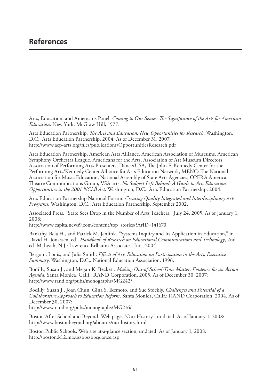Arts, Education, and Americans Panel. *Coming to Our Senses: The Significance of the Arts for American Education*. New York: McGraw Hill, 1977.

Arts Education Partnership. *The Arts and Education: New Opportunities for Research*. Washington, D.C.: Arts Education Partnership, 2004. As of December 31, 2007: http://www.aep-arts.org/files/publications/OpportunitiesResearch.pdf

Arts Education Partnership, American Arts Alliance, American Association of Museums, American Symphony Orchestra League, Americans for the Arts, Association of Art Museum Directors, Association of Performing Arts Presenters, Dance/USA, The John F. Kennedy Center for the Performing Arts/Kennedy Center Alliance for Arts Education Network, MENC: The National Association for Music Education, National Assembly of State Arts Agencies, OPERA America, Theatre Communications Group, VSA arts. *No Subject Left Behind: A Guide to Arts Education Opportunities in the 2001 NCLB Act*. Washington, D.C.: Arts Education Partnership, 2004.

Arts Education Partnership National Forum. *Creating Quality Integrated and Interdisciplinary Arts Programs*. Washington, D.C.: Arts Education Partnership, September 2002.

Associated Press. "State Sees Drop in the Number of Arts Teachers," July 24, 2005. As of January 1, 2008:

http://www.capitalnews9.com/content/top\_stories/?ArID=141670

Banathy, Bela H., and Patrick M. Jenlink. "Systems Inquiry and Its Application in Education," in David H. Jonassen, ed., *Handbook of Research on Educational Communications and Technology*, 2nd ed. Mahwah, N.J.: Lawrence Erlbaum Associates, Inc., 2004.

Bergoni, Louis, and Julia Smith. *Effects of Arts Education on Participation in the Arts, Executive Summary*. Washington, D.C.: National Education Association, 1996.

Bodilly, Susan J., and Megan K. Beckett. *Making Out-of-School-Time Matter: Evidence for an Action Agenda*. Santa Monica, Calif.: RAND Corporation, 2005. As of December 30, 2007: http://www.rand.org/pubs/monographs/MG242/

Bodilly, Susan J., Joan Chun, Gina S. Ikemoto, and Sue Stockly. *Challenges and Potential of a Collaborative Approach to Education Reform*. Santa Monica, Calif.: RAND Corporation, 2004. As of December 30, 2007:

http://www.rand.org/pubs/monographs/MG216/

Boston After School and Beyond. Web page, "Our History," undated. As of January 1, 2008: http://www.bostonbeyond.org/aboutus/our-history.html

Boston Public Schools. Web site at-a-glance section, undated. As of January 1, 2008: http://boston.k12.ma.us/bps/bpsglance.asp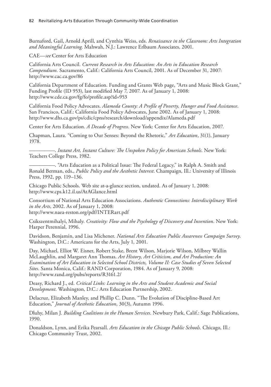Burnaford, Gail, Arnold Aprill, and Cynthia Weiss, eds. *Renaissance in the Classroom: Arts Integration and Meaningful Learning*. Mahwah, N.J.: Lawrence Erlbaum Associates, 2001.

CAE—*see* Center for Arts Education

California Arts Council. *Current Research in Arts Education: An Arts in Education Research Compendium.* Sacramento, Calif.: California Arts Council, 2001. As of December 31, 2007: http://www.cac.ca.gov/86

California Department of Education. Funding and Grants Web page, "Arts and Music Block Grant," Funding Profile (ID 953), last modified May 7, 2007. As of January 1, 2008: http://www.cde.ca.gov/fg/fo/profile.asp?id=953

California Food Policy Advocates. *Alameda County: A Profile of Poverty, Hunger and Food Assistance*. San Francisco, Calif.: California Food Policy Advocates, June 2002. As of January 1, 2008: http://www.dhs.ca.gov/ps/cdic/cpns/research/download/appendix/Alameda.pdf

Center for Arts Education. *A Decade of Progress*. New York: Center for Arts Education, 2007.

Chapman, Laura. "Coming to Our Senses: Beyond the Rhetoric," *Art Education*, 31(1), January 1978.

—————. *Instant Art, Instant Culture: The Unspoken Policy for American Schools*. New York: Teachers College Press, 1982.

-. "Arts Education as a Political Issue: The Federal Legacy," in Ralph A. Smith and Ronald Berman, eds., *Public Policy and the Aesthetic Interest*. Champaign, Ill.: University of Illinois Press, 1992, pp. 119–136.

Chicago Public Schools. Web site at-a-glance section, undated. As of January 1, 2008: http://www.cps.k12.il.us/AtAGlance.html

Consortium of National Arts Education Associations. *Authentic Connections: Interdisciplinary Work in the Arts*, 2002. As of January 1, 2008: http://www.naea-reston.org/pdf/INTERart.pdf

Csikszentmihalyi, Mihaly. *Creativity: Flow and the Psychology of Discovery and Invention*. New York: Harper Perennial, 1996.

Davidson, Benjamin, and Lisa Michener. *National Arts Education Public Awareness Campaign Survey*. Washington, D.C.: Americans for the Arts, July 1, 2001.

Day, Michael, Elliot W. Eisner, Robert Stake, Brent Wilson, Marjorie Wilson, Milbrey Wallin McLaughlin, and Margaret Ann Thomas. *Art History, Art Criticism, and Art Production: An Examination of Art Education in Selected School Districts, Volume II: Case Studies of Seven Selected Sites*. Santa Monica, Calif.: RAND Corporation, 1984. As of January 9, 2008: http://www.rand.org/pubs/reports/R3161.2/

Deasy, Richard J., ed. *Critical Links: Learning in the Arts and Student Academic and Social Development*. Washington, D.C.: Arts Education Partnership, 2002.

Delacruz, Elizabeth Manley, and Phillip C. Dunn. "The Evolution of Discipline-Based Art Education," *Journal of Aesthetic Education*, 30(3), Autumn 1996.

Dluhy, Milan J. *Building Coalitions in the Human Services*. Newbury Park, Calif.: Sage Publications, 1990.

Donaldson, Lynn, and Erika Pearsall. *Arts Education in the Chicago Public Schools.* Chicago, Ill.: Chicago Community Trust, 2002.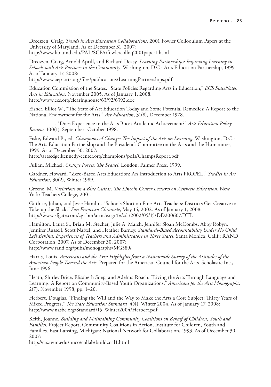Dreeszen, Craig. *Trends in Arts Education Collaborations*. 2001 Fowler Colloquium Papers at the University of Maryland. As of December 31, 2007: http://www.lib.umd.edu/PAL/SCPA/fowlercolloq2001paper1.html

Dreeszen, Craig, Arnold Aprill, and Richard Deasy. *Learning Partnerships: Improving Learning in Schools with Arts Partners in the Community*. Washington, D.C.: Arts Education Partnership, 1999. As of January 17, 2008:

http://www.aep-arts.org/files/publications/LearningPartnerships.pdf

Education Commission of the States. "State Policies Regarding Arts in Education," *ECS StateNotes: Arts in Education*, November 2005. As of January 1, 2008: http://www.ecs.org/clearinghouse/63/92/6392.doc

Eisner, Elliot W., "The State of Art Education Today and Some Potential Remedies: A Report to the National Endowment for the Arts," *Art Education*, 31(8), December 1978.

—————. "Does Experience in the Arts Boost Academic Achievement?" *Arts Education Policy Review*, 100(1), September–October 1998.

Fiske, Edward B., ed. *Champions of Change: The Impact of the Arts on Learning*. Washington, D.C.: The Arts Education Partnership and the President's Committee on the Arts and the Humanities, 1999. As of December 30, 2007:

http://artsedge.kennedy-center.org/champions/pdfs/ChampsReport.pdf

Fullan, Michael. *Change Forces: The Sequel*. London: Falmer Press, 1999.

Gardner, Howard. "Zero-Based Arts Education: An Introduction to Arts PROPEL," *Studies in Art Education*, 30(2), Winter 1989.

Greene, M. *Variations on a Blue Guitar: The Lincoln Center Lectures on Aesthetic Education*. New York: Teachers College, 2001.

Guthrie, Julian, and Jesse Hamlin. "Schools Short on Fine-Arts Teachers: Districts Get Creative to Take up the Slack," *San Francisco Chronicle*, May 15, 2002. As of January 1, 2008: http://www.sfgate.com/cgi-bin/article.cgi?f=/c/a/2002/05/15/DD200607.DTL

Hamilton, Laura S., Brian M. Stecher, Julie A. Marsh, Jennifer Sloan McCombs, Abby Robyn, Jennifer Russell, Scott Naftel, and Heather Barney. *Standards-Based Accountability Under No Child Left Behind: Experiences of Teachers and Administrators in Three States*. Santa Monica, Calif.: RAND Corporation, 2007. As of December 30, 2007: http://www.rand.org/pubs/monographs/MG589/

Harris, Louis. *Americans and the Arts: Highlights from a Nationwide Survey of the Attitudes of the American People Toward the Arts*. Prepared for the American Council for the Arts. Scholastic Inc., June 1996.

Heath, Shirley Brice, Elisabeth Soep, and Adelma Roach. "Living the Arts Through Language and Learning: A Report on Community-Based Youth Organizations," *Americans for the Arts Monographs,* 2(7), November 1998, pp. 1–20.

Herbert, Douglas. "Finding the Will and the Way to Make the Arts a Core Subject: Thirty Years of Mixed Progress," *The State Education Standard*, 4(4), Winter 2004. As of January 17, 2008: http://www.nasbe.org/Standard/15\_Winter2004/Herbert.pdf

Keith, Joanne. *Building and Maintaining Community Coalitions on Behalf of Children, Youth and Families.* Project Report, Community Coalitions in Action, Institute for Children, Youth and Families. East Lansing, Michigan: National Network for Collaboration, 1993. As of December 30, 2007:

http://crs.uvm.edu/nnco/collab/buildcoal1.html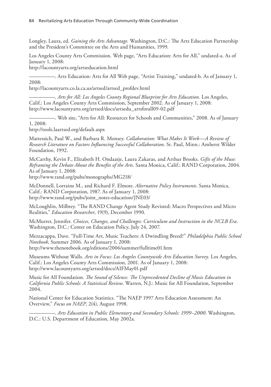Longley, Laura, ed. *Gaining the Arts Advantage.* Washington, D.C.: The Arts Education Partnership and the President's Committee on the Arts and Humanities, 1999.

Los Angeles County Arts Commission. Web page, "Arts Education: Arts for All," undated-a. As of January 1, 2008:

http://lacountyarts.org/artseducation.html

—————. Arts Education: Arts for All Web page, "Artist Training," undated-b. As of January 1, 2008:

http://lacountyarts.co.la.ca.us/artsed/artsed\_profdev.html

—————. *Arts for All: Los Angeles County Regional Blueprint for Arts Education*. Los Angeles, Calif.: Los Angeles County Arts Commission, September 2002. As of January 1, 2008: http://www.lacountyarts.org/artsed/docs/artsedu\_artsforall09-02.pdf

—————. Web site, "Arts for All: Resources for Schools and Communities," 2008. As of January 1, 2008:

http://tools.laartsed.org/default.aspx

Mattessich, Paul W., and Barbara R. Monsey. *Collaboration: What Makes It Work—A Review of Research Literature on Factors Influencing Successful Collaboration*. St. Paul, Minn.: Amherst Wilder Foundation, 1992.

McCarthy, Kevin F., Elizabeth H. Ondaatje, Laura Zakaras, and Arthur Brooks. *Gifts of the Muse: Reframing the Debate About the Benefits of the Arts*. Santa Monica, Calif.: RAND Corporation, 2004. As of January 1, 2008:

http://www.rand.org/pubs/monographs/MG218/

McDonnell, Lorraine M., and Richard F. Elmore. *Alternative Policy Instruments*. Santa Monica, Calif.: RAND Corporation, 1987. As of January 1, 2008: http://www.rand.org/pubs/joint\_notes-education/JNE03/

McLoughlin, Milbrey. "The RAND Change Agent Study Revisted: Macro Perspectives and Micro Realities," *Education Researcher*, 19(9), December 1990.

McMurrer, Jennifer. *Choices, Changes, and Challenges: Curriculum and Instruction in the NCLB Era*. Washington, D.C.: Center on Education Policy, July 24, 2007.

Mezzacappa, Dave. "Full-Time Art, Music Teachers: A Dwindling Breed?" *Philadelphia Public School Notebook*, Summer 2006. As of January 1, 2008: http://www.thenotebook.org/editions/2006/summer/fulltime01.htm

Museums Without Walls. *Arts in Focus: Los Angeles Countywide Arts Education Survey.* Los Angeles, Calif.: Los Angeles County Arts Commission, 2001. As of January 1, 2008: http://www.lacountyarts.org/artsed/docs/AIFMay01.pdf

Music for All Foundation. *The Sound of Silence. The Unprecedented Decline of Music Education in California Public Schools: A Statistical Review*. Warren, N.J.: Music for All Foundation, September 2004.

National Center for Education Statistics. "The NAEP 1997 Arts Education Assessment: An Overview," *Focus on NAEP*, 2(4), August 1998.

—————. *Arts Education in Public Elementary and Secondary Schools: 1999–2000*. Washington, D.C.: U.S. Department of Education, May 2002a.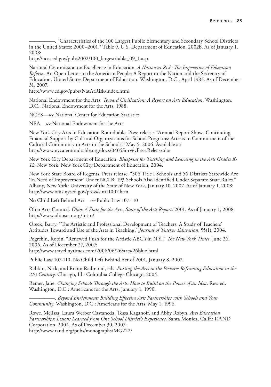—————. "Characteristics of the 100 Largest Public Elementary and Secondary School Districts in the United States: 2000–2001," Table 9. U.S. Department of Education, 2002b. As of January 1, 2008:

http://nces.ed.gov/pubs2002/100\_largest/table\_09\_1.asp

National Commission on Excellence in Education. *A Nation at Risk: The Imperative of Education Reform*. An Open Letter to the American People; A Report to the Nation and the Secretary of Education, United States Department of Education. Washington, D.C., April 1983. As of December 31, 2007:

http://www.ed.gov/pubs/NatAtRisk/index.html

National Endowment for the Arts. *Toward Civilization: A Report on Arts Education*. Washington, D.C.: National Endowment for the Arts, 1988.

NCES—*see* National Center for Education Statistics

NEA—*see* National Endowment for the Arts

New York City Arts in Education Roundtable. Press release. "Annual Report Shows Continuing Financial Support by Cultural Organizations for School Programs: Attests to Commitment of the Cultural Community to Arts in the Schools," May 5, 2006. Available at: http://www.nycaieroundtable.org/docs/0405SurveyPressRelease.doc

New York City Department of Education. *Blueprint for Teaching and Learning in the Arts Grades K-12*, New York: New York City Department of Education, 2004.

New York State Board of Regents. Press release. "506 Title I Schools and 56 Districts Statewide Are 'In Need of Improvement' Under NCLB; 193 Schools Also Identified Under Separate State Rules." Albany, New York: University of the State of New York, January 10, 2007. As of January 1, 2008: http://www.oms.nysed.gov/press/sini11007.htm

No Child Left Behind Act—*see* Public Law 107-110

Ohio Arts Council. *Ohio: A State for the Arts. State of the Arts Report*. 2001. As of January 1, 2008: http://www.ohiosoar.org/intro/

Oreck, Barry. "The Artistic and Professional Development of Teachers: A Study of Teachers' Attitudes Toward and Use of the Arts in Teaching," *Journal of Teacher Education*, 55(1), 2004.

Pogrebin, Robin. "Renewed Push for the Artistic ABC's in N.Y.," *The New York Times*, June 26, 2006. As of December 27, 2007: http://www.travel.nytimes.com/2006/06/26/arts/26blue.html

Public Law 107-110. No Child Left Behind Act of 2001, January 8, 2002.

Rabkin, Nick, and Robin Redmond, eds. *Putting the Arts in the Picture: Reframing Education in the 21st Century*. Chicago, Ill.: Columbia College Chicago, 2004.

Remer, Jane. *Changing Schools Through the Arts: How to Build on the Power of an Idea*. Rev. ed. Washington, D.C.: Americans for the Arts, January 1, 1990.

—————. *Beyond Enrichment: Building Effective Arts Partnerships with Schools and Your Community*. Washington, D.C.: Americans for the Arts, May 1, 1996.

Rowe, Melissa, Laura Werber Castaneda, Tessa Kaganoff, and Abby Robyn. *Arts Education Partnerships: Lessons Learned from One School District's Experience*. Santa Monica, Calif.: RAND Corporation, 2004. As of December 30, 2007:

http://www.rand.org/pubs/monographs/MG222/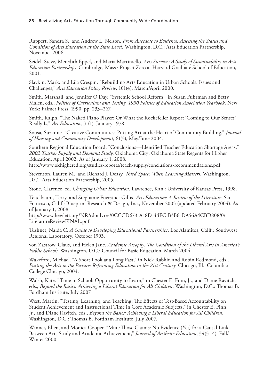Ruppert, Sandra S., and Andrew L. Nelson. *From Anecdote to Evidence: Assessing the Status and Condition of Arts Education at the State Level.* Washington, D.C.: Arts Education Partnership, November 2006.

Seidel, Steve, Meredith Eppel, and Maria Martiniello. *Arts Survive: A Study of Sustainability in Arts Education Partnerships.* Cambridge, Mass.: Project Zero at Harvard Graduate School of Education, 2001.

Slavkin, Mark, and Lila Crespin. "Rebuilding Arts Education in Urban Schools: Issues and Challenges," *Arts Education Policy Review*, 101(4), March/April 2000.

Smith, Marshall, and Jennifer O'Day. "Systemic School Reform," in Susan Fuhrman and Betty Malen, eds., *Politics of Curriculum and Testing, 1990 Politics of Education Association Yearbook*. New York: Falmer Press, 1990, pp. 233–267.

Smith, Ralph. "The Naked Piano Player: Or What the Rockefeller Report 'Coming to Our Senses' Really Is," *Art Education*, 31(1), January 1978.

Sousa, Suzanne. "Creative Communities: Putting Art at the Heart of Community Building," *Journal of Housing and Community Development*, 61(3), May/June 2004.

Southern Regional Education Board. "Conclusions—Identified Teacher Education Shortage Areas," *2002 Teacher Supply and Demand Study*. Oklahoma City: Oklahoma State Regents for Higher Education, April 2002. As of January 1, 2008:

http://www.okhighered.org/studies-reports/teach-supply/conclusions-recommendations.pdf

Stevenson, Lauren M., and Richard J. Deasy. *Third Space: When Learning Matters*. Washington, D.C.: Arts Education Partnership, 2005.

Stone, Clarence, ed. *Changing Urban Education*. Lawrence, Kan.: University of Kansas Press, 1998.

Teitelbaum, Terry, and Stephanie Fuerstner Gillis. *Arts Education: A Review of the Literature*. San Francisco, Calif.: Blueprint Research & Design, Inc., November 2003 (updated February 2004). As of January 1, 2008:

http://www.hewlett.org/NR/rdonlyres/0CCCD673-A18D-44FC-B3B6-DA56A4CBD808/0/ LiteratureReviewFINAL.pdf

Tushnet, Naida C. *A Guide to Developing Educational Partnerships*. Los Alamitos, Calif.: Southwest Regional Laboratory, October 1993.

von Zastrow, Claus, and Helen Janc. *Academic Atrophy: The Condition of the Liberal Arts in America's Public Schools.* Washington, D.C.: Council for Basic Education, March 2004.

Wakeford, Michael. "A Short Look at a Long Past," in Nick Rabkin and Robin Redmond, eds., *Putting the Arts in the Picture: Reframing Education in the 21st Century*. Chicago, Ill.: Columbia College Chicago, 2004.

Walsh, Kate. "Time in School: Opportunity to Learn," in Chester E. Finn, Jr., and Diane Ravitch, eds., *Beyond the Basics: Achieving a Liberal Education for All Children*. Washington, D.C.: Thomas B. Fordham Institute, July 2007.

West, Martin. "Testing, Learning, and Teaching: The Effects of Test-Based Accountability on Student Achievement and Instructional Time in Core Academic Subjects," in Chester E. Finn, Jr., and Diane Ravitch, eds., *Beyond the Basics: Achieving a Liberal Education for All Children*. Washington, D.C.: Thomas B. Fordham Institute, July 2007.

Winner, Ellen, and Monica Cooper. "Mute Those Claims: No Evidence (Yet) for a Causal Link Between Arts Study and Academic Achievement," *Journal of Aesthetic Education*, 34(3–4), Fall/ Winter 2000.